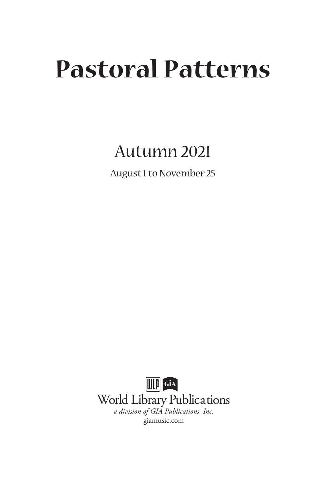# **Pastoral Patterns**

# Autumn 2021

August 1 to November 25

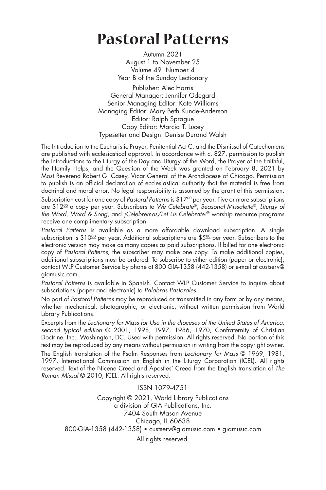# **Pastoral Patterns**

Autumn 2021 August 1 to November 25 Volume 49 Number 4 Year B of the Sunday Lectionary

Publisher: Alec Harris General Manager: Jennifer Odegard Senior Managing Editor: Kate Williams Managing Editor: Mary Beth Kunde-Anderson Editor: Ralph Sprague Copy Editor: Marcia T. Lucey Typesetter and Design: Denise Durand Walsh

The Introduction to the Eucharistic Prayer, Penitential Act C, and the Dismissal of Catechumens are published with ecclesiastical approval. In accordance with c. 827, permission to publish the Introductions to the Liturgy of the Day and Liturgy of the Word, the Prayer of the Faithful, the Homily Helps, and the Question of the Week was granted on February 8, 2021 by Most Reverend Robert G. Casey, Vicar General of the Archdiocese of Chicago. Permission to publish is an official declaration of ecclesiastical authority that the material is free from doctrinal and moral error. No legal responsibility is assumed by the grant of this permission.

Subscription cost for one copy of *Pastoral Patterns* is \$17<sup>00</sup> per year. Five or more subscriptions are \$1200 a copy per year. Subscribers to *We Celebrate*®, *Seasonal Missalette*®, *Liturgy of the Word*, *Word & Song*, and *¡Celebremos/Let Us Celebrate!*® worship resource programs receive one complimentary subscription.

*Pastoral Patterns* is available as a more affordable download subscription. A single subscription is \$10<sup>00</sup> per year. Additional subscriptions are \$5<sup>00</sup> per year. Subscribers to the electronic version may make as many copies as paid subscriptions. If billed for one electronic copy of *Pastoral Patterns*, the subscriber may make one copy. To make additional copies, additional subscriptions must be ordered. To subscribe to either edition (paper or electronic), contact WLP Customer Service by phone at 800 GIA-1358 (442-1358) or e-mail at custserv@ giamusic.com.

*Pastoral Patterns* is available in Spanish. Contact WLP Customer Service to inquire about subscriptions (paper and electronic) to *Palabras Pastorales*.

No part of *Pastoral Patterns* may be reproduced or transmitted in any form or by any means, whether mechanical, photographic, or electronic, without written permission from World Library Publications.

Excerpts from the *Lectionary for Mass for Use in the dioceses of the United States of America, second typical edition* © 2001, 1998, 1997, 1986, 1970, Confraternity of Christian Doctrine, Inc., Washington, DC. Used with permission. All rights reserved. No portion of this text may be reproduced by any means without permission in writing from the copyright owner.

The English translation of the Psalm Responses from *Lectionary for Mass* © 1969, 1981, 1997, International Commission on English in the Liturgy Corporation (ICEL). All rights reserved. Text of the Nicene Creed and Apostles' Creed from the English translation of *The Roman Missal* © 2010, ICEL. All rights reserved.

ISSN 1079-4751 Copyright © 2021, World Library Publications a division of GIA Publications, Inc. 7404 South Mason Avenue Chicago, IL 60638 800-GIA-1358 (442-1358) • custserv@giamusic.com • giamusic.com All rights reserved.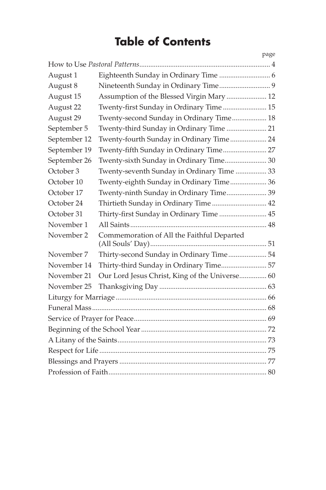# **Table of Contents**

|              |                                                | page |
|--------------|------------------------------------------------|------|
|              |                                                |      |
| August 1     |                                                |      |
| August 8     |                                                |      |
| August 15    | Assumption of the Blessed Virgin Mary  12      |      |
| August 22    | Twenty-first Sunday in Ordinary Time 15        |      |
| August 29    | Twenty-second Sunday in Ordinary Time 18       |      |
| September 5  | Twenty-third Sunday in Ordinary Time  21       |      |
| September 12 | Twenty-fourth Sunday in Ordinary Time 24       |      |
| September 19 | Twenty-fifth Sunday in Ordinary Time 27        |      |
| September 26 | Twenty-sixth Sunday in Ordinary Time 30        |      |
| October 3    | Twenty-seventh Sunday in Ordinary Time  33     |      |
| October 10   | Twenty-eighth Sunday in Ordinary Time 36       |      |
| October 17   | Twenty-ninth Sunday in Ordinary Time 39        |      |
| October 24   | Thirtieth Sunday in Ordinary Time 42           |      |
| October 31   | Thirty-first Sunday in Ordinary Time  45       |      |
| November 1   |                                                |      |
| November 2   | Commemoration of All the Faithful Departed     |      |
| November 7   | Thirty-second Sunday in Ordinary Time 54       |      |
| November 14  | Thirty-third Sunday in Ordinary Time 57        |      |
| November 21  | Our Lord Jesus Christ, King of the Universe 60 |      |
| November 25  |                                                |      |
|              |                                                |      |
|              |                                                |      |
|              |                                                |      |
|              |                                                |      |
|              |                                                |      |
|              |                                                |      |
|              |                                                |      |
|              |                                                |      |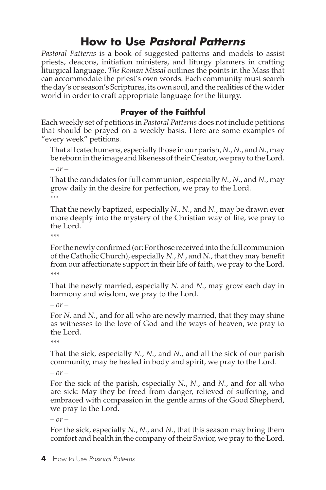# **How to Use** *Pastoral Patterns*

*Pastoral Patterns* is a book of suggested patterns and models to assist priests, deacons, initiation ministers, and liturgy planners in crafting liturgical language. *The Roman Missal* outlines the points in the Mass that can accommodate the priest's own words. Each community must search the day's or season's Scriptures, its own soul, and the realities of the wider world in order to craft appropriate language for the liturgy.

### **Prayer of the Faithful**

Each weekly set of petitions in *Pastoral Patterns* does not include petitions that should be prayed on a weekly basis. Here are some examples of "every week" petitions.

That all catechumens, especially those in our parish, *N.*, *N.*, and *N.*, may be reborn in the image and likeness of their Creator, we pray to the Lord.

*– or –*

That the candidates for full communion, especially *N.*, *N.*, and *N.*, may grow daily in the desire for perfection, we pray to the Lord. \*\*\*

That the newly baptized, especially *N.*, *N.*, and *N.*, may be drawn ever more deeply into the mystery of the Christian way of life, we pray to the Lord.

\*\*\*

For the newly confirmed (or: For those received into the full communion of the Catholic Church), especially *N.*, *N.*, and *N.*, that they may benefit from our affectionate support in their life of faith, we pray to the Lord. \*\*\*

That the newly married, especially *N.* and *N.*, may grow each day in harmony and wisdom, we pray to the Lord.

*– or –*

For *N.* and *N.*, and for all who are newly married, that they may shine as witnesses to the love of God and the ways of heaven, we pray to the Lord.

```
***
```
That the sick, especially *N.*, *N.*, and *N.*, and all the sick of our parish community, may be healed in body and spirit, we pray to the Lord.

*– or –*

For the sick of the parish, especially *N.*, *N.*, and *N.*, and for all who are sick: May they be freed from danger, relieved of suffering, and embraced with compassion in the gentle arms of the Good Shepherd, we pray to the Lord.

*– or –*

For the sick, especially *N.*, *N.*, and *N.*, that this season may bring them comfort and health in the company of their Savior, we pray to the Lord.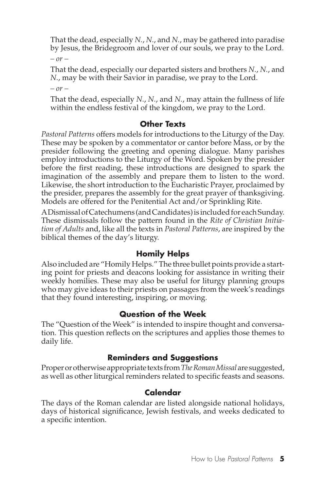That the dead, especially *N.*, *N.*, and *N.*, may be gathered into paradise by Jesus, the Bridegroom and lover of our souls, we pray to the Lord.

*– or –*

That the dead, especially our departed sisters and brothers *N.*, *N.*, and *N.*, may be with their Savior in paradise, we pray to the Lord.

*– or –*

That the dead, especially *N.*, *N.*, and *N.*, may attain the fullness of life within the endless festival of the kingdom, we pray to the Lord.

#### **Other Texts**

*Pastoral Patterns* offers models for introductions to the Liturgy of the Day. These may be spoken by a commentator or cantor before Mass, or by the presider following the greeting and opening dialogue. Many parishes employ introductions to the Liturgy of the Word. Spoken by the presider before the first reading, these introductions are designed to spark the imagination of the assembly and prepare them to listen to the word. Likewise, the short introduction to the Eucharistic Prayer, proclaimed by the presider, prepares the assembly for the great prayer of thanksgiving. Models are offered for the Penitential Act and/or Sprinkling Rite.

A Dismissal of Catechumens (and Candidates) is included for each Sunday. These dismissals follow the pattern found in the *Rite of Christian Initiation of Adults* and, like all the texts in *Pastoral Patterns*, are inspired by the biblical themes of the day's liturgy.

#### **Homily Helps**

Also included are "Homily Helps." The three bullet points provide a starting point for priests and deacons looking for assistance in writing their weekly homilies. These may also be useful for liturgy planning groups who may give ideas to their priests on passages from the week's readings that they found interesting, inspiring, or moving.

# **Question of the Week**

The "Question of the Week" is intended to inspire thought and conversation. This question reflects on the scriptures and applies those themes to daily life.

# **Reminders and Suggestions**

Proper or otherwise appropriate texts from *The Roman Missal* are suggested, as well as other liturgical reminders related to specific feasts and seasons.

# **Calendar**

The days of the Roman calendar are listed alongside national holidays, days of historical significance, Jewish festivals, and weeks dedicated to a specific intention.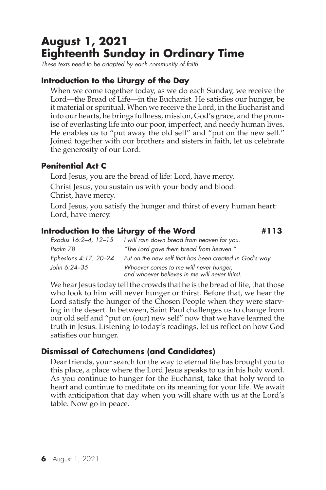# **August 1, 2021 Eighteenth Sunday in Ordinary Time**

*These texts need to be adapted by each community of faith.*

#### **Introduction to the Liturgy of the Day**

When we come together today, as we do each Sunday, we receive the Lord—the Bread of Life—in the Eucharist. He satisfies our hunger, be it material or spiritual. When we receive the Lord, in the Eucharist and into our hearts, he brings fullness, mission, God's grace, and the promise of everlasting life into our poor, imperfect, and needy human lives. He enables us to "put away the old self" and "put on the new self." Joined together with our brothers and sisters in faith, let us celebrate the generosity of our Lord.

#### **Penitential Act C**

Lord Jesus, you are the bread of life: Lord, have mercy.

Christ Jesus, you sustain us with your body and blood: Christ, have mercy.

Lord Jesus, you satisfy the hunger and thirst of every human heart: Lord, have mercy.

#### **Introduction to the Liturgy of the Word #113**

*Exodus 16:2–4, 12–15 I will rain down bread from heaven for you. Psalm 78 "The Lord gave them bread from heaven." Ephesians 4:17, 20–24 Put on the new self that has been created in God's way. John 6:24–35 Whoever comes to me will never hunger, and whoever believes in me will never thirst.*

We hear Jesus today tell the crowds that he is the bread of life, that those who look to him will never hunger or thirst. Before that, we hear the Lord satisfy the hunger of the Chosen People when they were starving in the desert. In between, Saint Paul challenges us to change from our old self and "put on (our) new self" now that we have learned the truth in Jesus. Listening to today's readings, let us reflect on how God satisfies our hunger.

#### **Dismissal of Catechumens (and Candidates)**

Dear friends, your search for the way to eternal life has brought you to this place, a place where the Lord Jesus speaks to us in his holy word. As you continue to hunger for the Eucharist, take that holy word to heart and continue to meditate on its meaning for your life. We await with anticipation that day when you will share with us at the Lord's table. Now go in peace.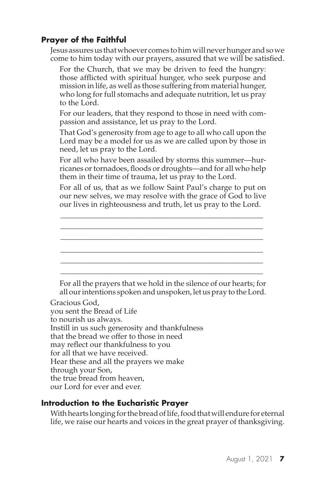Jesus assures us that whoever comes to him will never hunger and so we come to him today with our prayers, assured that we will be satisfied.

For the Church, that we may be driven to feed the hungry: those afflicted with spiritual hunger, who seek purpose and mission in life, as well as those suffering from material hunger, who long for full stomachs and adequate nutrition, let us pray to the Lord.

For our leaders, that they respond to those in need with compassion and assistance, let us pray to the Lord.

That God's generosity from age to age to all who call upon the Lord may be a model for us as we are called upon by those in need, let us pray to the Lord.

For all who have been assailed by storms this summer—hurricanes or tornadoes, floods or droughts—and for all who help them in their time of trauma, let us pray to the Lord.

For all of us, that as we follow Saint Paul's charge to put on our new selves, we may resolve with the grace of God to live our lives in righteousness and truth, let us pray to the Lord.

\_\_\_\_\_\_\_\_\_\_\_\_\_\_\_\_\_\_\_\_\_\_\_\_\_\_\_\_\_\_\_\_\_\_\_\_\_\_\_\_\_\_\_\_\_\_\_\_\_\_\_\_\_ \_\_\_\_\_\_\_\_\_\_\_\_\_\_\_\_\_\_\_\_\_\_\_\_\_\_\_\_\_\_\_\_\_\_\_\_\_\_\_\_\_\_\_\_\_\_\_\_\_\_\_\_\_ \_\_\_\_\_\_\_\_\_\_\_\_\_\_\_\_\_\_\_\_\_\_\_\_\_\_\_\_\_\_\_\_\_\_\_\_\_\_\_\_\_\_\_\_\_\_\_\_\_\_\_\_\_ \_\_\_\_\_\_\_\_\_\_\_\_\_\_\_\_\_\_\_\_\_\_\_\_\_\_\_\_\_\_\_\_\_\_\_\_\_\_\_\_\_\_\_\_\_\_\_\_\_\_\_\_\_ \_\_\_\_\_\_\_\_\_\_\_\_\_\_\_\_\_\_\_\_\_\_\_\_\_\_\_\_\_\_\_\_\_\_\_\_\_\_\_\_\_\_\_\_\_\_\_\_\_\_\_\_\_ \_\_\_\_\_\_\_\_\_\_\_\_\_\_\_\_\_\_\_\_\_\_\_\_\_\_\_\_\_\_\_\_\_\_\_\_\_\_\_\_\_\_\_\_\_\_\_\_\_\_\_\_\_

For all the prayers that we hold in the silence of our hearts; for all our intentions spoken and unspoken, let us pray to the Lord.

Gracious God, you sent the Bread of Life to nourish us always. Instill in us such generosity and thankfulness that the bread we offer to those in need may reflect our thankfulness to you for all that we have received. Hear these and all the prayers we make through your Son, the true bread from heaven, our Lord for ever and ever.

#### **Introduction to the Eucharistic Prayer**

With hearts longing for the bread of life, food that will endure for eternal life, we raise our hearts and voices in the great prayer of thanksgiving.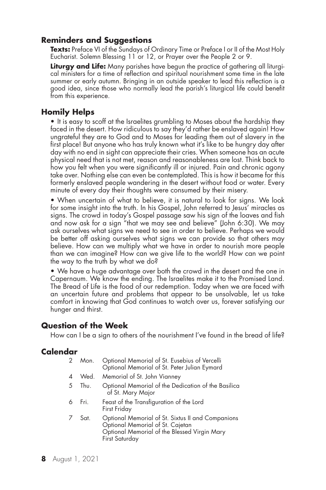#### **Reminders and Suggestions**

**Texts:** Preface VI of the Sundays of Ordinary Time or Preface I or II of the Most Holy Eucharist. Solemn Blessing 11 or 12, or Prayer over the People 2 or 9.

**Liturgy and Life:** Many parishes have begun the practice of gathering all liturgical ministers for a time of reflection and spiritual nourishment some time in the late summer or early autumn. Bringing in an outside speaker to lead this reflection is a good idea, since those who normally lead the parish's liturgical life could benefit from this experience.

#### **Homily Helps**

• It is easy to scoff at the Israelites grumbling to Moses about the hardship they faced in the desert. How ridiculous to say they'd rather be enslaved again! How ungrateful they are to God and to Moses for leading them out of slavery in the first place! But anyone who has truly known what it's like to be hungry day after day with no end in sight can appreciate their cries. When someone has an acute physical need that is not met, reason and reasonableness are lost. Think back to how you felt when you were significantly ill or injured. Pain and chronic agony take over. Nothing else can even be contemplated. This is how it became for this formerly enslaved people wandering in the desert without food or water. Every minute of every day their thoughts were consumed by their misery.

• When uncertain of what to believe, it is natural to look for signs. We look for some insight into the truth. In his Gospel, John referred to Jesus' miracles as signs. The crowd in today's Gospel passage saw his sign of the loaves and fish and now ask for a sign "that we may see and believe" (John 6:30). We may ask ourselves what signs we need to see in order to believe. Perhaps we would be better off asking ourselves what signs we can provide so that others may believe. How can we multiply what we have in order to nourish more people than we can imagine? How can we give life to the world? How can we point the way to the truth by what we do?

• We have a huge advantage over both the crowd in the desert and the one in Capernaum. We know the ending. The Israelites make it to the Promised Land. The Bread of Life is the food of our redemption. Today when we are faced with an uncertain future and problems that appear to be unsolvable, let us take comfort in knowing that God continues to watch over us, forever satisfying our hunger and thirst.

#### **Question of the Week**

How can I be a sign to others of the nourishment I've found in the bread of life?

|    | 2 Mon. | Optional Memorial of St. Eusebius of Vercelli<br>Optional Memorial of St. Peter Julian Eymard                                                           |
|----|--------|---------------------------------------------------------------------------------------------------------------------------------------------------------|
| 4  |        | Wed. Memorial of St. John Vianney                                                                                                                       |
| 5  | Thu.   | Optional Memorial of the Dedication of the Basilica<br>of St. Mary Major                                                                                |
| 6  | - Fri. | Feast of the Transfiguration of the Lord<br>First Friday                                                                                                |
| 7. | Sat.   | Optional Memorial of St. Sixtus II and Companions<br>Optional Memorial of St. Cajetan<br>Optional Memorial of the Blessed Virgin Mary<br>First Saturday |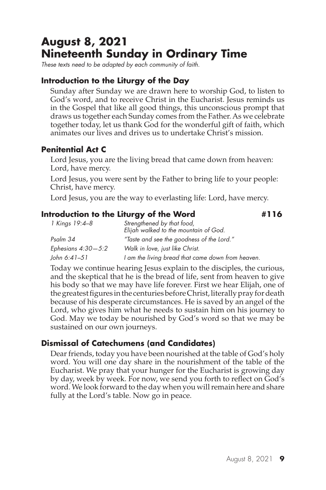# **August 8, 2021 Nineteenth Sunday in Ordinary Time**

*These texts need to be adapted by each community of faith.*

### **Introduction to the Liturgy of the Day**

Sunday after Sunday we are drawn here to worship God, to listen to God's word, and to receive Christ in the Eucharist. Jesus reminds us in the Gospel that like all good things, this unconscious prompt that draws us together each Sunday comes from the Father. As we celebrate together today, let us thank God for the wonderful gift of faith, which animates our lives and drives us to undertake Christ's mission.

#### **Penitential Act C**

Lord Jesus, you are the living bread that came down from heaven: Lord, have mercy.

Lord Jesus, you were sent by the Father to bring life to your people: Christ, have mercy.

Lord Jesus, you are the way to everlasting life: Lord, have mercy.

#### **Introduction to the Liturgy of the Word #116**

| 1 Kings 19:4-8       | Strengthened by that food,<br>Elijah walked to the mountain of God. |
|----------------------|---------------------------------------------------------------------|
| Psalm 34             | "Taste and see the goodness of the Lord."                           |
| Ephesians $4:30-5:2$ | Walk in love, just like Christ.                                     |
| John 6:41–51         | I am the living bread that came down from heaven.                   |

Today we continue hearing Jesus explain to the disciples, the curious, and the skeptical that he is the bread of life, sent from heaven to give his body so that we may have life forever. First we hear Elijah, one of the greatest figures in the centuries before Christ, literally pray for death because of his desperate circumstances. He is saved by an angel of the Lord, who gives him what he needs to sustain him on his journey to God. May we today be nourished by God's word so that we may be sustained on our own journeys.

# **Dismissal of Catechumens (and Candidates)**

Dear friends, today you have been nourished at the table of God's holy word. You will one day share in the nourishment of the table of the Eucharist. We pray that your hunger for the Eucharist is growing day by day, week by week. For now, we send you forth to reflect on God's word. We look forward to the day when you will remain here and share fully at the Lord's table. Now go in peace.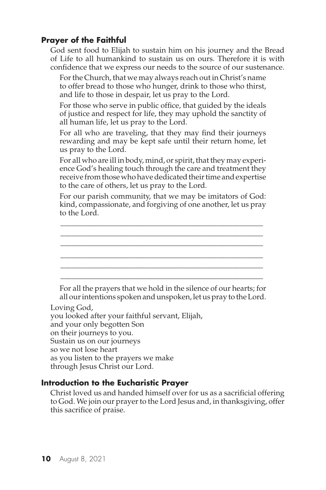God sent food to Elijah to sustain him on his journey and the Bread of Life to all humankind to sustain us on ours. Therefore it is with confidence that we express our needs to the source of our sustenance.

For the Church, that we may always reach out in Christ's name to offer bread to those who hunger, drink to those who thirst, and life to those in despair, let us pray to the Lord.

For those who serve in public office, that guided by the ideals of justice and respect for life, they may uphold the sanctity of all human life, let us pray to the Lord.

For all who are traveling, that they may find their journeys rewarding and may be kept safe until their return home, let us pray to the Lord.

For all who are ill in body, mind, or spirit, that they may experience God's healing touch through the care and treatment they receive from those who have dedicated their time and expertise to the care of others, let us pray to the Lord.

For our parish community, that we may be imitators of God: kind, compassionate, and forgiving of one another, let us pray to the Lord.

\_\_\_\_\_\_\_\_\_\_\_\_\_\_\_\_\_\_\_\_\_\_\_\_\_\_\_\_\_\_\_\_\_\_\_\_\_\_\_\_\_\_\_\_\_\_\_\_\_\_\_\_\_ \_\_\_\_\_\_\_\_\_\_\_\_\_\_\_\_\_\_\_\_\_\_\_\_\_\_\_\_\_\_\_\_\_\_\_\_\_\_\_\_\_\_\_\_\_\_\_\_\_\_\_\_\_ \_\_\_\_\_\_\_\_\_\_\_\_\_\_\_\_\_\_\_\_\_\_\_\_\_\_\_\_\_\_\_\_\_\_\_\_\_\_\_\_\_\_\_\_\_\_\_\_\_\_\_\_\_ \_\_\_\_\_\_\_\_\_\_\_\_\_\_\_\_\_\_\_\_\_\_\_\_\_\_\_\_\_\_\_\_\_\_\_\_\_\_\_\_\_\_\_\_\_\_\_\_\_\_\_\_\_ \_\_\_\_\_\_\_\_\_\_\_\_\_\_\_\_\_\_\_\_\_\_\_\_\_\_\_\_\_\_\_\_\_\_\_\_\_\_\_\_\_\_\_\_\_\_\_\_\_\_\_\_\_ \_\_\_\_\_\_\_\_\_\_\_\_\_\_\_\_\_\_\_\_\_\_\_\_\_\_\_\_\_\_\_\_\_\_\_\_\_\_\_\_\_\_\_\_\_\_\_\_\_\_\_\_\_

For all the prayers that we hold in the silence of our hearts; for all our intentions spoken and unspoken, let us pray to the Lord.

#### Loving God,

you looked after your faithful servant, Elijah, and your only begotten Son on their journeys to you. Sustain us on our journeys so we not lose heart as you listen to the prayers we make through Jesus Christ our Lord.

#### **Introduction to the Eucharistic Prayer**

Christ loved us and handed himself over for us as a sacrificial offering to God. We join our prayer to the Lord Jesus and, in thanksgiving, offer this sacrifice of praise.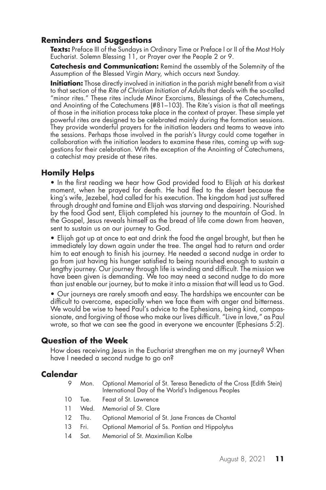### **Reminders and Suggestions**

**Texts:** Preface III of the Sundays in Ordinary Time or Preface I or II of the Most Holy Eucharist. Solemn Blessing 11, or Prayer over the People 2 or 9.

**Catechesis and Communication:** Remind the assembly of the Solemnity of the Assumption of the Blessed Virgin Mary, which occurs next Sunday.

**Initiation:** Those directly involved in initiation in the parish might benefit from a visit to that section of the *Rite of Christian Initiation of Adults* that deals with the so-called "minor rites." These rites include Minor Exorcisms, Blessings of the Catechumens, and Anointing of the Catechumens (#81–103). The Rite's vision is that all meetings of those in the initiation process take place in the context of prayer. These simple yet powerful rites are designed to be celebrated mainly during the formation sessions. They provide wonderful prayers for the initiation leaders and teams to weave into the sessions. Perhaps those involved in the parish's liturgy could come together in collaboration with the initiation leaders to examine these rites, coming up with suggestions for their celebration. With the exception of the Anointing of Catechumens, a catechist may preside at these rites.

#### **Homily Helps**

• In the first reading we hear how God provided food to Elijah at his darkest moment, when he prayed for death. He had fled to the desert because the king's wife, Jezebel, had called for his execution. The kingdom had just suffered through drought and famine and Elijah was starving and despairing. Nourished by the food God sent, Elijah completed his journey to the mountain of God. In the Gospel, Jesus reveals himself as the bread of life come down from heaven, sent to sustain us on our journey to God.

• Elijah got up at once to eat and drink the food the angel brought, but then he immediately lay down again under the tree. The angel had to return and order him to eat enough to finish his journey. He needed a second nudge in order to go from just having his hunger satisfied to being nourished enough to sustain a lengthy journey. Our journey through life is winding and difficult. The mission we have been given is demanding. We too may need a second nudge to do more than just enable our journey, but to make it into a mission that will lead us to God.

• Our journeys are rarely smooth and easy. The hardships we encounter can be difficult to overcome, especially when we face them with anger and bitterness. We would be wise to heed Paul's advice to the Ephesians, being kind, compassionate, and forgiving of those who make our lives difficult. "Live in love," as Paul wrote, so that we can see the good in everyone we encounter (Ephesians 5:2).

#### **Question of the Week**

How does receiving Jesus in the Eucharist strengthen me on my journey? When have I needed a second nudge to go on?

- 9 Mon. Optional Memorial of St. Teresa Benedicta of the Cross (Edith Stein) International Day of the World's Indigenous Peoples
- 10 Tue. Feast of St. Lawrence
- 11 Wed. Memorial of St. Clare
- 12 Thu. Optional Memorial of St. Jane Frances de Chantal
- 13 Fri. Optional Memorial of Ss. Pontian and Hippolytus
- 14 Sat. Memorial of St. Maximilian Kolbe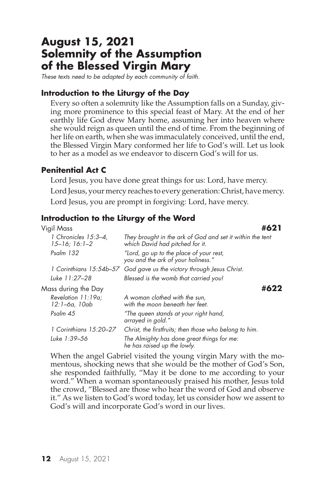# **August 15, 2021 Solemnity of the Assumption of the Blessed Virgin Mary**

*These texts need to be adapted by each community of faith.*

#### **Introduction to the Liturgy of the Day**

Every so often a solemnity like the Assumption falls on a Sunday, giving more prominence to this special feast of Mary. At the end of her earthly life God drew Mary home, assuming her into heaven where she would reign as queen until the end of time. From the beginning of her life on earth, when she was immaculately conceived, until the end, the Blessed Virgin Mary conformed her life to God's will. Let us look to her as a model as we endeavor to discern God's will for us.

#### **Penitential Act C**

Lord Jesus, you have done great things for us: Lord, have mercy. Lord Jesus, your mercy reaches to every generation: Christ, have mercy. Lord Jesus, you are prompt in forgiving: Lord, have mercy.

#### **Introduction to the Liturgy of the Word**

| Vigil Mass                                     |                                                                                              |      |
|------------------------------------------------|----------------------------------------------------------------------------------------------|------|
| 1 Chronicles 15:3-4,<br>$15 - 16$ ; $16$ : 1-2 | They brought in the ark of God and set it within the tent<br>which David had pitched for it. |      |
| Psalm 132                                      | "Lord, go up to the place of your rest,<br>you and the ark of your holiness."                |      |
| 1 Corinthians 15:54b–57                        | God gave us the victory through Jesus Christ.                                                |      |
| Luke 11:27-28                                  | Blessed is the womb that carried you!                                                        |      |
| Mass during the Day                            |                                                                                              | #622 |
| Revelation 11:19a;<br>12:1–6a, 10ab            | A woman clothed with the sun,<br>with the moon beneath her feet.                             |      |
| Psalm 45                                       | "The queen stands at your right hand,<br>arrayed in gold."                                   |      |
| 1 Corinthians 15:20–27                         | Christ, the firstfruits; then those who belong to him.                                       |      |
| Luke 1:39–56                                   | The Almighty has done great things for me:<br>he has raised up the lowly.                    |      |

When the angel Gabriel visited the young virgin Mary with the momentous, shocking news that she would be the mother of God's Son, she responded faithfully, "May it be done to me according to your word." When a woman spontaneously praised his mother, Jesus told the crowd, "Blessed are those who hear the word of God and observe it." As we listen to God's word today, let us consider how we assent to God's will and incorporate God's word in our lives.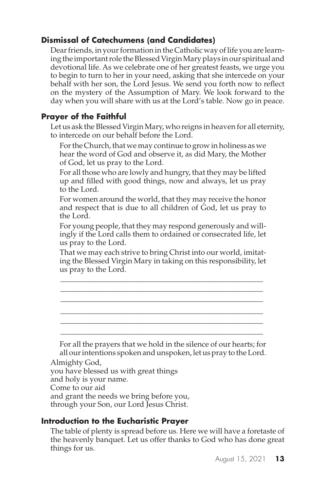# **Dismissal of Catechumens (and Candidates)**

Dear friends, in your formation in the Catholic way of life you are learning the important role the Blessed Virgin Mary plays in our spiritual and devotional life. As we celebrate one of her greatest feasts, we urge you to begin to turn to her in your need, asking that she intercede on your behalf with her son, the Lord Jesus. We send you forth now to reflect on the mystery of the Assumption of Mary. We look forward to the day when you will share with us at the Lord's table. Now go in peace.

# **Prayer of the Faithful**

Let us ask the Blessed Virgin Mary, who reigns in heaven for all eternity, to intercede on our behalf before the Lord.

For the Church, that we may continue to grow in holiness as we hear the word of God and observe it, as did Mary, the Mother of God, let us pray to the Lord.

For all those who are lowly and hungry, that they may be lifted up and filled with good things, now and always, let us pray to the Lord.

For women around the world, that they may receive the honor and respect that is due to all children of God, let us pray to the Lord.

For young people, that they may respond generously and willingly if the Lord calls them to ordained or consecrated life, let us pray to the Lord.

That we may each strive to bring Christ into our world, imitating the Blessed Virgin Mary in taking on this responsibility, let us pray to the Lord.

\_\_\_\_\_\_\_\_\_\_\_\_\_\_\_\_\_\_\_\_\_\_\_\_\_\_\_\_\_\_\_\_\_\_\_\_\_\_\_\_\_\_\_\_\_\_\_\_\_\_\_\_\_ \_\_\_\_\_\_\_\_\_\_\_\_\_\_\_\_\_\_\_\_\_\_\_\_\_\_\_\_\_\_\_\_\_\_\_\_\_\_\_\_\_\_\_\_\_\_\_\_\_\_\_\_\_ \_\_\_\_\_\_\_\_\_\_\_\_\_\_\_\_\_\_\_\_\_\_\_\_\_\_\_\_\_\_\_\_\_\_\_\_\_\_\_\_\_\_\_\_\_\_\_\_\_\_\_\_\_ \_\_\_\_\_\_\_\_\_\_\_\_\_\_\_\_\_\_\_\_\_\_\_\_\_\_\_\_\_\_\_\_\_\_\_\_\_\_\_\_\_\_\_\_\_\_\_\_\_\_\_\_\_ \_\_\_\_\_\_\_\_\_\_\_\_\_\_\_\_\_\_\_\_\_\_\_\_\_\_\_\_\_\_\_\_\_\_\_\_\_\_\_\_\_\_\_\_\_\_\_\_\_\_\_\_\_ \_\_\_\_\_\_\_\_\_\_\_\_\_\_\_\_\_\_\_\_\_\_\_\_\_\_\_\_\_\_\_\_\_\_\_\_\_\_\_\_\_\_\_\_\_\_\_\_\_\_\_\_\_

For all the prayers that we hold in the silence of our hearts; for all our intentions spoken and unspoken, let us pray to the Lord.

Almighty God,

you have blessed us with great things

and holy is your name.

Come to our aid

and grant the needs we bring before you,

through your Son, our Lord Jesus Christ.

# **Introduction to the Eucharistic Prayer**

The table of plenty is spread before us. Here we will have a foretaste of the heavenly banquet. Let us offer thanks to God who has done great things for us.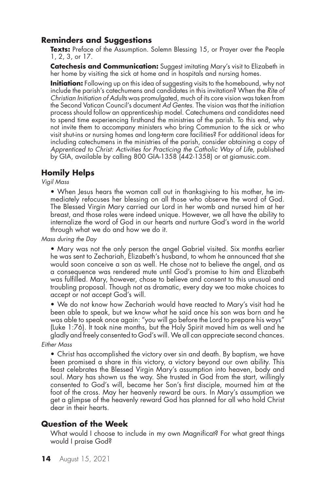### **Reminders and Suggestions**

**Texts:** Preface of the Assumption. Solemn Blessing 15, or Prayer over the People 1, 2, 3, or 17.

**Catechesis and Communication:** Suggest imitating Mary's visit to Elizabeth in her home by visiting the sick at home and in hospitals and nursing homes.

**Initiation:** Following up on this idea of suggesting visits to the homebound, why not include the parish's catechumens and candidates in this invitation? When the *Rite of Christian Initiation of Adults* was promulgated, much of its core vision was taken from the Second Vatican Council's document *Ad Gentes*. The vision was that the initiation process should follow an apprenticeship model. Catechumens and candidates need to spend time experiencing firsthand the ministries of the parish. To this end, why not invite them to accompany ministers who bring Communion to the sick or who visit shut-ins or nursing homes and long-term care facilities? For additional ideas for including catechumens in the ministries of the parish, consider obtaining a copy of *Apprenticed to Christ: Activities for Practicing the Catholic Way of Life*, published by GIA, available by calling 800 GIA-1358 (442-1358) or at giamusic.com.

### **Homily Helps**

*Vigil Mass*

• When Jesus hears the woman call out in thanksgiving to his mother, he immediately refocuses her blessing on all those who observe the word of God. The Blessed Virgin Mary carried our Lord in her womb and nursed him at her breast, and those roles were indeed unique. However, we all have the ability to internalize the word of God in our hearts and nurture God's word in the world through what we do and how we do it.

*Mass during the Day*

• Mary was not the only person the angel Gabriel visited. Six months earlier he was sent to Zechariah, Elizabeth's husband, to whom he announced that she would soon conceive a son as well. He chose not to believe the angel, and as a consequence was rendered mute until God's promise to him and Elizabeth was fulfilled. Mary, however, chose to believe and consent to this unusual and troubling proposal. Though not as dramatic, every day we too make choices to accept or not accept God's will.

• We do not know how Zechariah would have reacted to Mary's visit had he been able to speak, but we know what he said once his son was born and he was able to speak once again: "you will go before the Lord to prepare his ways" (Luke 1:76). It took nine months, but the Holy Spirit moved him as well and he gladly and freely consented to God's will. We all can appreciate second chances.

#### *Either Mass*

• Christ has accomplished the victory over sin and death. By baptism, we have been promised a share in this victory, a victory beyond our own ability. This feast celebrates the Blessed Virgin Mary's assumption into heaven, body and soul. Mary has shown us the way. She trusted in God from the start, willingly consented to God's will, became her Son's first disciple, mourned him at the foot of the cross. May her heavenly reward be ours. In Mary's assumption we get a glimpse of the heavenly reward God has planned for all who hold Christ dear in their hearts.

#### **Question of the Week**

What would I choose to include in my own Magnificat? For what great things would I praise God?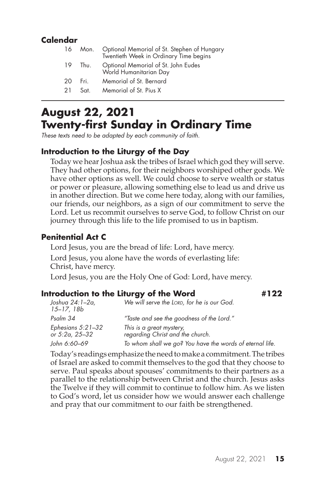# **Calendar**

|    |      | 16 Mon. Optional Memorial of St. Stephen of Hungary<br>Twentieth Week in Ordinary Time begins |
|----|------|-----------------------------------------------------------------------------------------------|
| 19 | Thu. | Optional Memorial of St. John Eudes<br>World Humanitarian Day                                 |
| 20 | Fri. | Memorial of St. Bernard                                                                       |
| 21 | Sat. | Memorial of St. Pius X                                                                        |
|    |      |                                                                                               |

# **August 22, 2021 Twenty-first Sunday in Ordinary Time**

*These texts need to be adapted by each community of faith.*

# **Introduction to the Liturgy of the Day**

Today we hear Joshua ask the tribes of Israel which god they will serve. They had other options, for their neighbors worshiped other gods. We have other options as well. We could choose to serve wealth or status or power or pleasure, allowing something else to lead us and drive us in another direction. But we come here today, along with our families, our friends, our neighbors, as a sign of our commitment to serve the Lord. Let us recommit ourselves to serve God, to follow Christ on our journey through this life to the life promised to us in baptism.

#### **Penitential Act C**

Lord Jesus, you are the bread of life: Lord, have mercy. Lord Jesus, you alone have the words of everlasting life: Christ, have mercy. Lord Jesus, you are the Holy One of God: Lord, have mercy.

#### **Introduction to the Liturgy of the Word #122**

| Joshua 24:1–2a,<br>$15 - 17, 18b$   | We will serve the LORD, for he is our God.                   |  |
|-------------------------------------|--------------------------------------------------------------|--|
| Psalm 34                            | "Taste and see the goodness of the Lord."                    |  |
| Ephesians 5:21–32<br>or 5:2a, 25–32 | This is a great mystery,<br>regarding Christ and the church. |  |
| John 6:60–69                        | To whom shall we go? You have the words of eternal life.     |  |

Today's readings emphasize the need to make a commitment. The tribes of Israel are asked to commit themselves to the god that they choose to serve. Paul speaks about spouses' commitments to their partners as a parallel to the relationship between Christ and the church. Jesus asks the Twelve if they will commit to continue to follow him. As we listen to God's word, let us consider how we would answer each challenge and pray that our commitment to our faith be strengthened.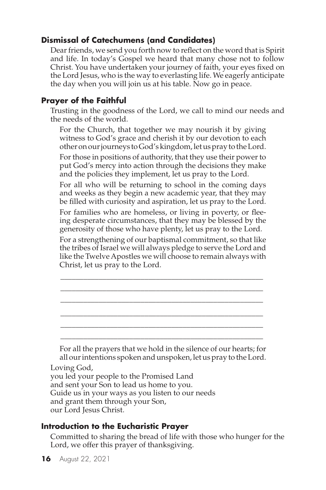# **Dismissal of Catechumens (and Candidates)**

Dear friends, we send you forth now to reflect on the word that is Spirit and life. In today's Gospel we heard that many chose not to follow Christ. You have undertaken your journey of faith, your eyes fixed on the Lord Jesus, who is the way to everlasting life. We eagerly anticipate the day when you will join us at his table. Now go in peace.

# **Prayer of the Faithful**

Trusting in the goodness of the Lord, we call to mind our needs and the needs of the world.

For the Church, that together we may nourish it by giving witness to God's grace and cherish it by our devotion to each other on our journeys to God's kingdom, let us pray to the Lord.

For those in positions of authority, that they use their power to put God's mercy into action through the decisions they make and the policies they implement, let us pray to the Lord.

For all who will be returning to school in the coming days and weeks as they begin a new academic year, that they may be filled with curiosity and aspiration, let us pray to the Lord.

For families who are homeless, or living in poverty, or fleeing desperate circumstances, that they may be blessed by the generosity of those who have plenty, let us pray to the Lord.

For a strengthening of our baptismal commitment, so that like the tribes of Israel we will always pledge to serve the Lord and like the Twelve Apostles we will choose to remain always with Christ, let us pray to the Lord.

\_\_\_\_\_\_\_\_\_\_\_\_\_\_\_\_\_\_\_\_\_\_\_\_\_\_\_\_\_\_\_\_\_\_\_\_\_\_\_\_\_\_\_\_\_\_\_\_\_\_\_\_\_ \_\_\_\_\_\_\_\_\_\_\_\_\_\_\_\_\_\_\_\_\_\_\_\_\_\_\_\_\_\_\_\_\_\_\_\_\_\_\_\_\_\_\_\_\_\_\_\_\_\_\_\_\_ \_\_\_\_\_\_\_\_\_\_\_\_\_\_\_\_\_\_\_\_\_\_\_\_\_\_\_\_\_\_\_\_\_\_\_\_\_\_\_\_\_\_\_\_\_\_\_\_\_\_\_\_\_ \_\_\_\_\_\_\_\_\_\_\_\_\_\_\_\_\_\_\_\_\_\_\_\_\_\_\_\_\_\_\_\_\_\_\_\_\_\_\_\_\_\_\_\_\_\_\_\_\_\_\_\_\_ \_\_\_\_\_\_\_\_\_\_\_\_\_\_\_\_\_\_\_\_\_\_\_\_\_\_\_\_\_\_\_\_\_\_\_\_\_\_\_\_\_\_\_\_\_\_\_\_\_\_\_\_\_ \_\_\_\_\_\_\_\_\_\_\_\_\_\_\_\_\_\_\_\_\_\_\_\_\_\_\_\_\_\_\_\_\_\_\_\_\_\_\_\_\_\_\_\_\_\_\_\_\_\_\_\_\_

For all the prayers that we hold in the silence of our hearts; for all our intentions spoken and unspoken, let us pray to the Lord.

#### Loving God,

you led your people to the Promised Land and sent your Son to lead us home to you. Guide us in your ways as you listen to our needs and grant them through your Son, our Lord Jesus Christ.

# **Introduction to the Eucharistic Prayer**

Committed to sharing the bread of life with those who hunger for the Lord, we offer this prayer of thanksgiving.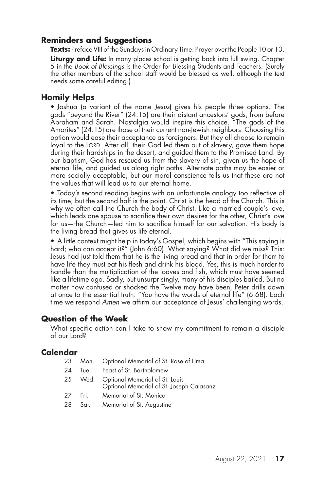#### **Reminders and Suggestions**

**Texts:** Preface VIII of the Sundays in Ordinary Time. Prayer over the People 10 or 13.

**Liturgy and Life:** In many places school is getting back into full swing. Chapter 5 in the *Book of Blessings* is the Order for Blessing Students and Teachers. (Surely the other members of the school staff would be blessed as well, although the text needs some careful editing.)

#### **Homily Helps**

• Joshua (a variant of the name *Jesus*) gives his people three options. The gods "beyond the River" (24:15) are their distant ancestors' gods, from before Abraham and Sarah. Nostalgia would inspire this choice. "The gods of the Amorites" (24:15) are those of their current non-Jewish neighbors. Choosing this option would ease their acceptance as foreigners. But they all choose to remain loyal to the LORD. After all, their God led them out of slavery, gave them hope during their hardships in the desert, and guided them to the Promised Land. By our baptism, God has rescued us from the slavery of sin, given us the hope of eternal life, and guided us along right paths. Alternate paths may be easier or more socially acceptable, but our moral conscience tells us that these are not the values that will lead us to our eternal home.

• Today's second reading begins with an unfortunate analogy too reflective of its time, but the second half is the point. Christ is the head of the Church. This is why we often call the Church the body of Christ. Like a married couple's love, which leads one spouse to sacrifice their own desires for the other, Christ's love for us—the Church—led him to sacrifice himself for our salvation. His body is the living bread that gives us life eternal.

• A little context might help in today's Gospel, which begins with "This saying is hard; who can accept it?" (John 6:60). What saying? What did we miss? This: Jesus had just told them that he is the living bread and that in order for them to have life they must eat his flesh and drink his blood. Yes, this is much harder to handle than the multiplication of the loaves and fish, which must have seemed like a lifetime ago. Sadly, but unsurprisingly, many of his disciples bailed. But no matter how confused or shocked the Twelve may have been, Peter drills down at once to the essential truth: "You have the words of eternal life" (6:68). Each time we respond *Amen* we affirm our acceptance of Jesus' challenging words.

#### **Question of the Week**

What specific action can I take to show my commitment to remain a disciple of our Lord?

- 23 Mon. Optional Memorial of St. Rose of Lima
- 24 Tue. Feast of St. Bartholomew
- 25 Wed. Optional Memorial of St. Louis Optional Memorial of St. Joseph Calasanz
- 27 Fri. Memorial of St. Monica
- 28 Sat. Memorial of St. Augustine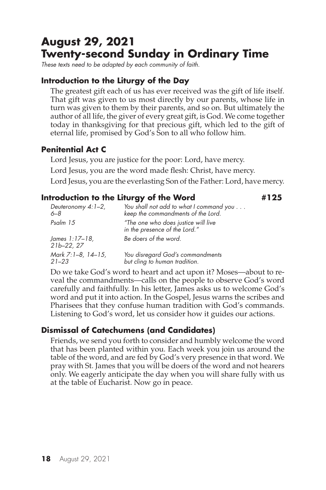# **August 29, 2021 Twenty-second Sunday in Ordinary Time**

*These texts need to be adapted by each community of faith.*

# **Introduction to the Liturgy of the Day**

The greatest gift each of us has ever received was the gift of life itself. That gift was given to us most directly by our parents, whose life in turn was given to them by their parents, and so on. But ultimately the author of all life, the giver of every great gift, is God. We come together today in thanksgiving for that precious gift, which led to the gift of eternal life, promised by God's Son to all who follow him.

# **Penitential Act C**

Lord Jesus, you are justice for the poor: Lord, have mercy. Lord Jesus, you are the word made flesh: Christ, have mercy. Lord Jesus, you are the everlasting Son of the Father: Lord, have mercy.

### **Introduction to the Liturgy of the Word #125**

*Deuteronomy 4:1–2, You shall not add to what I command you . . . 6–8 keep the commandments of the Lord. Psalm 15 "The one who does justice will live in the presence of the Lord." James 1:17–18, Be doers of the word. 21b–22, 27 Mark 7:1–8, 14–15, You disregard God's commandments 21–23 but cling to human tradition.*

Do we take God's word to heart and act upon it? Moses—about to reveal the commandments—calls on the people to observe God's word carefully and faithfully. In his letter, James asks us to welcome God's word and put it into action. In the Gospel, Jesus warns the scribes and Pharisees that they confuse human tradition with God's commands. Listening to God's word, let us consider how it guides our actions.

# **Dismissal of Catechumens (and Candidates)**

Friends, we send you forth to consider and humbly welcome the word that has been planted within you. Each week you join us around the table of the word, and are fed by God's very presence in that word. We pray with St. James that you will be doers of the word and not hearers only. We eagerly anticipate the day when you will share fully with us at the table of Eucharist. Now go in peace.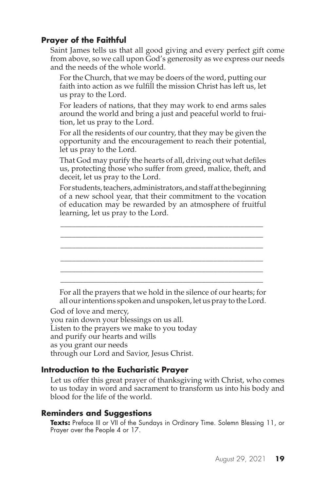Saint James tells us that all good giving and every perfect gift come from above, so we call upon God's generosity as we express our needs and the needs of the whole world.

For the Church, that we may be doers of the word, putting our faith into action as we fulfill the mission Christ has left us, let us pray to the Lord.

For leaders of nations, that they may work to end arms sales around the world and bring a just and peaceful world to fruition, let us pray to the Lord.

For all the residents of our country, that they may be given the opportunity and the encouragement to reach their potential, let us pray to the Lord.

That God may purify the hearts of all, driving out what defiles us, protecting those who suffer from greed, malice, theft, and deceit, let us pray to the Lord.

For students, teachers, administrators, and staff at the beginning of a new school year, that their commitment to the vocation of education may be rewarded by an atmosphere of fruitful learning, let us pray to the Lord.

\_\_\_\_\_\_\_\_\_\_\_\_\_\_\_\_\_\_\_\_\_\_\_\_\_\_\_\_\_\_\_\_\_\_\_\_\_\_\_\_\_\_\_\_\_\_\_\_\_\_\_\_\_ \_\_\_\_\_\_\_\_\_\_\_\_\_\_\_\_\_\_\_\_\_\_\_\_\_\_\_\_\_\_\_\_\_\_\_\_\_\_\_\_\_\_\_\_\_\_\_\_\_\_\_\_\_ \_\_\_\_\_\_\_\_\_\_\_\_\_\_\_\_\_\_\_\_\_\_\_\_\_\_\_\_\_\_\_\_\_\_\_\_\_\_\_\_\_\_\_\_\_\_\_\_\_\_\_\_\_ \_\_\_\_\_\_\_\_\_\_\_\_\_\_\_\_\_\_\_\_\_\_\_\_\_\_\_\_\_\_\_\_\_\_\_\_\_\_\_\_\_\_\_\_\_\_\_\_\_\_\_\_\_ \_\_\_\_\_\_\_\_\_\_\_\_\_\_\_\_\_\_\_\_\_\_\_\_\_\_\_\_\_\_\_\_\_\_\_\_\_\_\_\_\_\_\_\_\_\_\_\_\_\_\_\_\_ \_\_\_\_\_\_\_\_\_\_\_\_\_\_\_\_\_\_\_\_\_\_\_\_\_\_\_\_\_\_\_\_\_\_\_\_\_\_\_\_\_\_\_\_\_\_\_\_\_\_\_\_\_

For all the prayers that we hold in the silence of our hearts; for all our intentions spoken and unspoken, let us pray to the Lord.

God of love and mercy,

you rain down your blessings on us all. Listen to the prayers we make to you today and purify our hearts and wills as you grant our needs through our Lord and Savior, Jesus Christ.

#### **Introduction to the Eucharistic Prayer**

Let us offer this great prayer of thanksgiving with Christ, who comes to us today in word and sacrament to transform us into his body and blood for the life of the world.

#### **Reminders and Suggestions**

**Texts:** Preface III or VII of the Sundays in Ordinary Time. Solemn Blessing 11, or Prayer over the People 4 or 17.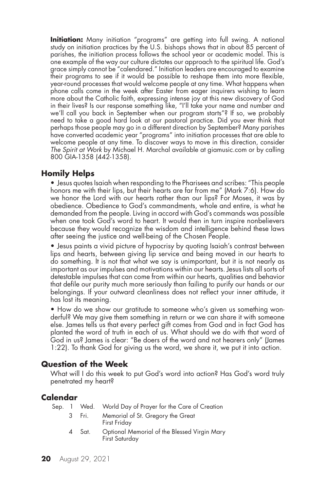**Initiation:** Many initiation "programs" are getting into full swing. A national study on initiation practices by the U.S. bishops shows that in about 85 percent of parishes, the initiation process follows the school year or academic model. This is one example of the way our culture dictates our approach to the spiritual life. God's grace simply cannot be "calendared." Initiation leaders are encouraged to examine their programs to see if it would be possible to reshape them into more flexible, year-round processes that would welcome people at any time. What happens when phone calls come in the week after Easter from eager inquirers wishing to learn more about the Catholic faith, expressing intense joy at this new discovery of God in their lives? Is our response something like, "I'll take your name and number and we'll call you back in September when our program starts"? If so, we probably need to take a good hard look at our pastoral practice. Did you ever think that perhaps those people may go in a different direction by September? Many parishes have converted academic year "programs" into initiation processes that are able to welcome people at any time. To discover ways to move in this direction, consider *The Spirit at Work* by Michael H. Marchal available at giamusic.com or by calling 800 GIA-1358 (442-1358).

#### **Homily Helps**

• Jesus quotes Isaiah when responding to the Pharisees and scribes: "This people honors me with their lips, but their hearts are far from me" (Mark 7:6). How do we honor the Lord with our hearts rather than our lips? For Moses, it was by obedience. Obedience to God's commandments, whole and entire, is what he demanded from the people. Living in accord with God's commands was possible when one took God's word to heart. It would then in turn inspire nonbelievers because they would recognize the wisdom and intelligence behind these laws after seeing the justice and well-being of the Chosen People.

• Jesus paints a vivid picture of hypocrisy by quoting Isaiah's contrast between lips and hearts, between giving lip service and being moved in our hearts to do something. It is not that what we say is unimportant, but it is not nearly as important as our impulses and motivations within our hearts. Jesus lists all sorts of detestable impulses that can come from within our hearts, qualities and behavior that defile our purity much more seriously than failing to purify our hands or our belongings. If your outward cleanliness does not reflect your inner attitude, it has lost its meaning.

• How do we show our gratitude to someone who's given us something wonderful? We may give them something in return or we can share it with someone else. James tells us that every perfect gift comes from God and in fact God has planted the word of truth in each of us. What should we do with that word of God in us? James is clear: "Be doers of the word and not hearers only" (James 1:22). To thank God for giving us the word, we share it, we put it into action.

#### **Question of the Week**

What will I do this week to put God's word into action? Has God's word truly penetrated my heart?

| Sep. 1 |   |        | Wed. World Day of Prayer for the Care of Creation              |
|--------|---|--------|----------------------------------------------------------------|
|        | 3 | - Fri. | Memorial of St. Gregory the Great<br>First Friday              |
|        |   | Sat.   | Optional Memorial of the Blessed Virgin Mary<br>First Saturday |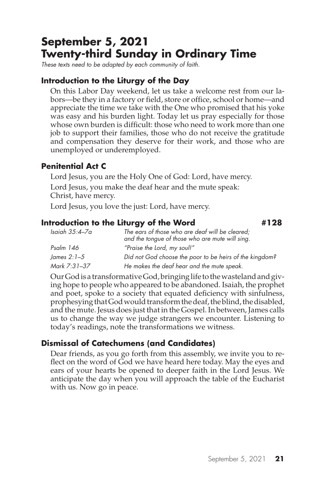# **September 5, 2021 Twenty-third Sunday in Ordinary Time**

*These texts need to be adapted by each community of faith.*

# **Introduction to the Liturgy of the Day**

On this Labor Day weekend, let us take a welcome rest from our labors—be they in a factory or field, store or office, school or home—and appreciate the time we take with the One who promised that his yoke was easy and his burden light. Today let us pray especially for those whose own burden is difficult: those who need to work more than one job to support their families, those who do not receive the gratitude and compensation they deserve for their work, and those who are unemployed or underemployed.

# **Penitential Act C**

Lord Jesus, you are the Holy One of God: Lord, have mercy. Lord Jesus, you make the deaf hear and the mute speak: Christ, have mercy.

Lord Jesus, you love the just: Lord, have mercy.

# **Introduction to the Liturgy of the Word #128**

| Isaiah 35:4–7a | The ears of those who are deaf will be cleared;<br>and the tongue of those who are mute will sing. |
|----------------|----------------------------------------------------------------------------------------------------|
| Psalm 146      | "Praise the Lord, my soul!"                                                                        |
| James 2:1–5    | Did not God choose the poor to be heirs of the kingdom?                                            |
| Mark 7:31–37   | He makes the deaf hear and the mute speak.                                                         |

Our God is a transformative God, bringing life to the wasteland and giving hope to people who appeared to be abandoned. Isaiah, the prophet and poet, spoke to a society that equated deficiency with sinfulness, prophesying that God would transform the deaf, the blind, the disabled, and the mute. Jesus does just that in the Gospel. In between, James calls us to change the way we judge strangers we encounter. Listening to today's readings, note the transformations we witness.

# **Dismissal of Catechumens (and Candidates)**

Dear friends, as you go forth from this assembly, we invite you to reflect on the word of God we have heard here today. May the eyes and ears of your hearts be opened to deeper faith in the Lord Jesus. We anticipate the day when you will approach the table of the Eucharist with us. Now go in peace.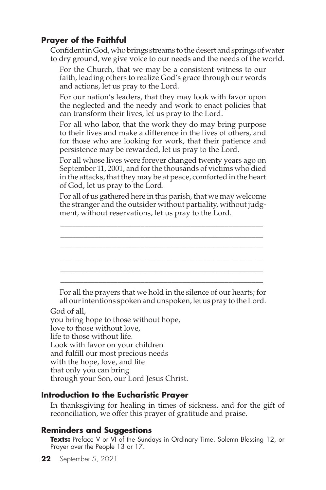Confident in God, who brings streams to the desert and springs of water to dry ground, we give voice to our needs and the needs of the world.

For the Church, that we may be a consistent witness to our faith, leading others to realize God's grace through our words and actions, let us pray to the Lord.

For our nation's leaders, that they may look with favor upon the neglected and the needy and work to enact policies that can transform their lives, let us pray to the Lord.

For all who labor, that the work they do may bring purpose to their lives and make a difference in the lives of others, and for those who are looking for work, that their patience and persistence may be rewarded, let us pray to the Lord.

For all whose lives were forever changed twenty years ago on September 11, 2001, and for the thousands of victims who died in the attacks, that they may be at peace, comforted in the heart of God, let us pray to the Lord.

For all of us gathered here in this parish, that we may welcome the stranger and the outsider without partiality, without judgment, without reservations, let us pray to the Lord.



For all the prayers that we hold in the silence of our hearts; for all our intentions spoken and unspoken, let us pray to the Lord.

#### God of all,

you bring hope to those without hope, love to those without love, life to those without life. Look with favor on your children and fulfill our most precious needs with the hope, love, and life that only you can bring through your Son, our Lord Jesus Christ.

#### **Introduction to the Eucharistic Prayer**

In thanksgiving for healing in times of sickness, and for the gift of reconciliation, we offer this prayer of gratitude and praise.

# **Reminders and Suggestions**

**Texts:** Preface V or VI of the Sundays in Ordinary Time. Solemn Blessing 12, or Prayer over the People 13 or 17.

**22** September 5, 2021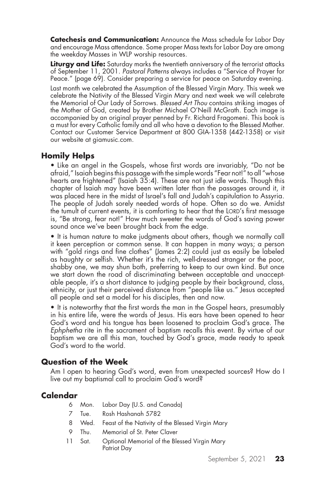**Catechesis and Communication:** Announce the Mass schedule for Labor Day and encourage Mass attendance. Some proper Mass texts for Labor Day are among the weekday Masses in WLP worship resources.

Liturgy and Life: Saturday marks the twentieth anniversary of the terrorist attacks of September 11, 2001. *Pastoral Patterns* always includes a "Service of Prayer for Peace." (page 69). Consider preparing a service for peace on Saturday evening.

Last month we celebrated the Assumption of the Blessed Virgin Mary. This week we celebrate the Nativity of the Blessed Virgin Mary and next week we will celebrate the Memorial of Our Lady of Sorrows. *Blessed Art Thou* contains striking images of the Mother of God, created by Brother Michael O'Neill McGrath. Each image is accompanied by an original prayer penned by Fr. Richard Fragomeni. This book is a must for every Catholic family and all who have a devotion to the Blessed Mother. Contact our Customer Service Department at 800 GIA-1358 (442-1358) or visit our website at giamusic.com.

# **Homily Helps**

• Like an angel in the Gospels, whose first words are invariably, "Do not be afraid," Isaiah begins this passage with the simple words "Fear not!" to all "whose hearts are frightened" (Isaiah 35:4). These are not just idle words. Though this chapter of Isaiah may have been written later than the passages around it, it was placed here in the midst of Israel's fall and Judah's capitulation to Assyria. The people of Judah sorely needed words of hope. Often so do we. Amidst the tumult of current events, it is comforting to hear that the LORD's first message is, "Be strong, fear not!" How much sweeter the words of God's saving power sound once we've been brought back from the edge.

• It is human nature to make judgments about others, though we normally call it keen perception or common sense. It can happen in many ways; a person with "gold rings and fine clothes" (James 2:2) could just as easily be labeled as haughty or selfish. Whether it's the rich, well-dressed stranger or the poor, shabby one, we may shun both, preferring to keep to our own kind. But once we start down the road of discriminating between acceptable and unacceptable people, it's a short distance to judging people by their background, class, ethnicity, or just their perceived distance from "people like us." Jesus accepted all people and set a model for his disciples, then and now.

• It is noteworthy that the first words the man in the Gospel hears, presumably in his entire life, were the words of Jesus. His ears have been opened to hear God's word and his tongue has been loosened to proclaim God's grace. The *Ephphetha* rite in the sacrament of baptism recalls this event. By virtue of our baptism we are all this man, touched by God's grace, made ready to speak God's word to the world.

#### **Question of the Week**

Am I open to hearing God's word, even from unexpected sources? How do I live out my baptismal call to proclaim God's word?

- 6 Mon. Labor Day (U.S. and Canada)
- 7 Tue. Rosh Hashanah 5782
- 8 Wed. Feast of the Nativity of the Blessed Virgin Mary
- 9 Thu. Memorial of St. Peter Claver
- 11 Sat. Optional Memorial of the Blessed Virgin Mary Patriot Day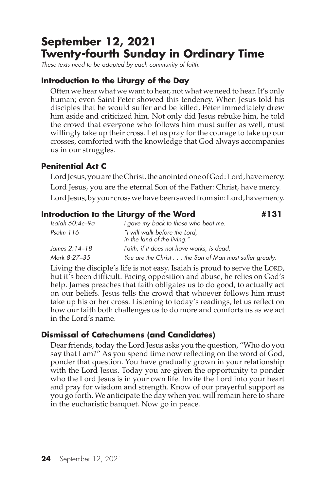# **September 12, 2021 Twenty-fourth Sunday in Ordinary Time**

*These texts need to be adapted by each community of faith.*

# **Introduction to the Liturgy of the Day**

Often we hear what we want to hear, not what we need to hear. It's only human; even Saint Peter showed this tendency. When Jesus told his disciples that he would suffer and be killed, Peter immediately drew him aside and criticized him. Not only did Jesus rebuke him, he told the crowd that everyone who follows him must suffer as well, must willingly take up their cross. Let us pray for the courage to take up our crosses, comforted with the knowledge that God always accompanies us in our struggles.

# **Penitential Act C**

Lord Jesus, you are the Christ, the anointed one of God: Lord, have mercy. Lord Jesus, you are the eternal Son of the Father: Christ, have mercy. Lord Jesus, by your cross we have been saved from sin: Lord, have mercy.

# **Introduction to the Liturgy of the Word #131**

| Isaiah 50:4c–9a | I gave my back to those who beat me.                         |
|-----------------|--------------------------------------------------------------|
| Psalm 116       | "I will walk before the Lord,<br>in the land of the living." |
| James 2:14–18   | Faith, if it does not have works, is dead.                   |
| Mark 8:27–35    | You are the Christ the Son of Man must suffer greatly.       |

Living the disciple's life is not easy. Isaiah is proud to serve the LORD, but it's been difficult. Facing opposition and abuse, he relies on God's help. James preaches that faith obligates us to do good, to actually act on our beliefs. Jesus tells the crowd that whoever follows him must take up his or her cross. Listening to today's readings, let us reflect on how our faith both challenges us to do more and comforts us as we act in the Lord's name.

# **Dismissal of Catechumens (and Candidates)**

Dear friends, today the Lord Jesus asks you the question, "Who do you say that I am?" As you spend time now reflecting on the word of God, ponder that question. You have gradually grown in your relationship with the Lord Jesus. Today you are given the opportunity to ponder who the Lord Jesus is in your own life. Invite the Lord into your heart and pray for wisdom and strength. Know of our prayerful support as you go forth. We anticipate the day when you will remain here to share in the eucharistic banquet. Now go in peace.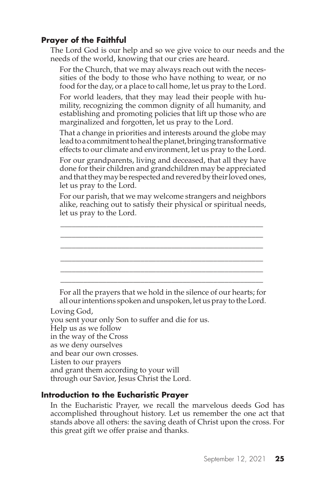The Lord God is our help and so we give voice to our needs and the needs of the world, knowing that our cries are heard.

For the Church, that we may always reach out with the necessities of the body to those who have nothing to wear, or no food for the day, or a place to call home, let us pray to the Lord.

For world leaders, that they may lead their people with humility, recognizing the common dignity of all humanity, and establishing and promoting policies that lift up those who are marginalized and forgotten, let us pray to the Lord.

That a change in priorities and interests around the globe may lead to a commitment to heal the planet, bringing transformative effects to our climate and environment, let us pray to the Lord.

For our grandparents, living and deceased, that all they have done for their children and grandchildren may be appreciated and that they may be respected and revered by their loved ones, let us pray to the Lord.

For our parish, that we may welcome strangers and neighbors alike, reaching out to satisfy their physical or spiritual needs, let us pray to the Lord.

\_\_\_\_\_\_\_\_\_\_\_\_\_\_\_\_\_\_\_\_\_\_\_\_\_\_\_\_\_\_\_\_\_\_\_\_\_\_\_\_\_\_\_\_\_\_\_\_\_\_\_\_\_ \_\_\_\_\_\_\_\_\_\_\_\_\_\_\_\_\_\_\_\_\_\_\_\_\_\_\_\_\_\_\_\_\_\_\_\_\_\_\_\_\_\_\_\_\_\_\_\_\_\_\_\_\_



For all the prayers that we hold in the silence of our hearts; for all our intentions spoken and unspoken, let us pray to the Lord.

Loving God,

you sent your only Son to suffer and die for us. Help us as we follow

in the way of the Cross

as we deny ourselves

and bear our own crosses.

Listen to our prayers

and grant them according to your will

through our Savior, Jesus Christ the Lord.

# **Introduction to the Eucharistic Prayer**

In the Eucharistic Prayer, we recall the marvelous deeds God has accomplished throughout history. Let us remember the one act that stands above all others: the saving death of Christ upon the cross. For this great gift we offer praise and thanks.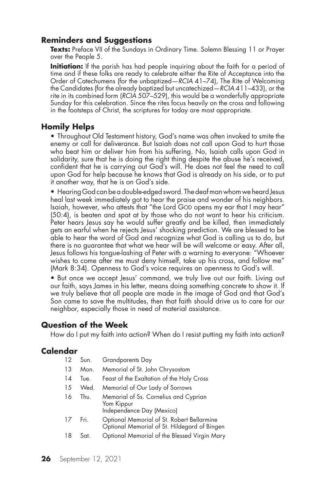### **Reminders and Suggestions**

**Texts:** Preface VII of the Sundays in Ordinary Time. Solemn Blessing 11 or Prayer over the People 5.

**Initiation:** If the parish has had people inquiring about the faith for a period of time and if these folks are ready to celebrate either the Rite of Acceptance into the Order of Catechumens (for the unbaptized—*RCIA* 41-74), The Rite of Welcoming the Candidates (for the already baptized but uncatechized—*RCIA* 411–433), or the rite in its combined form (*RCIA* 507–529), this would be a wonderfully appropriate Sunday for this celebration. Since the rites focus heavily on the cross and following in the footsteps of Christ, the scriptures for today are most appropriate.

### **Homily Helps**

• Throughout Old Testament history, God's name was often invoked to smite the enemy or call for deliverance. But Isaiah does not call upon God to hurt those who beat him or deliver him from his suffering. No, Isaiah calls upon God in solidarity, sure that he is doing the right thing despite the abuse he's received, confident that he is carrying out God's will. He does not feel the need to call upon God for help because he knows that God is already on his side, or to put it another way, that he is on God's side.

• Hearing God can be a double-edged sword. The deaf man whom we heard Jesus heal last week immediately got to hear the praise and wonder of his neighbors. Isaiah, however, who attests that "the Lord GOD opens my ear that I may hear" (50:4), is beaten and spat at by those who do not want to hear his criticism. Peter hears Jesus say he would suffer greatly and be killed, then immediately gets an earful when he rejects Jesus' shocking prediction. We are blessed to be able to hear the word of God and recognize what God is calling us to do, but there is no guarantee that what we hear will be will welcome or easy. After all, Jesus follows his tongue-lashing of Peter with a warning to everyone: "Whoever wishes to come after me must deny himself, take up his cross, and follow me" (Mark 8:34). Openness to God's voice requires an openness to God's will.

• But once we accept Jesus' command, we truly live out our faith. Living out our faith, says James in his letter, means doing something concrete to show it. If we truly believe that all people are made in the image of God and that God's Son came to save the multitudes, then that faith should drive us to care for our neighbor, especially those in need of material assistance.

#### **Question of the Week**

How do I put my faith into action? When do I resist putting my faith into action?

| 12 | Sun. | <b>Grandparents Day</b>                                                                    |
|----|------|--------------------------------------------------------------------------------------------|
| 13 | Mon. | Memorial of St. John Chrysostom                                                            |
| 14 | Tue. | Feast of the Exaltation of the Holy Cross                                                  |
| 15 | Wed. | Memorial of Our Lady of Sorrows                                                            |
| 16 | Thu. | Memorial of Ss. Cornelius and Cyprian<br>Yom Kippur<br>Independence Day (Mexico)           |
| 17 | Fri. | Optional Memorial of St. Robert Bellarmine<br>Optional Memorial of St. Hildegard of Bingen |
| 18 | Sat. | Optional Memorial of the Blessed Virgin Mary                                               |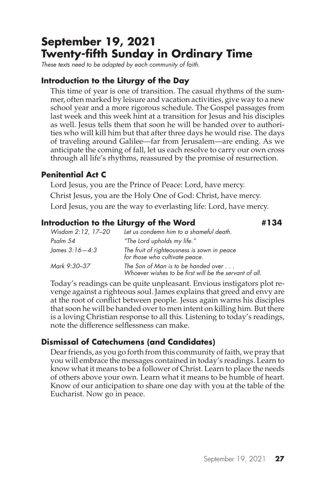# **September 19, 2021 Twenty-fifth Sunday in Ordinary Time**

*These texts need to be adapted by each community of faith.*

### **Introduction to the Liturgy of the Day**

This time of year is one of transition. The casual rhythms of the summer, often marked by leisure and vacation activities, give way to a new school year and a more rigorous schedule. The Gospel passages from last week and this week hint at a transition for Jesus and his disciples as well. Jesus tells them that soon he will be handed over to authorities who will kill him but that after three days he would rise. The days of traveling around Galilee—far from Jerusalem—are ending. As we anticipate the coming of fall, let us each resolve to carry our own cross through all life's rhythms, reassured by the promise of resurrection.

### **Penitential Act C**

Lord Jesus, you are the Prince of Peace: Lord, have mercy. Christ Jesus, you are the Holy One of God: Christ, have mercy. Lord Jesus, you are the way to everlasting life: Lord, have mercy.

#### **Introduction to the Liturgy of the Word #134**

*Wisdom 2:12, 17–20 Let us condemn him to a shameful death. Psalm 54 "The Lord upholds my life." James 3:16—4:3 The fruit of righteousness is sown in peace for those who cultivate peace. Mark 9:30–37 The Son of Man is to be handed over . . . Whoever wishes to be first will be the servant of all.*

Today's readings can be quite unpleasant. Envious instigators plot revenge against a righteous soul. James explains that greed and envy are at the root of conflict between people. Jesus again warns his disciples that soon he will be handed over to men intent on killing him. But there is a loving Christian response to all this. Listening to today's readings, note the difference selflessness can make.

# **Dismissal of Catechumens (and Candidates)**

Dear friends, as you go forth from this community of faith, we pray that you will embrace the messages contained in today's readings. Learn to know what it means to be a follower of Christ. Learn to place the needs of others above your own. Learn what it means to be humble of heart. Know of our anticipation to share one day with you at the table of the Eucharist. Now go in peace.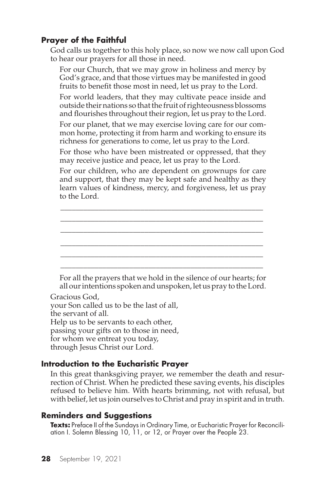God calls us together to this holy place, so now we now call upon God to hear our prayers for all those in need.

For our Church, that we may grow in holiness and mercy by God's grace, and that those virtues may be manifested in good fruits to benefit those most in need, let us pray to the Lord.

For world leaders, that they may cultivate peace inside and outside their nations so that the fruit of righteousness blossoms and flourishes throughout their region, let us pray to the Lord.

For our planet, that we may exercise loving care for our common home, protecting it from harm and working to ensure its richness for generations to come, let us pray to the Lord.

For those who have been mistreated or oppressed, that they may receive justice and peace, let us pray to the Lord.

For our children, who are dependent on grownups for care and support, that they may be kept safe and healthy as they learn values of kindness, mercy, and forgiveness, let us pray to the Lord.

\_\_\_\_\_\_\_\_\_\_\_\_\_\_\_\_\_\_\_\_\_\_\_\_\_\_\_\_\_\_\_\_\_\_\_\_\_\_\_\_\_\_\_\_\_\_\_\_\_\_\_\_\_ \_\_\_\_\_\_\_\_\_\_\_\_\_\_\_\_\_\_\_\_\_\_\_\_\_\_\_\_\_\_\_\_\_\_\_\_\_\_\_\_\_\_\_\_\_\_\_\_\_\_\_\_\_ \_\_\_\_\_\_\_\_\_\_\_\_\_\_\_\_\_\_\_\_\_\_\_\_\_\_\_\_\_\_\_\_\_\_\_\_\_\_\_\_\_\_\_\_\_\_\_\_\_\_\_\_\_ \_\_\_\_\_\_\_\_\_\_\_\_\_\_\_\_\_\_\_\_\_\_\_\_\_\_\_\_\_\_\_\_\_\_\_\_\_\_\_\_\_\_\_\_\_\_\_\_\_\_\_\_\_ \_\_\_\_\_\_\_\_\_\_\_\_\_\_\_\_\_\_\_\_\_\_\_\_\_\_\_\_\_\_\_\_\_\_\_\_\_\_\_\_\_\_\_\_\_\_\_\_\_\_\_\_\_ \_\_\_\_\_\_\_\_\_\_\_\_\_\_\_\_\_\_\_\_\_\_\_\_\_\_\_\_\_\_\_\_\_\_\_\_\_\_\_\_\_\_\_\_\_\_\_\_\_\_\_\_\_

For all the prayers that we hold in the silence of our hearts; for all our intentions spoken and unspoken, let us pray to the Lord.

Gracious God, your Son called us to be the last of all, the servant of all. Help us to be servants to each other, passing your gifts on to those in need, for whom we entreat you today,

through Jesus Christ our Lord.

#### **Introduction to the Eucharistic Prayer**

In this great thanksgiving prayer, we remember the death and resurrection of Christ. When he predicted these saving events, his disciples refused to believe him. With hearts brimming, not with refusal, but with belief, let us join ourselves to Christ and pray in spirit and in truth.

# **Reminders and Suggestions**

**Texts:** Preface II of the Sundays in Ordinary Time, or Eucharistic Prayer for Reconciliation I. Solemn Blessing 10, 11, or 12, or Prayer over the People 23.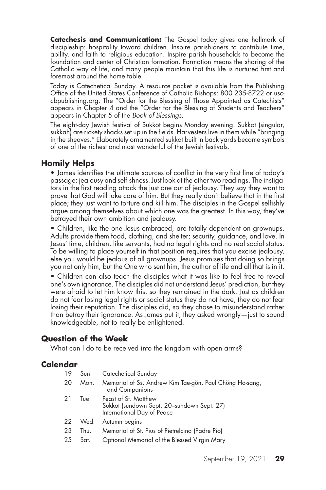**Catechesis and Communication:** The Gospel today gives one hallmark of discipleship: hospitality toward children. Inspire parishioners to contribute time, ability, and faith to religious education. Inspire parish households to become the foundation and center of Christian formation. Formation means the sharing of the Catholic way of life, and many people maintain that this life is nurtured first and foremost around the home table.

Today is Catechetical Sunday. A resource packet is available from the Publishing Office of the United States Conference of Catholic Bishops: 800 235-8722 or usccbpublishing.org. The "Order for the Blessing of Those Appointed as Catechists" appears in Chapter 4 and the "Order for the Blessing of Students and Teachers" appears in Chapter 5 of the *Book of Blessings*.

The eight-day Jewish festival of Sukkot begins Monday evening. Sukkot (singular, sukkah) are rickety shacks set up in the fields. Harvesters live in them while "bringing in the sheaves." Elaborately ornamented sukkot built in back yards became symbols of one of the richest and most wonderful of the Jewish festivals.

#### **Homily Helps**

• James identifies the ultimate sources of conflict in the very first line of today's passage: jealousy and selfishness. Just look at the other two readings. The instigators in the first reading attack the just one out of jealousy. They say they want to prove that God will take care of him. But they really don't believe that in the first place; they just want to torture and kill him. The disciples in the Gospel selfishly argue among themselves about which one was the greatest. In this way, they've betrayed their own ambition and jealousy.

• Children, like the one Jesus embraced, are totally dependent on grownups. Adults provide them food, clothing, and shelter; security, guidance, and love. In Jesus' time, children, like servants, had no legal rights and no real social status. To be willing to place yourself in that position requires that you excise jealousy, else you would be jealous of all grownups. Jesus promises that doing so brings you not only him, but the One who sent him, the author of life and all that is in it.

• Children can also teach the disciples what it was like to feel free to reveal one's own ignorance. The disciples did not understand Jesus' prediction, but they were afraid to let him know this, so they remained in the dark. Just as children do not fear losing legal rights or social status they do not have, they do not fear losing their reputation. The disciples did, so they chose to misunderstand rather than betray their ignorance. As James put it, they asked wrongly—just to sound knowledgeable, not to really be enlightened.

#### **Question of the Week**

What can I do to be received into the kingdom with open arms?

| 20<br>Mon.<br>and Companions<br>Feast of St. Matthew<br>21<br>Tue.<br>Sukkot (sundown Sept. 20-sundown Sept. 27)<br>International Day of Peace<br>Autumn begins<br>22<br>Wed.<br>Memorial of St. Pius of Pietrelcina (Padre Pio)<br>23<br>Thu.<br>25<br>Sat. | 19 | Sun. | Catechetical Sunday                                     |
|--------------------------------------------------------------------------------------------------------------------------------------------------------------------------------------------------------------------------------------------------------------|----|------|---------------------------------------------------------|
|                                                                                                                                                                                                                                                              |    |      | Memorial of Ss. Andrew Kim Tae-gŏn, Paul Chŏng Ha-sang, |
|                                                                                                                                                                                                                                                              |    |      |                                                         |
|                                                                                                                                                                                                                                                              |    |      |                                                         |
|                                                                                                                                                                                                                                                              |    |      |                                                         |
|                                                                                                                                                                                                                                                              |    |      | Optional Memorial of the Blessed Virgin Mary            |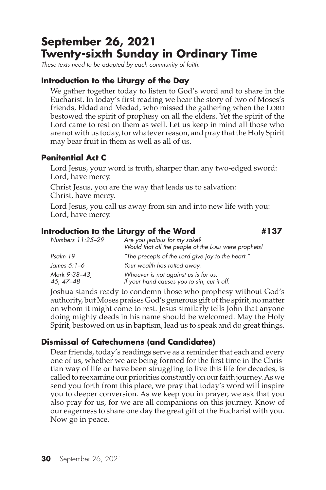# **September 26, 2021 Twenty-sixth Sunday in Ordinary Time**

*These texts need to be adapted by each community of faith.*

#### **Introduction to the Liturgy of the Day**

We gather together today to listen to God's word and to share in the Eucharist. In today's first reading we hear the story of two of Moses's friends, Eldad and Medad, who missed the gathering when the LORD bestowed the spirit of prophesy on all the elders. Yet the spirit of the Lord came to rest on them as well. Let us keep in mind all those who are not with us today, for whatever reason, and pray that the Holy Spirit may bear fruit in them as well as all of us.

### **Penitential Act C**

Lord Jesus, your word is truth, sharper than any two-edged sword: Lord, have mercy.

Christ Jesus, you are the way that leads us to salvation: Christ, have mercy.

Lord Jesus, you call us away from sin and into new life with you: Lord, have mercy.

# **Introduction to the Liturgy of the Word #137**

*Numbers 11:25–29 Are you jealous for my sake? Would that all the people of the Lord were prophets! Psalm 19 "The precepts of the Lord give joy to the heart." James 5:1–6 Your wealth has rotted away. Mark 9:38–43, Whoever is not against us is for us. 45, 47–48 If your hand causes you to sin, cut it off.*

Joshua stands ready to condemn those who prophesy without God's authority, but Moses praises God's generous gift of the spirit, no matter on whom it might come to rest. Jesus similarly tells John that anyone doing mighty deeds in his name should be welcomed. May the Holy Spirit, bestowed on us in baptism, lead us to speak and do great things.

# **Dismissal of Catechumens (and Candidates)**

Dear friends, today's readings serve as a reminder that each and every one of us, whether we are being formed for the first time in the Christian way of life or have been struggling to live this life for decades, is called to reexamine our priorities constantly on our faith journey. As we send you forth from this place, we pray that today's word will inspire you to deeper conversion. As we keep you in prayer, we ask that you also pray for us, for we are all companions on this journey. Know of our eagerness to share one day the great gift of the Eucharist with you. Now go in peace.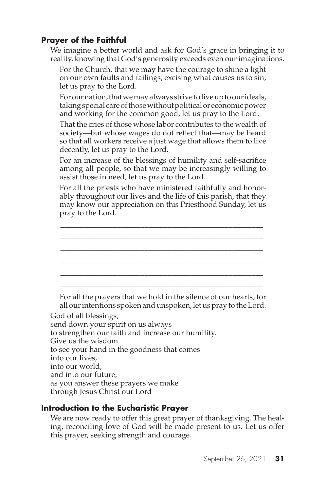We imagine a better world and ask for God's grace in bringing it to reality, knowing that God's generosity exceeds even our imaginations.

For the Church, that we may have the courage to shine a light on our own faults and failings, excising what causes us to sin, let us pray to the Lord.

For our nation, that we may always strive to live up to our ideals, taking special care of those without political or economic power and working for the common good, let us pray to the Lord.

That the cries of those whose labor contributes to the wealth of society—but whose wages do not reflect that—may be heard so that all workers receive a just wage that allows them to live decently, let us pray to the Lord.

For an increase of the blessings of humility and self-sacrifice among all people, so that we may be increasingly willing to assist those in need, let us pray to the Lord.

For all the priests who have ministered faithfully and honorably throughout our lives and the life of this parish, that they may know our appreciation on this Priesthood Sunday, let us pray to the Lord.

\_\_\_\_\_\_\_\_\_\_\_\_\_\_\_\_\_\_\_\_\_\_\_\_\_\_\_\_\_\_\_\_\_\_\_\_\_\_\_\_\_\_\_\_\_\_\_\_\_\_\_\_\_ \_\_\_\_\_\_\_\_\_\_\_\_\_\_\_\_\_\_\_\_\_\_\_\_\_\_\_\_\_\_\_\_\_\_\_\_\_\_\_\_\_\_\_\_\_\_\_\_\_\_\_\_\_ \_\_\_\_\_\_\_\_\_\_\_\_\_\_\_\_\_\_\_\_\_\_\_\_\_\_\_\_\_\_\_\_\_\_\_\_\_\_\_\_\_\_\_\_\_\_\_\_\_\_\_\_\_ \_\_\_\_\_\_\_\_\_\_\_\_\_\_\_\_\_\_\_\_\_\_\_\_\_\_\_\_\_\_\_\_\_\_\_\_\_\_\_\_\_\_\_\_\_\_\_\_\_\_\_\_\_ \_\_\_\_\_\_\_\_\_\_\_\_\_\_\_\_\_\_\_\_\_\_\_\_\_\_\_\_\_\_\_\_\_\_\_\_\_\_\_\_\_\_\_\_\_\_\_\_\_\_\_\_\_



God of all blessings, send down your spirit on us always to strengthen our faith and increase our humility. Give us the wisdom to see your hand in the goodness that comes into our lives, into our world, and into our future, as you answer these prayers we make through Jesus Christ our Lord

# **Introduction to the Eucharistic Prayer**

We are now ready to offer this great prayer of thanksgiving. The healing, reconciling love of God will be made present to us. Let us offer this prayer, seeking strength and courage.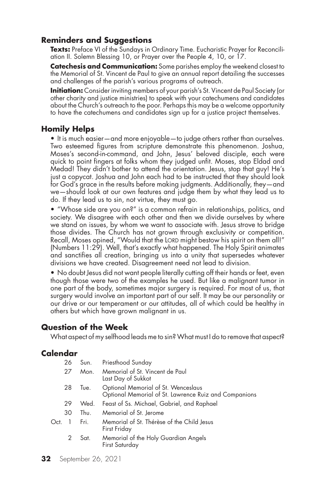### **Reminders and Suggestions**

**Texts:** Preface VI of the Sundays in Ordinary Time. Eucharistic Prayer for Reconciliation II. Solemn Blessing 10, or Prayer over the People 4, 10, or 17.

**Catechesis and Communication:** Some parishes employ the weekend closest to the Memorial of St. Vincent de Paul to give an annual report detailing the successes and challenges of the parish's various programs of outreach.

**Initiation:** Consider inviting members of your parish's St. Vincent de Paul Society (or other charity and justice ministries) to speak with your catechumens and candidates about the Church's outreach to the poor. Perhaps this may be a welcome opportunity to have the catechumens and candidates sign up for a justice project themselves.

### **Homily Helps**

• It is much easier—and more enjoyable—to judge others rather than ourselves. Two esteemed figures from scripture demonstrate this phenomenon. Joshua, Moses's second-in-command, and John, Jesus' beloved disciple, each were quick to point fingers at folks whom they judged unfit. Moses, stop Eldad and Medad! They didn't bother to attend the orientation. Jesus, stop that guy! He's just a copycat. Joshua and John each had to be instructed that they should look for God's grace in the results before making judgments. Additionally, they—and we—should look at our own features and judge them by what they lead us to do. If they lead us to sin, not virtue, they must go.

• "Whose side are you on?" is a common refrain in relationships, politics, and society. We disagree with each other and then we divide ourselves by where we stand on issues, by whom we want to associate with. Jesus strove to bridge those divides. The Church has not grown through exclusivity or competition. Recall, Moses opined, "Would that the LORD might bestow his spirit on them all!" (Numbers 11:29). Well, that's exactly what happened. The Holy Spirit animates and sanctifies all creation, bringing us into a unity that supersedes whatever divisions we have created. Disagreement need not lead to division.

• No doubt Jesus did not want people literally cutting off their hands or feet, even though those were two of the examples he used. But like a malignant tumor in one part of the body, sometimes major surgery is required. For most of us, that surgery would involve an important part of our self. It may be our personality or our drive or our temperament or our attitudes, all of which could be healthy in others but which have grown malignant in us.

#### **Question of the Week**

What aspect of my selfhood leads me to sin? What must I do to remove that aspect?

|      | 26 | Sun. | Priesthood Sunday                                                                            |
|------|----|------|----------------------------------------------------------------------------------------------|
|      | 27 | Mon. | Memorial of St. Vincent de Paul<br>Last Day of Sukkot                                        |
|      | 28 | Tue. | Optional Memorial of St. Wenceslaus<br>Optional Memorial of St. Lawrence Ruiz and Companions |
|      | 29 | Wed. | Feast of Ss. Michael, Gabriel, and Raphael                                                   |
|      | 30 | Thu. | Memorial of St. Jerome                                                                       |
| Oct. |    | Fri. | Memorial of St. Thérèse of the Child Jesus<br>First Friday                                   |
|      | 2  | Sat. | Memorial of the Holy Guardian Angels<br>First Saturday                                       |
|      |    |      |                                                                                              |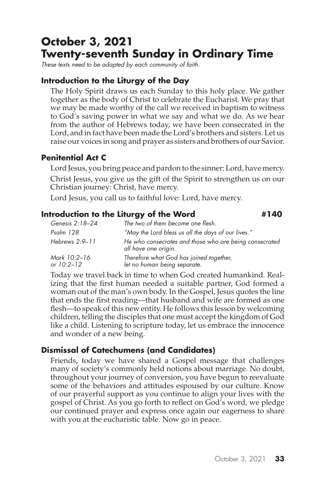# **October 3, 2021 Twenty-seventh Sunday in Ordinary Time**

*These texts need to be adapted by each community of faith.*

# **Introduction to the Liturgy of the Day**

The Holy Spirit draws us each Sunday to this holy place. We gather together as the body of Christ to celebrate the Eucharist. We pray that we may be made worthy of the call we received in baptism to witness to God's saving power in what we say and what we do. As we hear from the author of Hebrews today, we have been consecrated in the Lord, and in fact have been made the Lord's brothers and sisters. Let us raise our voices in song and prayer as sisters and brothers of our Savior.

# **Penitential Act C**

Lord Jesus, you bring peace and pardon to the sinner: Lord, have mercy.

Christ Jesus, you give us the gift of the Spirit to strengthen us on our Christian journey: Christ, have mercy.

Lord Jesus, you call us to faithful love: Lord, have mercy.

# **Introduction to the Liturgy of the Word #140 #140**

*Genesis 2:18–24 The two of them become one flesh. Psalm 128 "May the Lord bless us all the days of our lives." Hebrews 2:9–11 He who consecrates and those who are being consecrated all have one origin. Mark 10:2–16 Therefore what God has joined together, let no human being separate.* 

Today we travel back in time to when God created humankind. Realizing that the first human needed a suitable partner, God formed a woman out of the man's own body. In the Gospel, Jesus quotes the line that ends the first reading—that husband and wife are formed as one flesh—to speak of this new entity. He follows this lesson by welcoming children, telling the disciples that one must accept the kingdom of God like a child. Listening to scripture today, let us embrace the innocence and wonder of a new being.

# **Dismissal of Catechumens (and Candidates)**

Friends, today we have shared a Gospel message that challenges many of society's commonly held notions about marriage. No doubt, throughout your journey of conversion, you have begun to reevaluate some of the behaviors and attitudes espoused by our culture. Know of our prayerful support as you continue to align your lives with the gospel of Christ. As you go forth to reflect on God's word, we pledge our continued prayer and express once again our eagerness to share with you at the eucharistic table. Now go in peace.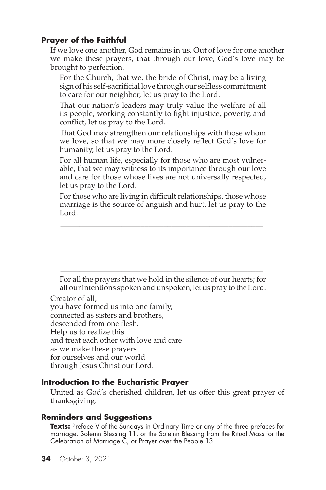If we love one another, God remains in us. Out of love for one another we make these prayers, that through our love, God's love may be brought to perfection.

For the Church, that we, the bride of Christ, may be a living sign of his self-sacrificial love through our selfless commitment to care for our neighbor, let us pray to the Lord.

That our nation's leaders may truly value the welfare of all its people, working constantly to fight injustice, poverty, and conflict, let us pray to the Lord.

That God may strengthen our relationships with those whom we love, so that we may more closely reflect God's love for humanity, let us pray to the Lord.

For all human life, especially for those who are most vulnerable, that we may witness to its importance through our love and care for those whose lives are not universally respected, let us pray to the Lord.

For those who are living in difficult relationships, those whose marriage is the source of anguish and hurt, let us pray to the Lord.

\_\_\_\_\_\_\_\_\_\_\_\_\_\_\_\_\_\_\_\_\_\_\_\_\_\_\_\_\_\_\_\_\_\_\_\_\_\_\_\_\_\_\_\_\_\_\_\_\_\_\_\_\_



you have formed us into one family, connected as sisters and brothers, descended from one flesh. Help us to realize this and treat each other with love and care as we make these prayers for ourselves and our world through Jesus Christ our Lord.

#### **Introduction to the Eucharistic Prayer**

United as God's cherished children, let us offer this great prayer of thanksgiving.

#### **Reminders and Suggestions**

**Texts:** Preface V of the Sundays in Ordinary Time or any of the three prefaces for marriage. Solemn Blessing 11, or the Solemn Blessing from the Ritual Mass for the Celebration of Marriage C, or Prayer over the People 13.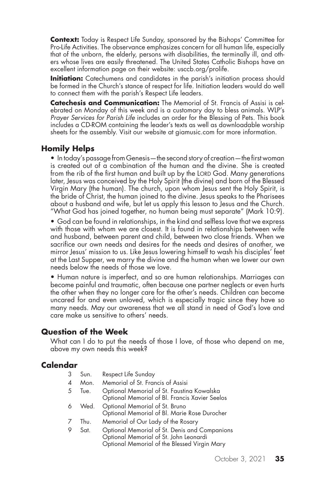**Context:** Today is Respect Life Sunday, sponsored by the Bishops' Committee for Pro-Life Activities. The observance emphasizes concern for all human life, especially that of the unborn, the elderly, persons with disabilities, the terminally ill, and others whose lives are easily threatened. The United States Catholic Bishops have an excellent information page on their website: usccb.org/prolife.

**Initiation:** Catechumens and candidates in the parish's initiation process should be formed in the Church's stance of respect for life. Initiation leaders would do well to connect them with the parish's Respect Life leaders.

**Catechesis and Communication:** The Memorial of St. Francis of Assisi is celebrated on Monday of this week and is a customary day to bless animals. WLP's *Prayer Services for Parish Life* includes an order for the Blessing of Pets. This book includes a CD-ROM containing the leader's texts as well as downloadable worship sheets for the assembly. Visit our website at giamusic.com for more information.

#### **Homily Helps**

• In today's passage from Genesis—the second story of creation—the first woman is created out of a combination of the human and the divine. She is created from the rib of the first human and built up by the LORD God. Many generations later, Jesus was conceived by the Holy Spirit (the divine) and born of the Blessed Virgin Mary (the human). The church, upon whom Jesus sent the Holy Spirit, is the bride of Christ, the human joined to the divine. Jesus speaks to the Pharisees about a husband and wife, but let us apply this lesson to Jesus and the Church. "What God has joined together, no human being must separate" (Mark 10:9).

• God can be found in relationships, in the kind and selfless love that we express with those with whom we are closest. It is found in relationships between wife and husband, between parent and child, between two close friends. When we sacrifice our own needs and desires for the needs and desires of another, we mirror Jesus' mission to us. Like Jesus lowering himself to wash his disciples' feet at the Last Supper, we marry the divine and the human when we lower our own needs below the needs of those we love.

• Human nature is imperfect, and so are human relationships. Marriages can become painful and traumatic, often because one partner neglects or even hurts the other when they no longer care for the other's needs. Children can become uncared for and even unloved, which is especially tragic since they have so many needs. May our awareness that we all stand in need of God's love and care make us sensitive to others' needs.

#### **Question of the Week**

What can I do to put the needs of those I love, of those who depend on me, above my own needs this week?

#### **Calendar**

3 Sun. Respect Life Sunday 4 Mon. Memorial of St. Francis of Assisi 5 Tue. Optional Memorial of St. Faustina Kowalska Optional Memorial of Bl. Francis Xavier Seelos 6 Wed. Optional Memorial of St. Bruno Optional Memorial of Bl. Marie Rose Durocher 7 Thu. Memorial of Our Lady of the Rosary 9 Sat. Optional Memorial of St. Denis and Companions Optional Memorial of St. John Leonardi Optional Memorial of the Blessed Virgin Mary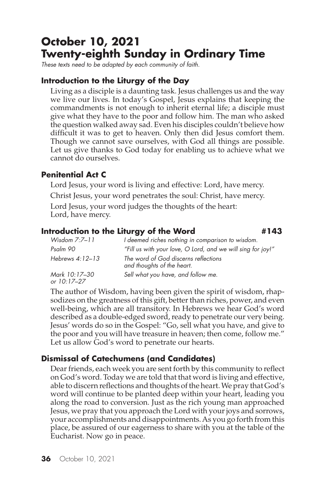# **October 10, 2021 Twenty-eighth Sunday in Ordinary Time**

*These texts need to be adapted by each community of faith.*

#### **Introduction to the Liturgy of the Day**

Living as a disciple is a daunting task. Jesus challenges us and the way we live our lives. In today's Gospel, Jesus explains that keeping the commandments is not enough to inherit eternal life; a disciple must give what they have to the poor and follow him. The man who asked the question walked away sad. Even his disciples couldn't believe how difficult it was to get to heaven. Only then did Jesus comfort them. Though we cannot save ourselves, with God all things are possible. Let us give thanks to God today for enabling us to achieve what we cannot do ourselves.

#### **Penitential Act C**

Lord Jesus, your word is living and effective: Lord, have mercy. Christ Jesus, your word penetrates the soul: Christ, have mercy.

Lord Jesus, your word judges the thoughts of the heart: Lord, have mercy.

#### **Introduction to the Liturgy of the Word #143**

*Wisdom 7:7–11 I deemed riches nothing in comparison to wisdom. Psalm 90 "Fill us with your love, O Lord, and we will sing for joy!" Hebrews 4:12–13 The word of God discerns reflections and thoughts of the heart. Mark 10:17–30 Sell what you have, and follow me. or 10:17–27*

The author of Wisdom, having been given the spirit of wisdom, rhapsodizes on the greatness of this gift, better than riches, power, and even well-being, which are all transitory. In Hebrews we hear God's word described as a double-edged sword, ready to penetrate our very being. Jesus' words do so in the Gospel: "Go, sell what you have, and give to the poor and you will have treasure in heaven; then come, follow me." Let us allow God's word to penetrate our hearts.

# **Dismissal of Catechumens (and Candidates)**

Dear friends, each week you are sent forth by this community to reflect on God's word. Today we are told that that word is living and effective, able to discern reflections and thoughts of the heart. We pray that God's word will continue to be planted deep within your heart, leading you along the road to conversion. Just as the rich young man approached Jesus, we pray that you approach the Lord with your joys and sorrows, your accomplishments and disappointments. As you go forth from this place, be assured of our eagerness to share with you at the table of the Eucharist. Now go in peace.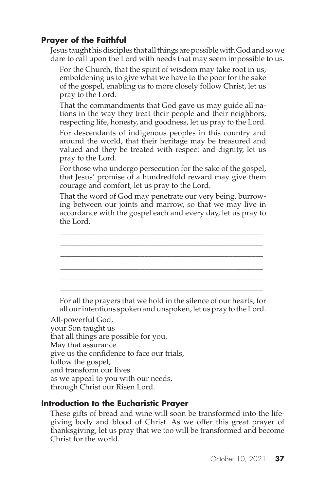Jesus taught his disciples that all things are possible with God and so we dare to call upon the Lord with needs that may seem impossible to us.

For the Church, that the spirit of wisdom may take root in us, emboldening us to give what we have to the poor for the sake of the gospel, enabling us to more closely follow Christ, let us pray to the Lord.

That the commandments that God gave us may guide all nations in the way they treat their people and their neighbors, respecting life, honesty, and goodness, let us pray to the Lord. For descendants of indigenous peoples in this country and around the world, that their heritage may be treasured and valued and they be treated with respect and dignity, let us pray to the Lord.

For those who undergo persecution for the sake of the gospel, that Jesus' promise of a hundredfold reward may give them courage and comfort, let us pray to the Lord.

That the word of God may penetrate our very being, burrowing between our joints and marrow, so that we may live in accordance with the gospel each and every day, let us pray to the Lord.

\_\_\_\_\_\_\_\_\_\_\_\_\_\_\_\_\_\_\_\_\_\_\_\_\_\_\_\_\_\_\_\_\_\_\_\_\_\_\_\_\_\_\_\_\_\_\_\_\_\_\_\_\_ \_\_\_\_\_\_\_\_\_\_\_\_\_\_\_\_\_\_\_\_\_\_\_\_\_\_\_\_\_\_\_\_\_\_\_\_\_\_\_\_\_\_\_\_\_\_\_\_\_\_\_\_\_ \_\_\_\_\_\_\_\_\_\_\_\_\_\_\_\_\_\_\_\_\_\_\_\_\_\_\_\_\_\_\_\_\_\_\_\_\_\_\_\_\_\_\_\_\_\_\_\_\_\_\_\_\_ \_\_\_\_\_\_\_\_\_\_\_\_\_\_\_\_\_\_\_\_\_\_\_\_\_\_\_\_\_\_\_\_\_\_\_\_\_\_\_\_\_\_\_\_\_\_\_\_\_\_\_\_\_ \_\_\_\_\_\_\_\_\_\_\_\_\_\_\_\_\_\_\_\_\_\_\_\_\_\_\_\_\_\_\_\_\_\_\_\_\_\_\_\_\_\_\_\_\_\_\_\_\_\_\_\_\_ \_\_\_\_\_\_\_\_\_\_\_\_\_\_\_\_\_\_\_\_\_\_\_\_\_\_\_\_\_\_\_\_\_\_\_\_\_\_\_\_\_\_\_\_\_\_\_\_\_\_\_\_\_

For all the prayers that we hold in the silence of our hearts; for all our intentions spoken and unspoken, let us pray to the Lord.

All-powerful God, your Son taught us that all things are possible for you. May that assurance give us the confidence to face our trials, follow the gospel, and transform our lives as we appeal to you with our needs, through Christ our Risen Lord.

#### **Introduction to the Eucharistic Prayer**

These gifts of bread and wine will soon be transformed into the lifegiving body and blood of Christ. As we offer this great prayer of thanksgiving, let us pray that we too will be transformed and become Christ for the world.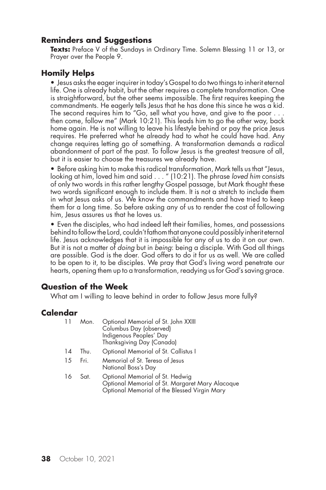### **Reminders and Suggestions**

Texts: Preface V of the Sundays in Ordinary Time. Solemn Blessing 11 or 13, or Prayer over the People 9.

## **Homily Helps**

• Jesus asks the eager inquirer in today's Gospel to do two things to inherit eternal life. One is already habit, but the other requires a complete transformation. One is straightforward, but the other seems impossible. The first requires keeping the commandments. He eagerly tells Jesus that he has done this since he was a kid. The second requires him to "Go, sell what you have, and give to the poor . . . then come, follow me" (Mark 10:21). This leads him to go the other way, back home again. He is not willing to leave his lifestyle behind or pay the price Jesus requires. He preferred what he already had to what he could have had. Any change requires letting go of something. A transformation demands a radical abandonment of part of the past. To follow Jesus is the greatest treasure of all, but it is easier to choose the treasures we already have.

• Before asking him to make this radical transformation, Mark tells us that "Jesus, looking at him, loved him and said . . . " (10:21). The phrase *loved him* consists of only two words in this rather lengthy Gospel passage, but Mark thought these two words significant enough to include them. It is not a stretch to include them in what Jesus asks of us. We know the commandments and have tried to keep them for a long time. So before asking any of us to render the cost of following him, Jesus assures us that he loves us.

• Even the disciples, who had indeed left their families, homes, and possessions behind to follow the Lord, couldn't fathom that anyone could possibly inherit eternal life. Jesus acknowledges that it is impossible for any of us to do it on our own. But it is not a matter of *doing* but in *being*: being a disciple. With God all things are possible. God is the doer. God offers to do it for us as well. We are called to be open to it, to be disciples. We pray that God's living word penetrate our hearts, opening them up to a transformation, readying us for God's saving grace.

#### **Question of the Week**

What am I willing to leave behind in order to follow Jesus more fully?

#### **Calendar**

| 11 | Mon. | Optional Memorial of St. John XXIII<br>Columbus Day (observed)<br>Indigenous Peoples' Day<br>Thanksgiving Day (Canada)             |
|----|------|------------------------------------------------------------------------------------------------------------------------------------|
| 14 | Thu. | Optional Memorial of St. Callistus I                                                                                               |
| 15 | Fri. | Memorial of St. Teresa of Jesus<br>National Boss's Day                                                                             |
| 16 | Sat. | Optional Memorial of St. Hedwig<br>Optional Memorial of St. Margaret Mary Alacoque<br>Optional Memorial of the Blessed Virgin Mary |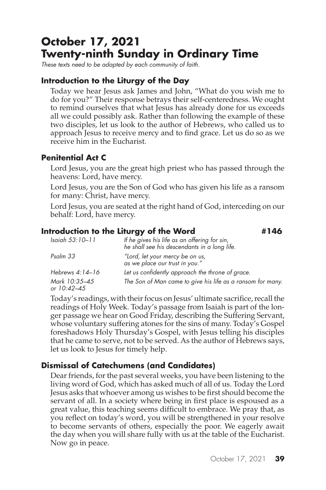# **October 17, 2021 Twenty-ninth Sunday in Ordinary Time**

*These texts need to be adapted by each community of faith.*

# **Introduction to the Liturgy of the Day**

Today we hear Jesus ask James and John, "What do you wish me to do for you?" Their response betrays their self-centeredness. We ought to remind ourselves that what Jesus has already done for us exceeds all we could possibly ask. Rather than following the example of these two disciples, let us look to the author of Hebrews, who called us to approach Jesus to receive mercy and to find grace. Let us do so as we receive him in the Eucharist.

# **Penitential Act C**

Lord Jesus, you are the great high priest who has passed through the heavens: Lord, have mercy.

Lord Jesus, you are the Son of God who has given his life as a ransom for many: Christ, have mercy.

Lord Jesus, you are seated at the right hand of God, interceding on our behalf: Lord, have mercy.

# **Introduction to the Liturgy of the Word**  $\#146$

| Isaiah 53:10-11              | If he gives his life as an offering for sin,<br>he shall see his descendants in a long life. |
|------------------------------|----------------------------------------------------------------------------------------------|
| Psalm 33                     | "Lord, let your mercy be on us,<br>as we place our trust in you."                            |
| Hebrews 4:14-16              | Let us confidently approach the throne of grace.                                             |
| Mark 10:35-45<br>or 10:42–45 | The Son of Man came to give his life as a ransom for many.                                   |

Today's readings, with their focus on Jesus' ultimate sacrifice, recall the readings of Holy Week. Today's passage from Isaiah is part of the longer passage we hear on Good Friday, describing the Suffering Servant, whose voluntary suffering atones for the sins of many. Today's Gospel foreshadows Holy Thursday's Gospel, with Jesus telling his disciples that he came to serve, not to be served. As the author of Hebrews says, let us look to Jesus for timely help.

# **Dismissal of Catechumens (and Candidates)**

Dear friends, for the past several weeks, you have been listening to the living word of God, which has asked much of all of us. Today the Lord Jesus asks that whoever among us wishes to be first should become the servant of all. In a society where being in first place is espoused as a great value, this teaching seems difficult to embrace. We pray that, as you reflect on today's word, you will be strengthened in your resolve to become servants of others, especially the poor. We eagerly await the day when you will share fully with us at the table of the Eucharist. Now go in peace.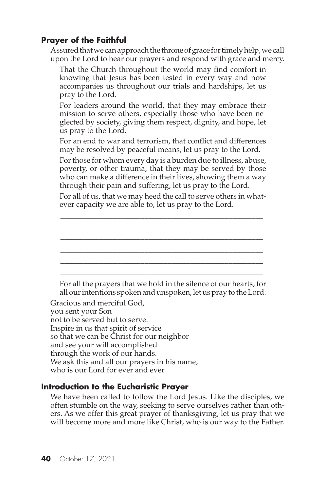Assured that we can approach the throne of grace for timely help, we call upon the Lord to hear our prayers and respond with grace and mercy.

That the Church throughout the world may find comfort in knowing that Jesus has been tested in every way and now accompanies us throughout our trials and hardships, let us pray to the Lord.

For leaders around the world, that they may embrace their mission to serve others, especially those who have been neglected by society, giving them respect, dignity, and hope, let us pray to the Lord.

For an end to war and terrorism, that conflict and differences may be resolved by peaceful means, let us pray to the Lord.

For those for whom every day is a burden due to illness, abuse, poverty, or other trauma, that they may be served by those who can make a difference in their lives, showing them a way through their pain and suffering, let us pray to the Lord.

For all of us, that we may heed the call to serve others in whatever capacity we are able to, let us pray to the Lord.

\_\_\_\_\_\_\_\_\_\_\_\_\_\_\_\_\_\_\_\_\_\_\_\_\_\_\_\_\_\_\_\_\_\_\_\_\_\_\_\_\_\_\_\_\_\_\_\_\_\_\_\_\_ \_\_\_\_\_\_\_\_\_\_\_\_\_\_\_\_\_\_\_\_\_\_\_\_\_\_\_\_\_\_\_\_\_\_\_\_\_\_\_\_\_\_\_\_\_\_\_\_\_\_\_\_\_ \_\_\_\_\_\_\_\_\_\_\_\_\_\_\_\_\_\_\_\_\_\_\_\_\_\_\_\_\_\_\_\_\_\_\_\_\_\_\_\_\_\_\_\_\_\_\_\_\_\_\_\_\_ \_\_\_\_\_\_\_\_\_\_\_\_\_\_\_\_\_\_\_\_\_\_\_\_\_\_\_\_\_\_\_\_\_\_\_\_\_\_\_\_\_\_\_\_\_\_\_\_\_\_\_\_\_ \_\_\_\_\_\_\_\_\_\_\_\_\_\_\_\_\_\_\_\_\_\_\_\_\_\_\_\_\_\_\_\_\_\_\_\_\_\_\_\_\_\_\_\_\_\_\_\_\_\_\_\_\_ \_\_\_\_\_\_\_\_\_\_\_\_\_\_\_\_\_\_\_\_\_\_\_\_\_\_\_\_\_\_\_\_\_\_\_\_\_\_\_\_\_\_\_\_\_\_\_\_\_\_\_\_\_

For all the prayers that we hold in the silence of our hearts; for all our intentions spoken and unspoken, let us pray to the Lord.

Gracious and merciful God, you sent your Son not to be served but to serve. Inspire in us that spirit of service so that we can be Christ for our neighbor and see your will accomplished through the work of our hands. We ask this and all our prayers in his name, who is our Lord for ever and ever.

#### **Introduction to the Eucharistic Prayer**

We have been called to follow the Lord Jesus. Like the disciples, we often stumble on the way, seeking to serve ourselves rather than others. As we offer this great prayer of thanksgiving, let us pray that we will become more and more like Christ, who is our way to the Father.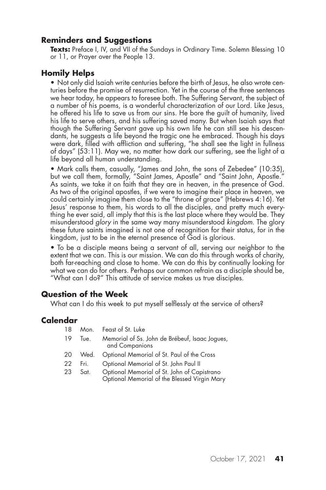#### **Reminders and Suggestions**

**Texts:** Preface I, IV, and VII of the Sundays in Ordinary Time. Solemn Blessing 10 or 11, or Prayer over the People 13.

#### **Homily Helps**

• Not only did Isaiah write centuries before the birth of Jesus, he also wrote centuries before the promise of resurrection. Yet in the course of the three sentences we hear today, he appears to foresee both. The Suffering Servant, the subject of a number of his poems, is a wonderful characterization of our Lord. Like Jesus, he offered his life to save us from our sins. He bore the guilt of humanity, lived his life to serve others, and his suffering saved many. But when Isaiah says that though the Suffering Servant gave up his own life he can still see his descendants, he suggests a life beyond the tragic one he embraced. Though his days were dark, filled with affliction and suffering, "he shall see the light in fullness of days" (53:11). May we, no matter how dark our suffering, see the light of a life beyond all human understanding.

• Mark calls them, casually, "James and John, the sons of Zebedee" (10:35), but we call them, formally, "Saint James, Apostle" and "Saint John, Apostle." As saints, we take it on faith that they are in heaven, in the presence of God. As two of the original apostles, if we were to imagine their place in heaven, we could certainly imagine them close to the "throne of grace" (Hebrews 4:16). Yet Jesus' response to them, his words to all the disciples, and pretty much everything he ever said, all imply that this is the last place where they would be. They misunderstood *glory* in the same way many misunderstood *kingdom*. The glory these future saints imagined is not one of recognition for their status, for in the kingdom, just to be in the eternal presence of God is glorious.

• To be a disciple means being a servant of all, serving our neighbor to the extent that we can. This is our mission. We can do this through works of charity, both far-reaching and close to home. We can do this by continually looking for what we can do for others. Perhaps our common refrain as a disciple should be, "What can I do?" This attitude of service makes us true disciples.

#### **Question of the Week**

What can I do this week to put myself selflessly at the service of others?

#### **Calendar**

| 18 | Mon. | Feast of St. Luke                                                                           |
|----|------|---------------------------------------------------------------------------------------------|
| 19 | Tue. | Memorial of Ss. John de Brébeuf, Isaac Jogues,<br>and Companions                            |
| 20 | Wed. | Optional Memorial of St. Paul of the Cross                                                  |
| 22 | Fri. | Optional Memorial of St. John Paul II                                                       |
| 23 | Sat. | Optional Memorial of St. John of Capistrano<br>Optional Memorial of the Blessed Virgin Mary |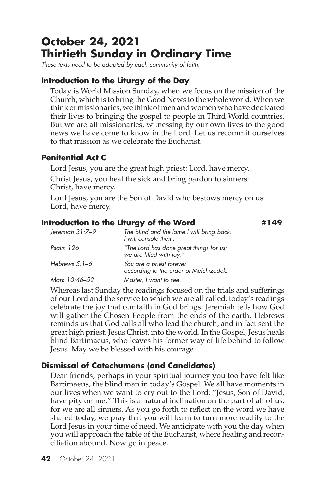# **October 24, 2021 Thirtieth Sunday in Ordinary Time**

*These texts need to be adapted by each community of faith.*

### **Introduction to the Liturgy of the Day**

Today is World Mission Sunday, when we focus on the mission of the Church, which is to bring the Good News to the whole world. When we think of missionaries, we think of men and women who have dedicated their lives to bringing the gospel to people in Third World countries. But we are all missionaries, witnessing by our own lives to the good news we have come to know in the Lord. Let us recommit ourselves to that mission as we celebrate the Eucharist.

### **Penitential Act C**

Lord Jesus, you are the great high priest: Lord, have mercy. Christ Jesus, you heal the sick and bring pardon to sinners: Christ, have mercy.

Lord Jesus, you are the Son of David who bestows mercy on us: Lord, have mercy.

#### **Introduction to the Liturgy of the Word #149**

| Jeremiah 31:7-9 | The blind and the lame I will bring back:<br>I will console them.   |
|-----------------|---------------------------------------------------------------------|
| Psalm 126       | "The Lord has done great things for us;<br>we are filled with joy." |
| Hebrews $5:1-6$ | You are a priest forever<br>according to the order of Melchizedek.  |
| Mark 10:46-52   | Master, I want to see.                                              |

Whereas last Sunday the readings focused on the trials and sufferings of our Lord and the service to which we are all called, today's readings celebrate the joy that our faith in God brings. Jeremiah tells how God will gather the Chosen People from the ends of the earth. Hebrews reminds us that God calls all who lead the church, and in fact sent the great high priest, Jesus Christ, into the world. In the Gospel, Jesus heals blind Bartimaeus, who leaves his former way of life behind to follow Jesus. May we be blessed with his courage.

# **Dismissal of Catechumens (and Candidates)**

Dear friends, perhaps in your spiritual journey you too have felt like Bartimaeus, the blind man in today's Gospel. We all have moments in our lives when we want to cry out to the Lord: "Jesus, Son of David, have pity on me." This is a natural inclination on the part of all of us, for we are all sinners. As you go forth to reflect on the word we have shared today, we pray that you will learn to turn more readily to the Lord Jesus in your time of need. We anticipate with you the day when you will approach the table of the Eucharist, where healing and reconciliation abound. Now go in peace.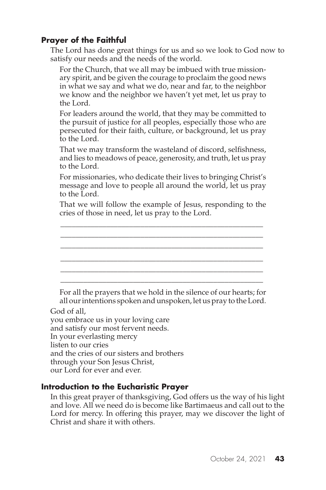The Lord has done great things for us and so we look to God now to satisfy our needs and the needs of the world.

For the Church, that we all may be imbued with true missionary spirit, and be given the courage to proclaim the good news in what we say and what we do, near and far, to the neighbor we know and the neighbor we haven't yet met, let us pray to the Lord.

For leaders around the world, that they may be committed to the pursuit of justice for all peoples, especially those who are persecuted for their faith, culture, or background, let us pray to the Lord.

That we may transform the wasteland of discord, selfishness, and lies to meadows of peace, generosity, and truth, let us pray to the Lord.

For missionaries, who dedicate their lives to bringing Christ's message and love to people all around the world, let us pray to the Lord.

That we will follow the example of Jesus, responding to the cries of those in need, let us pray to the Lord.

\_\_\_\_\_\_\_\_\_\_\_\_\_\_\_\_\_\_\_\_\_\_\_\_\_\_\_\_\_\_\_\_\_\_\_\_\_\_\_\_\_\_\_\_\_\_\_\_\_\_\_\_\_ \_\_\_\_\_\_\_\_\_\_\_\_\_\_\_\_\_\_\_\_\_\_\_\_\_\_\_\_\_\_\_\_\_\_\_\_\_\_\_\_\_\_\_\_\_\_\_\_\_\_\_\_\_ \_\_\_\_\_\_\_\_\_\_\_\_\_\_\_\_\_\_\_\_\_\_\_\_\_\_\_\_\_\_\_\_\_\_\_\_\_\_\_\_\_\_\_\_\_\_\_\_\_\_\_\_\_ \_\_\_\_\_\_\_\_\_\_\_\_\_\_\_\_\_\_\_\_\_\_\_\_\_\_\_\_\_\_\_\_\_\_\_\_\_\_\_\_\_\_\_\_\_\_\_\_\_\_\_\_\_ \_\_\_\_\_\_\_\_\_\_\_\_\_\_\_\_\_\_\_\_\_\_\_\_\_\_\_\_\_\_\_\_\_\_\_\_\_\_\_\_\_\_\_\_\_\_\_\_\_\_\_\_\_ \_\_\_\_\_\_\_\_\_\_\_\_\_\_\_\_\_\_\_\_\_\_\_\_\_\_\_\_\_\_\_\_\_\_\_\_\_\_\_\_\_\_\_\_\_\_\_\_\_\_\_\_\_

For all the prayers that we hold in the silence of our hearts; for all our intentions spoken and unspoken, let us pray to the Lord.

God of all,

you embrace us in your loving care and satisfy our most fervent needs. In your everlasting mercy listen to our cries and the cries of our sisters and brothers through your Son Jesus Christ, our Lord for ever and ever.

#### **Introduction to the Eucharistic Prayer**

In this great prayer of thanksgiving, God offers us the way of his light and love. All we need do is become like Bartimaeus and call out to the Lord for mercy. In offering this prayer, may we discover the light of Christ and share it with others.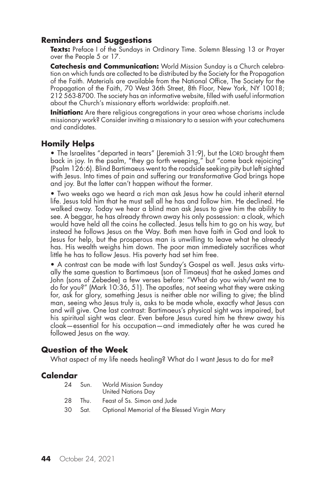#### **Reminders and Suggestions**

Texts: Preface I of the Sundays in Ordinary Time. Solemn Blessing 13 or Prayer over the People 5 or 17.

**Catechesis and Communication:** World Mission Sunday is a Church celebration on which funds are collected to be distributed by the Society for the Propagation of the Faith. Materials are available from the National Office, The Society for the Propagation of the Faith, 70 West 36th Street, 8th Floor, New York, NY 10018; 212 563-8700. The society has an informative website, filled with useful information about the Church's missionary efforts worldwide: propfaith.net.

**Initiation:** Are there religious congregations in your area whose charisms include missionary work? Consider inviting a missionary to a session with your catechumens and candidates.

#### **Homily Helps**

• The Israelites "departed in tears" (Jeremiah 31:9), but the LORD brought them back in joy. In the psalm, "they go forth weeping," but "come back rejoicing" (Psalm 126:6). Blind Bartimaeus went to the roadside seeking pity but left sighted with Jesus. Into times of pain and suffering our transformative God brings hope and joy. But the latter can't happen without the former.

• Two weeks ago we heard a rich man ask Jesus how he could inherit eternal life. Jesus told him that he must sell all he has and follow him. He declined. He walked away. Today we hear a blind man ask Jesus to give him the ability to see. A beggar, he has already thrown away his only possession: a cloak, which would have held all the coins he collected. Jesus tells him to go on his way, but instead he follows Jesus on the Way. Both men have faith in God and look to Jesus for help, but the prosperous man is unwilling to leave what he already has. His wealth weighs him down. The poor man immediately sacrifices what little he has to follow Jesus. His poverty had set him free.

• A contrast can be made with last Sunday's Gospel as well. Jesus asks virtually the same question to Bartimaeus (son of Timaeus) that he asked James and John (sons of Zebedee) a few verses before: "What do you wish/want me to do for you?" (Mark 10:36, 51). The apostles, not seeing what they were asking for, ask for glory, something Jesus is neither able nor willing to give; the blind man, seeing who Jesus truly is, asks to be made whole, exactly what Jesus can and will give. One last contrast: Bartimaeus's physical sight was impaired, but his spiritual sight was clear. Even before Jesus cured him he threw away his cloak—essential for his occupation—and immediately after he was cured he followed Jesus on the way.

#### **Question of the Week**

What aspect of my life needs healing? What do I want Jesus to do for me?

#### **Calendar**

| 24 | Sun. | <b>World Mission Sunday</b><br><b>United Nations Day</b> |
|----|------|----------------------------------------------------------|
| 28 | Thu. | Feast of Ss. Simon and Jude                              |
|    |      | 30 Sat. Optional Memorial of the Blessed Virgin Mary     |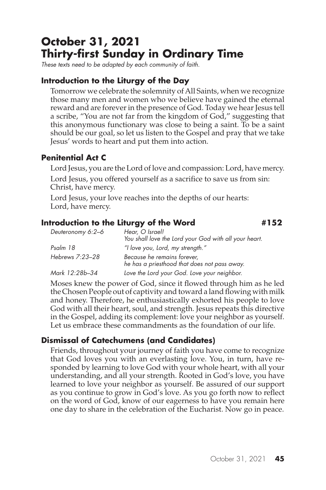# **October 31, 2021 Thirty-first Sunday in Ordinary Time**

*These texts need to be adapted by each community of faith.*

## **Introduction to the Liturgy of the Day**

Tomorrow we celebrate the solemnity of All Saints, when we recognize those many men and women who we believe have gained the eternal reward and are forever in the presence of God. Today we hear Jesus tell a scribe, "You are not far from the kingdom of God," suggesting that this anonymous functionary was close to being a saint. To be a saint should be our goal, so let us listen to the Gospel and pray that we take Jesus' words to heart and put them into action.

### **Penitential Act C**

Lord Jesus, you are the Lord of love and compassion: Lord, have mercy.

Lord Jesus, you offered yourself as a sacrifice to save us from sin: Christ, have mercy.

Lord Jesus, your love reaches into the depths of our hearts: Lord, have mercy.

#### **Introduction to the Liturgy of the Word #152**

*Deuteronomy 6:2–6 Hear, O Israel! You shall love the Lord your God with all your heart. Psalm 18 "I love you, Lord, my strength." Hebrews 7:23–28 Because he remains forever, he has a priesthood that does not pass away. Mark 12:28b–34 Love the Lord your God. Love your neighbor.*

Moses knew the power of God, since it flowed through him as he led the Chosen People out of captivity and toward a land flowing with milk and honey. Therefore, he enthusiastically exhorted his people to love God with all their heart, soul, and strength. Jesus repeats this directive in the Gospel, adding its complement: love your neighbor as yourself. Let us embrace these commandments as the foundation of our life.

# **Dismissal of Catechumens (and Candidates)**

Friends, throughout your journey of faith you have come to recognize that God loves you with an everlasting love. You, in turn, have responded by learning to love God with your whole heart, with all your understanding, and all your strength. Rooted in God's love, you have learned to love your neighbor as yourself. Be assured of our support as you continue to grow in God's love. As you go forth now to reflect on the word of God, know of our eagerness to have you remain here one day to share in the celebration of the Eucharist. Now go in peace.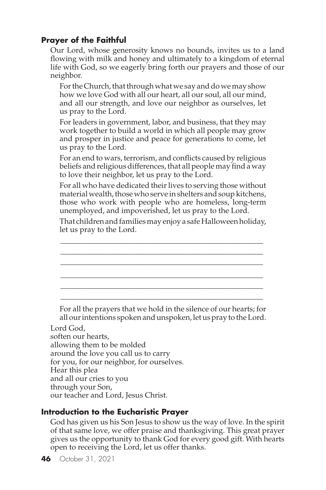Our Lord, whose generosity knows no bounds, invites us to a land flowing with milk and honey and ultimately to a kingdom of eternal life with God, so we eagerly bring forth our prayers and those of our neighbor.

For the Church, that through what we say and do we may show how we love God with all our heart, all our soul, all our mind, and all our strength, and love our neighbor as ourselves, let us pray to the Lord.

For leaders in government, labor, and business, that they may work together to build a world in which all people may grow and prosper in justice and peace for generations to come, let us pray to the Lord.

For an end to wars, terrorism, and conflicts caused by religious beliefs and religious differences, that all people may find a way to love their neighbor, let us pray to the Lord.

For all who have dedicated their lives to serving those without material wealth, those who serve in shelters and soup kitchens, those who work with people who are homeless, long-term unemployed, and impoverished, let us pray to the Lord.

That children and families may enjoy a safe Halloween holiday, let us pray to the Lord.

\_\_\_\_\_\_\_\_\_\_\_\_\_\_\_\_\_\_\_\_\_\_\_\_\_\_\_\_\_\_\_\_\_\_\_\_\_\_\_\_\_\_\_\_\_\_\_\_\_\_\_\_\_ \_\_\_\_\_\_\_\_\_\_\_\_\_\_\_\_\_\_\_\_\_\_\_\_\_\_\_\_\_\_\_\_\_\_\_\_\_\_\_\_\_\_\_\_\_\_\_\_\_\_\_\_\_ \_\_\_\_\_\_\_\_\_\_\_\_\_\_\_\_\_\_\_\_\_\_\_\_\_\_\_\_\_\_\_\_\_\_\_\_\_\_\_\_\_\_\_\_\_\_\_\_\_\_\_\_\_ \_\_\_\_\_\_\_\_\_\_\_\_\_\_\_\_\_\_\_\_\_\_\_\_\_\_\_\_\_\_\_\_\_\_\_\_\_\_\_\_\_\_\_\_\_\_\_\_\_\_\_\_\_ \_\_\_\_\_\_\_\_\_\_\_\_\_\_\_\_\_\_\_\_\_\_\_\_\_\_\_\_\_\_\_\_\_\_\_\_\_\_\_\_\_\_\_\_\_\_\_\_\_\_\_\_\_ \_\_\_\_\_\_\_\_\_\_\_\_\_\_\_\_\_\_\_\_\_\_\_\_\_\_\_\_\_\_\_\_\_\_\_\_\_\_\_\_\_\_\_\_\_\_\_\_\_\_\_\_\_

For all the prayers that we hold in the silence of our hearts; for all our intentions spoken and unspoken, let us pray to the Lord.

Lord God, soften our hearts, allowing them to be molded around the love you call us to carry for you, for our neighbor, for ourselves. Hear this plea and all our cries to you through your Son, our teacher and Lord, Jesus Christ.

#### **Introduction to the Eucharistic Prayer**

God has given us his Son Jesus to show us the way of love. In the spirit of that same love, we offer praise and thanksgiving. This great prayer gives us the opportunity to thank God for every good gift. With hearts open to receiving the Lord, let us offer thanks.

**46** October 31, 2021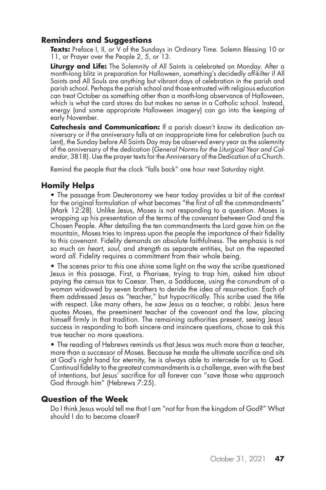### **Reminders and Suggestions**

Texts: Preface I, II, or V of the Sundays in Ordinary Time. Solemn Blessing 10 or 11, or Prayer over the People 2, 5, or 13.

**Liturgy and Life:** The Solemnity of All Saints is celebrated on Monday. After a month-long blitz in preparation for Halloween, something's decidedly off-kilter if All Saints and All Souls are anything but vibrant days of celebration in the parish and parish school. Perhaps the parish school and those entrusted with religious education can treat October as something other than a month-long observance of Halloween, which is what the card stores do but makes no sense in a Catholic school. Instead, energy (and some appropriate Halloween imagery) can go into the keeping of early November.

**Catechesis and Communication:** If a parish doesn't know its dedication anniversary or if the anniversary falls at an inappropriate time for celebration (such as Lent), the Sunday before All Saints Day may be observed every year as the solemnity of the anniversary of the dedication (*General Norms for the Liturgical Year and Calendar*, 3818). Use the prayer texts for the Anniversary of the Dedication of a Church.

Remind the people that the clock "falls back" one hour next Saturday night.

# **Homily Helps**

• The passage from Deuteronomy we hear today provides a bit of the context for the original formulation of what becomes "the first of all the commandments" (Mark 12:28). Unlike Jesus, Moses is not responding to a question. Moses is wrapping up his presentation of the terms of the covenant between God and the Chosen People. After detailing the ten commandments the Lord gave him on the mountain, Moses tries to impress upon the people the importance of their fidelity to this covenant. Fidelity demands an absolute faithfulness. The emphasis is not so much on *heart*, *soul*, and *strength* as separate entities, but on the repeated word *all*. Fidelity requires a commitment from their whole being.

• The scenes prior to this one shine some light on the way the scribe questioned Jesus in this passage. First, a Pharisee, trying to trap him, asked him about paying the census tax to Caesar. Then, a Sadducee, using the conundrum of a woman widowed by seven brothers to deride the idea of resurrection. Each of them addressed Jesus as "teacher," but hypocritically. This scribe used the title with respect. Like many others, he saw Jesus as a teacher, a rabbi. Jesus here quotes Moses, the preeminent teacher of the covenant and the law, placing himself firmly in that tradition. The remaining authorities present, seeing Jesus' success in responding to both sincere and insincere questions, chose to ask this true teacher no more questions.

• The reading of Hebrews reminds us that Jesus was much more than a teacher, more than a successor of Moses. Because he made the ultimate sacrifice and sits at God's right hand for eternity, he is always able to intercede for us to God. Continual fidelity to the greatest commandments is a challenge, even with the best of intentions, but Jesus' sacrifice for all forever can "save those who approach God through him" (Hebrews 7:25).

#### **Question of the Week**

Do I think Jesus would tell me that I am "not far from the kingdom of God?" What should I do to become closer?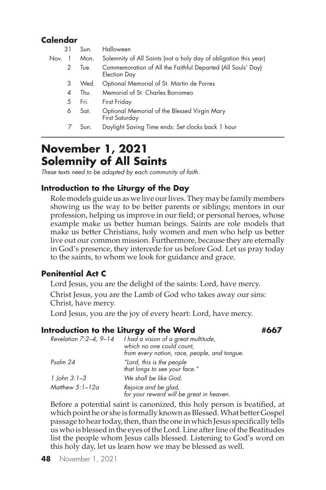# **Calendar**

| 31   | Sun. | Halloween                                                                          |
|------|------|------------------------------------------------------------------------------------|
| Nov. | Mon. | Solemnity of All Saints (not a holy day of obligation this year)                   |
| 2    | Tue. | Commemoration of All the Faithful Departed (All Souls' Day)<br><b>Election Day</b> |
| 3    | Wed. | Optional Memorial of St. Martin de Porres                                          |
| 4    | Thu. | Memorial of St. Charles Borromeo                                                   |
| 5    | Fri. | First Friday                                                                       |
| 6    | Sat. | Optional Memorial of the Blessed Virgin Mary<br>First Saturday                     |
|      | Sun. | Daylight Saving Time ends: Set clocks back 1 hour                                  |

# **November 1, 2021 Solemnity of All Saints**

*These texts need to be adapted by each community of faith.*

### **Introduction to the Liturgy of the Day**

Role models guide us as we live our lives. They may be family members showing us the way to be better parents or siblings; mentors in our profession, helping us improve in our field; or personal heroes, whose example make us better human beings. Saints are role models that make us better Christians, holy women and men who help us better live out our common mission. Furthermore, because they are eternally in God's presence, they intercede for us before God. Let us pray today to the saints, to whom we look for guidance and grace.

#### **Penitential Act C**

Lord Jesus, you are the delight of the saints: Lord, have mercy.

Christ Jesus, you are the Lamb of God who takes away our sins: Christ, have mercy.

Lord Jesus, you are the joy of every heart: Lord, have mercy.

#### **Introduction to the Liturgy of the Word #667**

| Revelation $7:2-4$ , $9-14$ | I had a vision of a great multitude,<br>which no one could count,<br>from every nation, race, people, and tongue. |
|-----------------------------|-------------------------------------------------------------------------------------------------------------------|
| Psalm 24                    | "Lord, this is the people<br>that longs to see your face."                                                        |
| 1 John 3:1–3                | We shall be like God.                                                                                             |
| Matthew $5:1-12a$           | Rejoice and be glad,<br>for your reward will be great in heaven.                                                  |

Before a potential saint is canonized, this holy person is beatified, at which point he or she is formally known as Blessed. What better Gospel passage to hear today, then, than the one in which Jesus specifically tells us who is blessed in the eyes of the Lord. Line after line of the Beatitudes list the people whom Jesus calls blessed. Listening to God's word on this holy day, let us learn how we may be blessed as well.

**48** November 1, 2021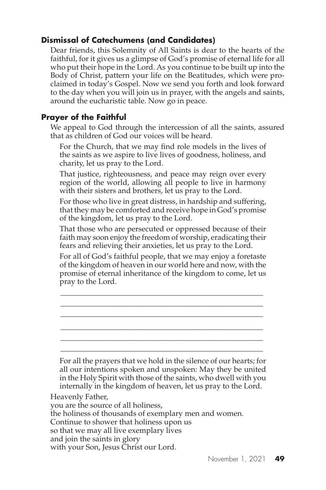# **Dismissal of Catechumens (and Candidates)**

Dear friends, this Solemnity of All Saints is dear to the hearts of the faithful, for it gives us a glimpse of God's promise of eternal life for all who put their hope in the Lord. As you continue to be built up into the Body of Christ, pattern your life on the Beatitudes, which were proclaimed in today's Gospel. Now we send you forth and look forward to the day when you will join us in prayer, with the angels and saints, around the eucharistic table. Now go in peace.

# **Prayer of the Faithful**

We appeal to God through the intercession of all the saints, assured that as children of God our voices will be heard.

For the Church, that we may find role models in the lives of the saints as we aspire to live lives of goodness, holiness, and charity, let us pray to the Lord.

That justice, righteousness, and peace may reign over every region of the world, allowing all people to live in harmony with their sisters and brothers, let us pray to the Lord.

For those who live in great distress, in hardship and suffering, that they may be comforted and receive hope in God's promise of the kingdom, let us pray to the Lord.

That those who are persecuted or oppressed because of their faith may soon enjoy the freedom of worship, eradicating their fears and relieving their anxieties, let us pray to the Lord.

For all of God's faithful people, that we may enjoy a foretaste of the kingdom of heaven in our world here and now, with the promise of eternal inheritance of the kingdom to come, let us pray to the Lord.

\_\_\_\_\_\_\_\_\_\_\_\_\_\_\_\_\_\_\_\_\_\_\_\_\_\_\_\_\_\_\_\_\_\_\_\_\_\_\_\_\_\_\_\_\_\_\_\_\_\_\_\_\_ \_\_\_\_\_\_\_\_\_\_\_\_\_\_\_\_\_\_\_\_\_\_\_\_\_\_\_\_\_\_\_\_\_\_\_\_\_\_\_\_\_\_\_\_\_\_\_\_\_\_\_\_\_ \_\_\_\_\_\_\_\_\_\_\_\_\_\_\_\_\_\_\_\_\_\_\_\_\_\_\_\_\_\_\_\_\_\_\_\_\_\_\_\_\_\_\_\_\_\_\_\_\_\_\_\_\_ \_\_\_\_\_\_\_\_\_\_\_\_\_\_\_\_\_\_\_\_\_\_\_\_\_\_\_\_\_\_\_\_\_\_\_\_\_\_\_\_\_\_\_\_\_\_\_\_\_\_\_\_\_ \_\_\_\_\_\_\_\_\_\_\_\_\_\_\_\_\_\_\_\_\_\_\_\_\_\_\_\_\_\_\_\_\_\_\_\_\_\_\_\_\_\_\_\_\_\_\_\_\_\_\_\_\_ \_\_\_\_\_\_\_\_\_\_\_\_\_\_\_\_\_\_\_\_\_\_\_\_\_\_\_\_\_\_\_\_\_\_\_\_\_\_\_\_\_\_\_\_\_\_\_\_\_\_\_\_\_

For all the prayers that we hold in the silence of our hearts; for all our intentions spoken and unspoken: May they be united in the Holy Spirit with those of the saints, who dwell with you internally in the kingdom of heaven, let us pray to the Lord.

Heavenly Father, you are the source of all holiness, the holiness of thousands of exemplary men and women. Continue to shower that holiness upon us so that we may all live exemplary lives and join the saints in glory with your Son, Jesus Christ our Lord.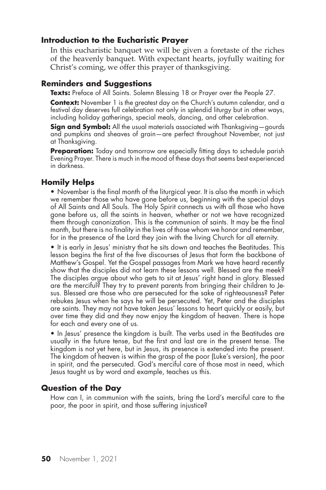#### **Introduction to the Eucharistic Prayer**

In this eucharistic banquet we will be given a foretaste of the riches of the heavenly banquet. With expectant hearts, joyfully waiting for Christ's coming, we offer this prayer of thanksgiving.

#### **Reminders and Suggestions**

Texts: Preface of All Saints. Solemn Blessing 18 or Prayer over the People 27.

**Context:** November 1 is the greatest day on the Church's autumn calendar, and a festival day deserves full celebration not only in splendid liturgy but in other ways, including holiday gatherings, special meals, dancing, and other celebration.

**Sign and Symbol:** All the usual materials associated with Thanksgiving-gourds and pumpkins and sheaves of grain—are perfect throughout November, not just at Thanksgiving.

**Preparation:** Today and tomorrow are especially fitting days to schedule parish Evening Prayer. There is much in the mood of these days that seems best experienced in darkness.

### **Homily Helps**

• November is the final month of the liturgical year. It is also the month in which we remember those who have gone before us, beginning with the special days of All Saints and All Souls. The Holy Spirit connects us with all those who have gone before us, all the saints in heaven, whether or not we have recognized them through canonization. This is the communion of saints. It may be the final month, but there is no finality in the lives of those whom we honor and remember, for in the presence of the Lord they join with the living Church for all eternity.

• It is early in Jesus' ministry that he sits down and teaches the Beatitudes. This lesson begins the first of the five discourses of Jesus that form the backbone of Matthew's Gospel. Yet the Gospel passages from Mark we have heard recently show that the disciples did not learn these lessons well. Blessed are the meek? The disciples argue about who gets to sit at Jesus' right hand in glory. Blessed are the merciful? They try to prevent parents from bringing their children to Jesus. Blessed are those who are persecuted for the sake of righteousness? Peter rebukes Jesus when he says he will be persecuted. Yet, Peter and the disciples are saints. They may not have taken Jesus' lessons to heart quickly or easily, but over time they did and they now enjoy the kingdom of heaven. There is hope for each and every one of us.

• In Jesus' presence the kingdom is built. The verbs used in the Beatitudes are usually in the future tense, but the first and last are in the present tense. The kingdom is not yet here, but in Jesus, its presence is extended into the present. The kingdom of heaven is within the grasp of the poor (Luke's version), the poor in spirit, and the persecuted. God's merciful care of those most in need, which Jesus taught us by word and example, teaches us this.

#### **Question of the Day**

How can I, in communion with the saints, bring the Lord's merciful care to the poor, the poor in spirit, and those suffering injustice?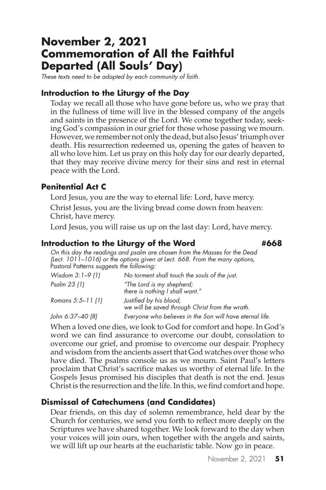# **November 2, 2021 Commemoration of All the Faithful Departed (All Souls' Day)**

*These texts need to be adapted by each community of faith.*

#### **Introduction to the Liturgy of the Day**

Today we recall all those who have gone before us, who we pray that in the fullness of time will live in the blessed company of the angels and saints in the presence of the Lord. We come together today, seeking God's compassion in our grief for those whose passing we mourn. However, we remember not only the dead, but also Jesus' triumph over death. His resurrection redeemed us, opening the gates of heaven to all who love him. Let us pray on this holy day for our dearly departed, that they may receive divine mercy for their sins and rest in eternal peace with the Lord.

#### **Penitential Act C**

Lord Jesus, you are the way to eternal life: Lord, have mercy.

Christ Jesus, you are the living bread come down from heaven: Christ, have mercy.

Lord Jesus, you will raise us up on the last day: Lord, have mercy.

#### **Introduction to the Liturgy of the Word #668**

*On this day the readings and psalm are chosen from the Masses for the Dead (Lect. 1011–1016) or the options given at Lect. 668. From the many options,*  Pastoral Patterns *suggests the following:*

| No torment shall touch the souls of the just.                              |
|----------------------------------------------------------------------------|
| "The Lord is my shepherd;<br>there is nothing I shall want."               |
| Justified by his blood,<br>we will be saved through Christ from the wrath. |
| Everyone who believes in the Son will have eternal life.                   |
|                                                                            |

When a loved one dies, we look to God for comfort and hope. In God's word we can find assurance to overcome our doubt, consolation to overcome our grief, and promise to overcome our despair. Prophecy and wisdom from the ancients assert that God watches over those who have died. The psalms console us as we mourn. Saint Paul's letters proclaim that Christ's sacrifice makes us worthy of eternal life. In the Gospels Jesus promised his disciples that death is not the end. Jesus Christ is the resurrection and the life. In this, we find comfort and hope.

#### **Dismissal of Catechumens (and Candidates)**

Dear friends, on this day of solemn remembrance, held dear by the Church for centuries, we send you forth to reflect more deeply on the Scriptures we have shared together. We look forward to the day when your voices will join ours, when together with the angels and saints, we will lift up our hearts at the eucharistic table. Now go in peace.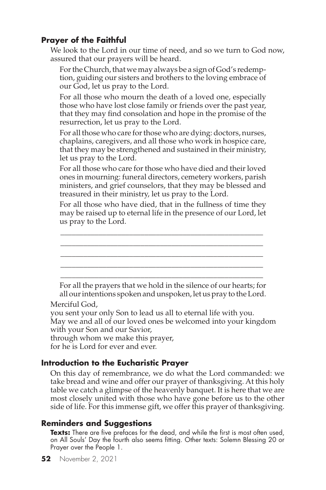We look to the Lord in our time of need, and so we turn to God now, assured that our prayers will be heard.

For the Church, that we may always be a sign of God's redemption, guiding our sisters and brothers to the loving embrace of our God, let us pray to the Lord.

For all those who mourn the death of a loved one, especially those who have lost close family or friends over the past year, that they may find consolation and hope in the promise of the resurrection, let us pray to the Lord.

For all those who care for those who are dying: doctors, nurses, chaplains, caregivers, and all those who work in hospice care, that they may be strengthened and sustained in their ministry, let us pray to the Lord.

For all those who care for those who have died and their loved ones in mourning: funeral directors, cemetery workers, parish ministers, and grief counselors, that they may be blessed and treasured in their ministry, let us pray to the Lord.

For all those who have died, that in the fullness of time they may be raised up to eternal life in the presence of our Lord, let us pray to the Lord.

\_\_\_\_\_\_\_\_\_\_\_\_\_\_\_\_\_\_\_\_\_\_\_\_\_\_\_\_\_\_\_\_\_\_\_\_\_\_\_\_\_\_\_\_\_\_\_\_\_\_\_\_\_ \_\_\_\_\_\_\_\_\_\_\_\_\_\_\_\_\_\_\_\_\_\_\_\_\_\_\_\_\_\_\_\_\_\_\_\_\_\_\_\_\_\_\_\_\_\_\_\_\_\_\_\_\_

\_\_\_\_\_\_\_\_\_\_\_\_\_\_\_\_\_\_\_\_\_\_\_\_\_\_\_\_\_\_\_\_\_\_\_\_\_\_\_\_\_\_\_\_\_\_\_\_\_\_\_\_\_ \_\_\_\_\_\_\_\_\_\_\_\_\_\_\_\_\_\_\_\_\_\_\_\_\_\_\_\_\_\_\_\_\_\_\_\_\_\_\_\_\_\_\_\_\_\_\_\_\_\_\_\_\_ \_\_\_\_\_\_\_\_\_\_\_\_\_\_\_\_\_\_\_\_\_\_\_\_\_\_\_\_\_\_\_\_\_\_\_\_\_\_\_\_\_\_\_\_\_\_\_\_\_\_\_\_\_ For all the prayers that we hold in the silence of our hearts; for all our intentions spoken and unspoken, let us pray to the Lord.

Merciful God,

you sent your only Son to lead us all to eternal life with you. May we and all of our loved ones be welcomed into your kingdom with your Son and our Savior,

through whom we make this prayer,

for he is Lord for ever and ever.

#### **Introduction to the Eucharistic Prayer**

On this day of remembrance, we do what the Lord commanded: we take bread and wine and offer our prayer of thanksgiving. At this holy table we catch a glimpse of the heavenly banquet. It is here that we are most closely united with those who have gone before us to the other side of life. For this immense gift, we offer this prayer of thanksgiving.

# **Reminders and Suggestions**

**Texts:** There are five prefaces for the dead, and while the first is most often used, on All Souls' Day the fourth also seems fitting. Other texts: Solemn Blessing 20 or Prayer over the People 1.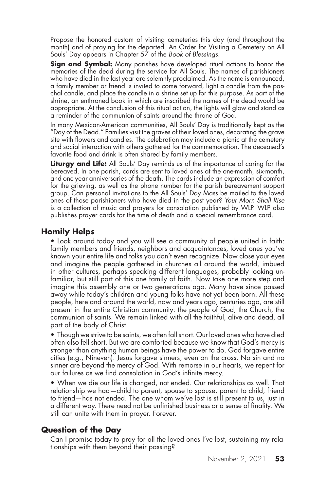Propose the honored custom of visiting cemeteries this day (and throughout the month) and of praying for the departed. An Order for Visiting a Cemetery on All Souls' Day appears in Chapter 57 of the *Book of Blessings*.

**Sign and Symbol:** Many parishes have developed ritual actions to honor the memories of the dead during the service for All Souls. The names of parishioners who have died in the last year are solemnly proclaimed. As the name is announced, a family member or friend is invited to come forward, light a candle from the paschal candle, and place the candle in a shrine set up for this purpose. As part of the shrine, an enthroned book in which are inscribed the names of the dead would be appropriate. At the conclusion of this ritual action, the lights will glow and stand as a reminder of the communion of saints around the throne of God.

In many Mexican-American communities, All Souls' Day is traditionally kept as the "Day of the Dead." Families visit the graves of their loved ones, decorating the grave site with flowers and candles. The celebration may include a picnic at the cemetery and social interaction with others gathered for the commemoration. The deceased's favorite food and drink is often shared by family members.

**Liturgy and Life:** All Souls' Day reminds us of the importance of caring for the bereaved. In one parish, cards are sent to loved ones at the one-month, six-month, and one-year anniversaries of the death. The cards include an expression of comfort for the grieving, as well as the phone number for the parish bereavement support group. Can personal invitations to the All Souls' Day Mass be mailed to the loved ones of those parishioners who have died in the past year? *Your Morn Shall Rise* is a collection of music and prayers for consolation published by WLP. WLP also publishes prayer cards for the time of death and a special remembrance card.

### **Homily Helps**

• Look around today and you will see a community of people united in faith: family members and friends, neighbors and acquaintances, loved ones you've known your entire life and folks you don't even recognize. Now close your eyes and imagine the people gathered in churches all around the world, imbued in other cultures, perhaps speaking different languages, probably looking unfamiliar, but still part of this one family of faith. Now take one more step and imagine this assembly one or two generations ago. Many have since passed away while today's children and young folks have not yet been born. All these people, here and around the world, now and years ago, centuries ago, are still present in the entire Christian community: the people of God, the Church, the communion of saints. We remain linked with all the faithful, alive and dead, all part of the body of Christ.

• Though we strive to be saints, we often fall short. Our loved ones who have died often also fell short. But we are comforted because we know that God's mercy is stronger than anything human beings have the power to do. God forgave entire cities (e.g., Nineveh). Jesus forgave sinners, even on the cross. No sin and no sinner are beyond the mercy of God. With remorse in our hearts, we repent for our failures as we find consolation in God's infinite mercy.

• When we die our life is changed, not ended. Our relationships as well. That relationship we had—child to parent, spouse to spouse, parent to child, friend to friend—has not ended. The one whom we've lost is still present to us, just in a different way. There need not be unfinished business or a sense of finality. We still can unite with them in prayer. Forever.

#### **Question of the Day**

Can I promise today to pray for all the loved ones I've lost, sustaining my relationships with them beyond their passing?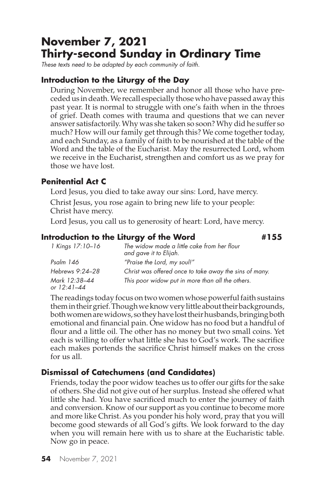# **November 7, 2021 Thirty-second Sunday in Ordinary Time**

*These texts need to be adapted by each community of faith.*

#### **Introduction to the Liturgy of the Day**

During November, we remember and honor all those who have preceded us in death. We recall especially those who have passed away this past year. It is normal to struggle with one's faith when in the throes of grief. Death comes with trauma and questions that we can never answer satisfactorily. Why was she taken so soon? Why did he suffer so much? How will our family get through this? We come together today, and each Sunday, as a family of faith to be nourished at the table of the Word and the table of the Eucharist. May the resurrected Lord, whom we receive in the Eucharist, strengthen and comfort us as we pray for those we have lost.

#### **Penitential Act C**

Lord Jesus, you died to take away our sins: Lord, have mercy.

Christ Jesus, you rose again to bring new life to your people: Christ have mercy.

Lord Jesus, you call us to generosity of heart: Lord, have mercy.

#### **Introduction to the Liturgy of the Word #155**

| 1 Kings 17:10-16             | The widow made a little cake from her flour<br>and gave it to Elijah. |
|------------------------------|-----------------------------------------------------------------------|
| Psalm 146                    | "Praise the Lord, my soul!"                                           |
| Hebrews 9:24–28              | Christ was offered once to take away the sins of many.                |
| Mark 12:38–44<br>or 12:41–44 | This poor widow put in more than all the others.                      |

The readings today focus on two women whose powerful faith sustains them in their grief. Though we know very little about their backgrounds, both women are widows, so they have lost their husbands, bringing both emotional and financial pain. One widow has no food but a handful of flour and a little oil. The other has no money but two small coins. Yet each is willing to offer what little she has to God's work. The sacrifice each makes portends the sacrifice Christ himself makes on the cross for us all.

# **Dismissal of Catechumens (and Candidates)**

Friends, today the poor widow teaches us to offer our gifts for the sake of others. She did not give out of her surplus. Instead she offered what little she had. You have sacrificed much to enter the journey of faith and conversion. Know of our support as you continue to become more and more like Christ. As you ponder his holy word, pray that you will become good stewards of all God's gifts. We look forward to the day when you will remain here with us to share at the Eucharistic table. Now go in peace.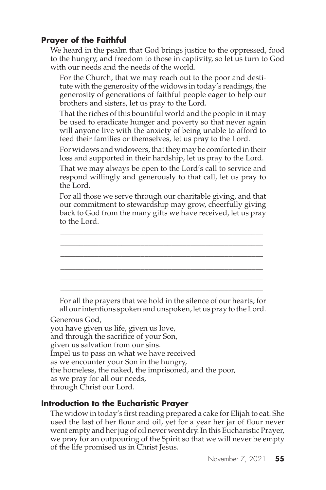We heard in the psalm that God brings justice to the oppressed, food to the hungry, and freedom to those in captivity, so let us turn to God with our needs and the needs of the world.

For the Church, that we may reach out to the poor and destitute with the generosity of the widows in today's readings, the generosity of generations of faithful people eager to help our brothers and sisters, let us pray to the Lord.

That the riches of this bountiful world and the people in it may be used to eradicate hunger and poverty so that never again will anyone live with the anxiety of being unable to afford to feed their families or themselves, let us pray to the Lord.

For widows and widowers, that they may be comforted in their loss and supported in their hardship, let us pray to the Lord.

That we may always be open to the Lord's call to service and respond willingly and generously to that call, let us pray to the Lord.

For all those we serve through our charitable giving, and that our commitment to stewardship may grow, cheerfully giving back to God from the many gifts we have received, let us pray to the Lord.

\_\_\_\_\_\_\_\_\_\_\_\_\_\_\_\_\_\_\_\_\_\_\_\_\_\_\_\_\_\_\_\_\_\_\_\_\_\_\_\_\_\_\_\_\_\_\_\_\_\_\_\_\_ \_\_\_\_\_\_\_\_\_\_\_\_\_\_\_\_\_\_\_\_\_\_\_\_\_\_\_\_\_\_\_\_\_\_\_\_\_\_\_\_\_\_\_\_\_\_\_\_\_\_\_\_\_ \_\_\_\_\_\_\_\_\_\_\_\_\_\_\_\_\_\_\_\_\_\_\_\_\_\_\_\_\_\_\_\_\_\_\_\_\_\_\_\_\_\_\_\_\_\_\_\_\_\_\_\_\_ \_\_\_\_\_\_\_\_\_\_\_\_\_\_\_\_\_\_\_\_\_\_\_\_\_\_\_\_\_\_\_\_\_\_\_\_\_\_\_\_\_\_\_\_\_\_\_\_\_\_\_\_\_ \_\_\_\_\_\_\_\_\_\_\_\_\_\_\_\_\_\_\_\_\_\_\_\_\_\_\_\_\_\_\_\_\_\_\_\_\_\_\_\_\_\_\_\_\_\_\_\_\_\_\_\_\_ \_\_\_\_\_\_\_\_\_\_\_\_\_\_\_\_\_\_\_\_\_\_\_\_\_\_\_\_\_\_\_\_\_\_\_\_\_\_\_\_\_\_\_\_\_\_\_\_\_\_\_\_\_

For all the prayers that we hold in the silence of our hearts; for all our intentions spoken and unspoken, let us pray to the Lord.

Generous God,

you have given us life, given us love, and through the sacrifice of your Son, given us salvation from our sins. Impel us to pass on what we have received as we encounter your Son in the hungry, the homeless, the naked, the imprisoned, and the poor, as we pray for all our needs, through Christ our Lord.

# **Introduction to the Eucharistic Prayer**

The widow in today's first reading prepared a cake for Elijah to eat. She used the last of her flour and oil, yet for a year her jar of flour never went empty and her jug of oil never went dry. In this Eucharistic Prayer, we pray for an outpouring of the Spirit so that we will never be empty of the life promised us in Christ Jesus.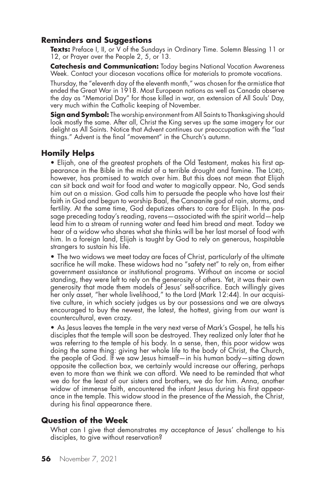#### **Reminders and Suggestions**

Texts: Preface I, II, or V of the Sundays in Ordinary Time. Solemn Blessing 11 or 12, or Prayer over the People 2, 5, or 13.

**Catechesis and Communication:** Today begins National Vocation Awareness Week. Contact your diocesan vocations office for materials to promote vocations.

Thursday, the "eleventh day of the eleventh month," was chosen for the armistice that ended the Great War in 1918. Most European nations as well as Canada observe the day as "Memorial Day" for those killed in war, an extension of All Souls' Day, very much within the Catholic keeping of November.

**Sign and Symbol:** The worship environment from All Saints to Thanksgiving should look mostly the same. After all, Christ the King serves up the same imagery for our delight as All Saints. Notice that Advent continues our preoccupation with the "last things." Advent is the final "movement" in the Church's autumn.

#### **Homily Helps**

• Elijah, one of the greatest prophets of the Old Testament, makes his first appearance in the Bible in the midst of a terrible drought and famine. The LORD, however, has promised to watch over him. But this does not mean that Elijah can sit back and wait for food and water to magically appear. No, God sends him out on a mission. God calls him to persuade the people who have lost their faith in God and begun to worship Baal, the Canaanite god of rain, storms, and fertility. At the same time, God deputizes others to care for Elijah. In the passage preceding today's reading, ravens—associated with the spirit world—help lead him to a stream of running water and feed him bread and meat. Today we hear of a widow who shares what she thinks will be her last morsel of food with him. In a foreign land, Elijah is taught by God to rely on generous, hospitable strangers to sustain his life.

• The two widows we meet today are faces of Christ, particularly of the ultimate sacrifice he will make. These widows had no "safety net" to rely on, from either government assistance or institutional programs. Without an income or social standing, they were left to rely on the generosity of others. Yet, it was their own generosity that made them models of Jesus' self-sacrifice. Each willingly gives her only asset, "her whole livelihood," to the Lord (Mark 12:44). In our acquisitive culture, in which society judges us by our possessions and we are always encouraged to buy the newest, the latest, the hottest, giving from our want is countercultural, even crazy.

• As Jesus leaves the temple in the very next verse of Mark's Gospel, he tells his disciples that the temple will soon be destroyed. They realized only later that he was referring to the temple of his body. In a sense, then, this poor widow was doing the same thing: giving her whole life to the body of Christ, the Church, the people of God. If we saw Jesus himself—in his human body—sitting down opposite the collection box, we certainly would increase our offering, perhaps even to more than we think we can afford. We need to be reminded that what we do for the least of our sisters and brothers, we do for him. Anna, another widow of immense faith, encountered the infant Jesus during his first appearance in the temple. This widow stood in the presence of the Messiah, the Christ, during his final appearance there.

#### **Question of the Week**

What can I give that demonstrates my acceptance of Jesus' challenge to his disciples, to give without reservation?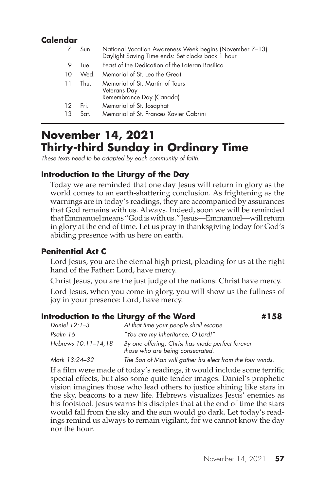# **Calendar**

|          | Sun.           | National Vocation Awareness Week begins (November 7–13)<br>Daylight Saving Time ends: Set clocks back 1 hour |
|----------|----------------|--------------------------------------------------------------------------------------------------------------|
| 9        | Tue.           | Feast of the Dedication of the Lateran Basilica                                                              |
| 10       | Wed.           | Memorial of St. Leo the Great                                                                                |
| 11       | Thu.           | Memorial of St. Martin of Tours<br>Veterans Day<br>Remembrance Day (Canada)                                  |
| 12<br>13 | Fri. .<br>Sat. | Memorial of St. Josaphat<br>Memorial of St. Frances Xavier Cabrini                                           |
|          |                |                                                                                                              |

# **November 14, 2021 Thirty-third Sunday in Ordinary Time**

*These texts need to be adapted by each community of faith.*

### **Introduction to the Liturgy of the Day**

Today we are reminded that one day Jesus will return in glory as the world comes to an earth-shattering conclusion. As frightening as the warnings are in today's readings, they are accompanied by assurances that God remains with us. Always. Indeed, soon we will be reminded that Emmanuel means "God is with us." Jesus—Emmanuel—will return in glory at the end of time. Let us pray in thanksgiving today for God's abiding presence with us here on earth.

#### **Penitential Act C**

Lord Jesus, you are the eternal high priest, pleading for us at the right hand of the Father: Lord, have mercy.

Christ Jesus, you are the just judge of the nations: Christ have mercy.

Lord Jesus, when you come in glory, you will show us the fullness of joy in your presence: Lord, have mercy.

#### **Introduction to the Liturgy of the Word #158**

| Daniel 12:1–3       | At that time your people shall escape.                                               |  |
|---------------------|--------------------------------------------------------------------------------------|--|
| Psalm 16            | "You are my inheritance, O Lord!"                                                    |  |
| Hebrews 10:11–14,18 | By one offering, Christ has made perfect forever<br>those who are being consecrated. |  |
| Mark 13:24–32       | The Son of Man will gather his elect from the four winds.                            |  |

If a film were made of today's readings, it would include some terrific special effects, but also some quite tender images. Daniel's prophetic vision imagines those who lead others to justice shining like stars in the sky, beacons to a new life. Hebrews visualizes Jesus' enemies as his footstool. Jesus warns his disciples that at the end of time the stars would fall from the sky and the sun would go dark. Let today's readings remind us always to remain vigilant, for we cannot know the day nor the hour.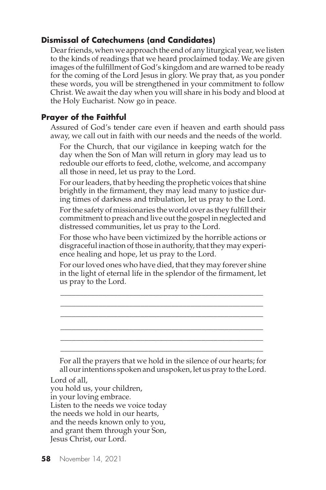# **Dismissal of Catechumens (and Candidates)**

Dear friends, when we approach the end of any liturgical year, we listen to the kinds of readings that we heard proclaimed today. We are given images of the fulfillment of God's kingdom and are warned to be ready for the coming of the Lord Jesus in glory. We pray that, as you ponder these words, you will be strengthened in your commitment to follow Christ. We await the day when you will share in his body and blood at the Holy Eucharist. Now go in peace.

# **Prayer of the Faithful**

Assured of God's tender care even if heaven and earth should pass away, we call out in faith with our needs and the needs of the world.

For the Church, that our vigilance in keeping watch for the day when the Son of Man will return in glory may lead us to redouble our efforts to feed, clothe, welcome, and accompany all those in need, let us pray to the Lord.

For our leaders, that by heeding the prophetic voices that shine brightly in the firmament, they may lead many to justice during times of darkness and tribulation, let us pray to the Lord.

For the safety of missionaries the world over as they fulfill their commitment to preach and live out the gospel in neglected and distressed communities, let us pray to the Lord.

For those who have been victimized by the horrible actions or disgraceful inaction of those in authority, that they may experience healing and hope, let us pray to the Lord.

For our loved ones who have died, that they may forever shine in the light of eternal life in the splendor of the firmament, let us pray to the Lord.

\_\_\_\_\_\_\_\_\_\_\_\_\_\_\_\_\_\_\_\_\_\_\_\_\_\_\_\_\_\_\_\_\_\_\_\_\_\_\_\_\_\_\_\_\_\_\_\_\_\_\_\_\_ \_\_\_\_\_\_\_\_\_\_\_\_\_\_\_\_\_\_\_\_\_\_\_\_\_\_\_\_\_\_\_\_\_\_\_\_\_\_\_\_\_\_\_\_\_\_\_\_\_\_\_\_\_ \_\_\_\_\_\_\_\_\_\_\_\_\_\_\_\_\_\_\_\_\_\_\_\_\_\_\_\_\_\_\_\_\_\_\_\_\_\_\_\_\_\_\_\_\_\_\_\_\_\_\_\_\_ \_\_\_\_\_\_\_\_\_\_\_\_\_\_\_\_\_\_\_\_\_\_\_\_\_\_\_\_\_\_\_\_\_\_\_\_\_\_\_\_\_\_\_\_\_\_\_\_\_\_\_\_\_ \_\_\_\_\_\_\_\_\_\_\_\_\_\_\_\_\_\_\_\_\_\_\_\_\_\_\_\_\_\_\_\_\_\_\_\_\_\_\_\_\_\_\_\_\_\_\_\_\_\_\_\_\_ \_\_\_\_\_\_\_\_\_\_\_\_\_\_\_\_\_\_\_\_\_\_\_\_\_\_\_\_\_\_\_\_\_\_\_\_\_\_\_\_\_\_\_\_\_\_\_\_\_\_\_\_\_

For all the prayers that we hold in the silence of our hearts; for all our intentions spoken and unspoken, let us pray to the Lord.

Lord of all,

you hold us, your children, in your loving embrace. Listen to the needs we voice today the needs we hold in our hearts, and the needs known only to you, and grant them through your Son, Jesus Christ, our Lord.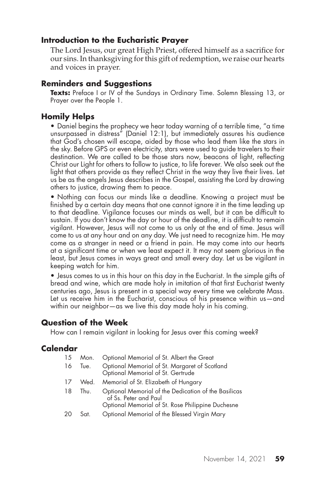#### **Introduction to the Eucharistic Prayer**

The Lord Jesus, our great High Priest, offered himself as a sacrifice for our sins. In thanksgiving for this gift of redemption, we raise our hearts and voices in prayer.

#### **Reminders and Suggestions**

Texts: Preface I or IV of the Sundays in Ordinary Time. Solemn Blessing 13, or Prayer over the People 1.

#### **Homily Helps**

• Daniel begins the prophecy we hear today warning of a terrible time, "a time unsurpassed in distress" (Daniel 12:1), but immediately assures his audience that God's chosen will escape, aided by those who lead them like the stars in the sky. Before GPS or even electricity, stars were used to guide travelers to their destination. We are called to be those stars now, beacons of light, reflecting Christ our Light for others to follow to justice, to life forever. We also seek out the light that others provide as they reflect Christ in the way they live their lives. Let us be as the angels Jesus describes in the Gospel, assisting the Lord by drawing others to justice, drawing them to peace.

• Nothing can focus our minds like a deadline. Knowing a project must be finished by a certain day means that one cannot ignore it in the time leading up to that deadline. Vigilance focuses our minds as well, but it can be difficult to sustain. If you don't know the day or hour of the deadline, it is difficult to remain vigilant. However, Jesus will not come to us only at the end of time. Jesus will come to us at any hour and on any day. We just need to recognize him. He may come as a stranger in need or a friend in pain. He may come into our hearts at a significant time or when we least expect it. It may not seem glorious in the least, but Jesus comes in ways great and small every day. Let us be vigilant in keeping watch for him.

• Jesus comes to us in this hour on this day in the Eucharist. In the simple gifts of bread and wine, which are made holy in imitation of that first Eucharist twenty centuries ago, Jesus is present in a special way every time we celebrate Mass. Let us receive him in the Eucharist, conscious of his presence within us—and within our neighbor—as we live this day made holy in his coming.

#### **Question of the Week**

How can I remain vigilant in looking for Jesus over this coming week?

#### **Calendar**

| 15 | Mon. | Optional Memorial of St. Albert the Great                                                                                          |
|----|------|------------------------------------------------------------------------------------------------------------------------------------|
| 16 | Tue. | Optional Memorial of St. Margaret of Scotland<br>Optional Memorial of St. Gertrude                                                 |
| 17 | Wed. | Memorial of St. Elizabeth of Hungary                                                                                               |
| 18 | Thu. | Optional Memorial of the Dedication of the Basilicas<br>of Ss. Peter and Paul<br>Optional Memorial of St. Rose Philippine Duchesne |
| 20 | Sat. | Optional Memorial of the Blessed Virgin Mary                                                                                       |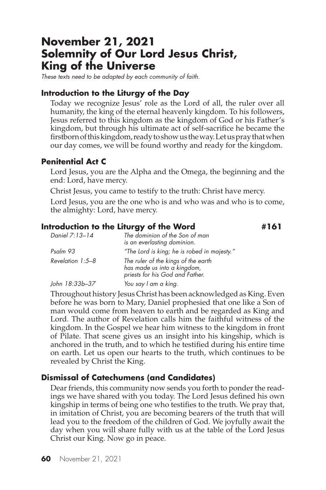# **November 21, 2021 Solemnity of Our Lord Jesus Christ, King of the Universe**

*These texts need to be adapted by each community of faith.*

#### **Introduction to the Liturgy of the Day**

Today we recognize Jesus' role as the Lord of all, the ruler over all humanity, the king of the eternal heavenly kingdom. To his followers, Jesus referred to this kingdom as the kingdom of God or his Father's kingdom, but through his ultimate act of self-sacrifice he became the firstborn of this kingdom, ready to show us the way. Let us pray that when our day comes, we will be found worthy and ready for the kingdom.

#### **Penitential Act C**

Lord Jesus, you are the Alpha and the Omega, the beginning and the end: Lord, have mercy.

Christ Jesus, you came to testify to the truth: Christ have mercy.

Lord Jesus, you are the one who is and who was and who is to come, the almighty: Lord, have mercy.

#### **Introduction to the Liturgy of the Word #161**

| Daniel 7:13-14     | The dominion of the Son of man<br>is an everlasting dominion.                                         |  |
|--------------------|-------------------------------------------------------------------------------------------------------|--|
| Psalm 93           | "The Lord is king; he is robed in majesty."                                                           |  |
| Revelation $1:5-8$ | The ruler of the kings of the earth<br>has made us into a kingdom,<br>priests for his God and Father. |  |
| John 18:33b-37     | You say I am a king.                                                                                  |  |

Throughout history Jesus Christ has been acknowledged as King. Even before he was born to Mary, Daniel prophesied that one like a Son of man would come from heaven to earth and be regarded as King and Lord. The author of Revelation calls him the faithful witness of the kingdom. In the Gospel we hear him witness to the kingdom in front of Pilate. That scene gives us an insight into his kingship, which is anchored in the truth, and to which he testified during his entire time on earth. Let us open our hearts to the truth, which continues to be revealed by Christ the King.

#### **Dismissal of Catechumens (and Candidates)**

Dear friends, this community now sends you forth to ponder the readings we have shared with you today. The Lord Jesus defined his own kingship in terms of being one who testifies to the truth. We pray that, in imitation of Christ, you are becoming bearers of the truth that will lead you to the freedom of the children of God. We joyfully await the day when you will share fully with us at the table of the Lord Jesus Christ our King. Now go in peace.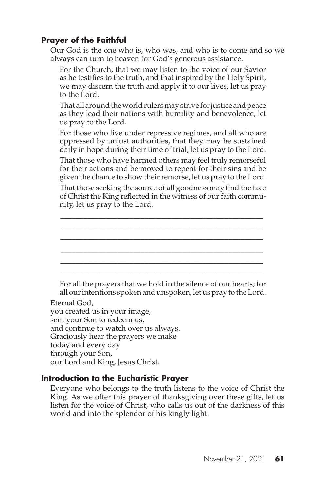Our God is the one who is, who was, and who is to come and so we always can turn to heaven for God's generous assistance.

For the Church, that we may listen to the voice of our Savior as he testifies to the truth, and that inspired by the Holy Spirit, we may discern the truth and apply it to our lives, let us pray to the Lord.

That all around the world rulers may strive for justice and peace as they lead their nations with humility and benevolence, let us pray to the Lord.

For those who live under repressive regimes, and all who are oppressed by unjust authorities, that they may be sustained daily in hope during their time of trial, let us pray to the Lord.

That those who have harmed others may feel truly remorseful for their actions and be moved to repent for their sins and be given the chance to show their remorse, let us pray to the Lord.

That those seeking the source of all goodness may find the face of Christ the King reflected in the witness of our faith community, let us pray to the Lord.

\_\_\_\_\_\_\_\_\_\_\_\_\_\_\_\_\_\_\_\_\_\_\_\_\_\_\_\_\_\_\_\_\_\_\_\_\_\_\_\_\_\_\_\_\_\_\_\_\_\_\_\_\_ \_\_\_\_\_\_\_\_\_\_\_\_\_\_\_\_\_\_\_\_\_\_\_\_\_\_\_\_\_\_\_\_\_\_\_\_\_\_\_\_\_\_\_\_\_\_\_\_\_\_\_\_\_ \_\_\_\_\_\_\_\_\_\_\_\_\_\_\_\_\_\_\_\_\_\_\_\_\_\_\_\_\_\_\_\_\_\_\_\_\_\_\_\_\_\_\_\_\_\_\_\_\_\_\_\_\_ \_\_\_\_\_\_\_\_\_\_\_\_\_\_\_\_\_\_\_\_\_\_\_\_\_\_\_\_\_\_\_\_\_\_\_\_\_\_\_\_\_\_\_\_\_\_\_\_\_\_\_\_\_ \_\_\_\_\_\_\_\_\_\_\_\_\_\_\_\_\_\_\_\_\_\_\_\_\_\_\_\_\_\_\_\_\_\_\_\_\_\_\_\_\_\_\_\_\_\_\_\_\_\_\_\_\_ \_\_\_\_\_\_\_\_\_\_\_\_\_\_\_\_\_\_\_\_\_\_\_\_\_\_\_\_\_\_\_\_\_\_\_\_\_\_\_\_\_\_\_\_\_\_\_\_\_\_\_\_\_

For all the prayers that we hold in the silence of our hearts; for all our intentions spoken and unspoken, let us pray to the Lord.

Eternal God, you created us in your image, sent your Son to redeem us, and continue to watch over us always. Graciously hear the prayers we make today and every day through your Son, our Lord and King, Jesus Christ.

# **Introduction to the Eucharistic Prayer**

Everyone who belongs to the truth listens to the voice of Christ the King. As we offer this prayer of thanksgiving over these gifts, let us listen for the voice of Christ, who calls us out of the darkness of this world and into the splendor of his kingly light.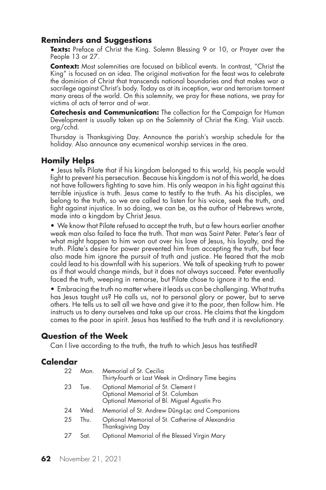#### **Reminders and Suggestions**

**Texts:** Preface of Christ the King. Solemn Blessing 9 or 10, or Prayer over the People 13 or 27.

**Context:** Most solemnities are focused on biblical events. In contrast, "Christ the King" is focused on an idea. The original motivation for the feast was to celebrate the dominion of Christ that transcends national boundaries and that makes war a sacrilege against Christ's body. Today as at its inception, war and terrorism torment many areas of the world. On this solemnity, we pray for these nations, we pray for victims of acts of terror and of war.

**Catechesis and Communication:** The collection for the Campaign for Human Development is usually taken up on the Solemnity of Christ the King. Visit usccb. org/cchd.

Thursday is Thanksgiving Day. Announce the parish's worship schedule for the holiday. Also announce any ecumenical worship services in the area.

# **Homily Helps**

• Jesus tells Pilate that if his kingdom belonged to this world, his people would fight to prevent his persecution. Because his kingdom is not of this world, he does not have followers fighting to save him. His only weapon in his fight against this terrible injustice is truth. Jesus came to testify to the truth. As his disciples, we belong to the truth, so we are called to listen for his voice, seek the truth, and fight against injustice. In so doing, we can be, as the author of Hebrews wrote, made into a kingdom by Christ Jesus.

• We know that Pilate refused to accept the truth, but a few hours earlier another weak man also failed to face the truth. That man was Saint Peter. Peter's fear of what might happen to him won out over his love of Jesus, his loyalty, and the truth. Pilate's desire for power prevented him from accepting the truth, but fear also made him ignore the pursuit of truth and justice. He feared that the mob could lead to his downfall with his superiors. We talk of speaking truth to power as if that would change minds, but it does not always succeed. Peter eventually faced the truth, weeping in remorse, but Pilate chose to ignore it to the end.

• Embracing the truth no matter where it leads us can be challenging. What truths has Jesus taught us? He calls us, not to personal glory or power, but to serve others. He tells us to sell all we have and give it to the poor, then follow him. He instructs us to deny ourselves and take up our cross. He claims that the kingdom comes to the poor in spirit. Jesus has testified to the truth and it is revolutionary.

#### **Question of the Week**

Can I live according to the truth, the truth to which Jesus has testified?

#### **Calendar**

| 22 | Mon. | Memorial of St. Cecilia<br>Thirty-fourth or Last Week in Ordinary Time begins                                          |
|----|------|------------------------------------------------------------------------------------------------------------------------|
| 23 | Tue. | Optional Memorial of St. Clement I<br>Optional Memorial of St. Columban<br>Optional Memorial of Bl. Miguel Agustín Pro |
| 24 | Wed. | Memorial of St. Andrew Düng-Lac and Companions                                                                         |
| 25 | Thu. | Optional Memorial of St. Catherine of Alexandria<br>Thanksgiving Day                                                   |
| 27 | Sat. | Optional Memorial of the Blessed Virgin Mary                                                                           |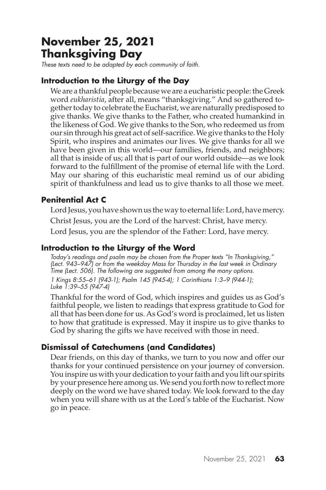# **November 25, 2021 Thanksgiving Day**

*These texts need to be adapted by each community of faith.*

# **Introduction to the Liturgy of the Day**

We are a thankful people because we are a eucharistic people: the Greek word *eukharistia*, after all, means "thanksgiving." And so gathered together today to celebrate the Eucharist, we are naturally predisposed to give thanks. We give thanks to the Father, who created humankind in the likeness of God. We give thanks to the Son, who redeemed us from our sin through his great act of self-sacrifice. We give thanks to the Holy Spirit, who inspires and animates our lives. We give thanks for all we have been given in this world—our families, friends, and neighbors; all that is inside of us; all that is part of our world outside—as we look forward to the fulfillment of the promise of eternal life with the Lord. May our sharing of this eucharistic meal remind us of our abiding spirit of thankfulness and lead us to give thanks to all those we meet.

# **Penitential Act C**

Lord Jesus, you have shown us the way to eternal life: Lord, have mercy. Christ Jesus, you are the Lord of the harvest: Christ, have mercy. Lord Jesus, you are the splendor of the Father: Lord, have mercy.

# **Introduction to the Liturgy of the Word**

*Today's readings and psalm may be chosen from the Proper texts "In Thanksgiving," (Lect. 943–947) or from the weekday Mass for Thursday in the last week in Ordinary Time (Lect. 506). The following are suggested from among the many options. 1 Kings 8:55–61 (943-1); Psalm 145 (945-4); 1 Corinthians 1:3–9 (944-1); Luke 1:39–55 (947-4)*

Thankful for the word of God, which inspires and guides us as God's faithful people, we listen to readings that express gratitude to God for all that has been done for us. As God's word is proclaimed, let us listen to how that gratitude is expressed. May it inspire us to give thanks to God by sharing the gifts we have received with those in need.

# **Dismissal of Catechumens (and Candidates)**

Dear friends, on this day of thanks, we turn to you now and offer our thanks for your continued persistence on your journey of conversion. You inspire us with your dedication to your faith and you lift our spirits by your presence here among us. We send you forth now to reflect more deeply on the word we have shared today. We look forward to the day when you will share with us at the Lord's table of the Eucharist. Now go in peace.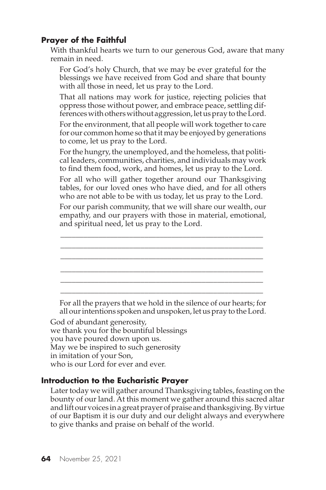With thankful hearts we turn to our generous God, aware that many remain in need.

For God's holy Church, that we may be ever grateful for the blessings we have received from God and share that bounty with all those in need, let us pray to the Lord.

That all nations may work for justice, rejecting policies that oppress those without power, and embrace peace, settling differences with others without aggression, let us pray to the Lord.

For the environment, that all people will work together to care for our common home so that it may be enjoyed by generations to come, let us pray to the Lord.

For the hungry, the unemployed, and the homeless, that political leaders, communities, charities, and individuals may work to find them food, work, and homes, let us pray to the Lord.

For all who will gather together around our Thanksgiving tables, for our loved ones who have died, and for all others who are not able to be with us today, let us pray to the Lord.

For our parish community, that we will share our wealth, our empathy, and our prayers with those in material, emotional, and spiritual need, let us pray to the Lord.



For all the prayers that we hold in the silence of our hearts; for all our intentions spoken and unspoken, let us pray to the Lord.

God of abundant generosity, we thank you for the bountiful blessings you have poured down upon us. May we be inspired to such generosity in imitation of your Son, who is our Lord for ever and ever.

#### **Introduction to the Eucharistic Prayer**

Later today we will gather around Thanksgiving tables, feasting on the bounty of our land. At this moment we gather around this sacred altar and lift our voices in a great prayer of praise and thanksgiving. By virtue of our Baptism it is our duty and our delight always and everywhere to give thanks and praise on behalf of the world.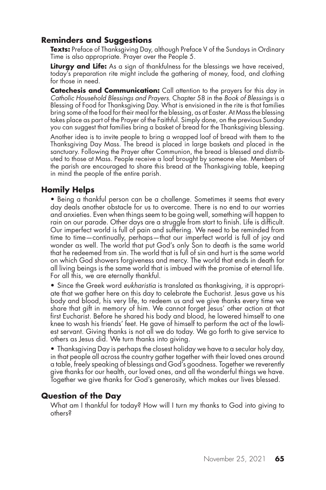# **Reminders and Suggestions**

**Texts:** Preface of Thanksgiving Day, although Preface V of the Sundays in Ordinary Time is also appropriate. Prayer over the People 5.

**Liturgy and Life:** As a sign of thankfulness for the blessings we have received, today's preparation rite might include the gathering of money, food, and clothing for those in need.

**Catechesis and Communication:** Call attention to the prayers for this day in *Catholic Household Blessings and Prayers*. Chapter 58 in the *Book of Blessings* is a Blessing of Food for Thanksgiving Day. What is envisioned in the rite is that families bring some of the food for their meal for the blessing, as at Easter. At Mass the blessing takes place as part of the Prayer of the Faithful. Simply done, on the previous Sunday you can suggest that families bring a basket of bread for the Thanksgiving blessing.

Another idea is to invite people to bring a wrapped loaf of bread with them to the Thanksgiving Day Mass. The bread is placed in large baskets and placed in the sanctuary. Following the Prayer after Communion, the bread is blessed and distributed to those at Mass. People receive a loaf brought by someone else. Members of the parish are encouraged to share this bread at the Thanksgiving table, keeping in mind the people of the entire parish.

### **Homily Helps**

• Being a thankful person can be a challenge. Sometimes it seems that every day deals another obstacle for us to overcome. There is no end to our worries and anxieties. Even when things seem to be going well, something will happen to rain on our parade. Other days are a struggle from start to finish. Life is difficult. Our imperfect world is full of pain and suffering. We need to be reminded from time to time—continually, perhaps—that our imperfect world is full of joy and wonder as well. The world that put God's only Son to death is the same world that he redeemed from sin. The world that is full of sin and hurt is the same world on which God showers forgiveness and mercy. The world that ends in death for all living beings is the same world that is imbued with the promise of eternal life. For all this, we are eternally thankful.

• Since the Greek word *eukharistia* is translated as thanksgiving, it is appropriate that we gather here on this day to celebrate the Eucharist. Jesus gave us his body and blood, his very life, to redeem us and we give thanks every time we share that gift in memory of him. We cannot forget Jesus' other action at that first Eucharist. Before he shared his body and blood, he lowered himself to one knee to wash his friends' feet. He gave of himself to perform the act of the lowliest servant. Giving thanks is not all we do today. We go forth to give service to others as Jesus did. We turn thanks into giving.

• Thanksgiving Day is perhaps the closest holiday we have to a secular holy day, in that people all across the country gather together with their loved ones around a table, freely speaking of blessings and God's goodness. Together we reverently give thanks for our health, our loved ones, and all the wonderful things we have. Together we give thanks for God's generosity, which makes our lives blessed.

#### **Question of the Day**

What am I thankful for today? How will I turn my thanks to God into giving to others?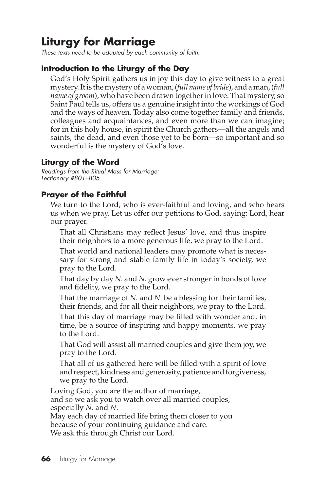# **Liturgy for Marriage**

*These texts need to be adapted by each community of faith.*

# **Introduction to the Liturgy of the Day**

God's Holy Spirit gathers us in joy this day to give witness to a great mystery. It is the mystery of a woman, (*full name of bride*), and a man, (*full name of groom*), who have been drawn together in love. That mystery, so Saint Paul tells us, offers us a genuine insight into the workings of God and the ways of heaven. Today also come together family and friends, colleagues and acquaintances, and even more than we can imagine; for in this holy house, in spirit the Church gathers—all the angels and saints, the dead, and even those yet to be born—so important and so wonderful is the mystery of God's love.

#### **Liturgy of the Word**

*Readings from the Ritual Mass for Marriage: Lectionary #801–805*

#### **Prayer of the Faithful**

We turn to the Lord, who is ever-faithful and loving, and who hears us when we pray. Let us offer our petitions to God, saying: Lord, hear our prayer.

That all Christians may reflect Jesus' love, and thus inspire their neighbors to a more generous life, we pray to the Lord.

That world and national leaders may promote what is necessary for strong and stable family life in today's society, we pray to the Lord.

That day by day *N.* and *N.* grow ever stronger in bonds of love and fidelity, we pray to the Lord.

That the marriage of *N.* and *N.* be a blessing for their families, their friends, and for all their neighbors, we pray to the Lord.

That this day of marriage may be filled with wonder and, in time, be a source of inspiring and happy moments, we pray to the Lord.

That God will assist all married couples and give them joy, we pray to the Lord.

That all of us gathered here will be filled with a spirit of love and respect, kindness and generosity, patience and forgiveness, we pray to the Lord.

Loving God, you are the author of marriage, and so we ask you to watch over all married couples, especially *N.* and *N*.

May each day of married life bring them closer to you because of your continuing guidance and care. We ask this through Christ our Lord.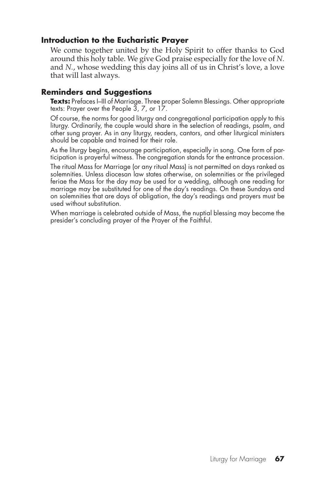#### **Introduction to the Eucharistic Prayer**

We come together united by the Holy Spirit to offer thanks to God around this holy table. We give God praise especially for the love of *N.* and *N.*, whose wedding this day joins all of us in Christ's love, a love that will last always.

#### **Reminders and Suggestions**

**Texts:** Prefaces I–III of Marriage. Three proper Solemn Blessings. Other appropriate texts: Prayer over the People 3, 7, or 17.

Of course, the norms for good liturgy and congregational participation apply to this liturgy. Ordinarily, the couple would share in the selection of readings, psalm, and other sung prayer. As in any liturgy, readers, cantors, and other liturgical ministers should be capable and trained for their role.

As the liturgy begins, encourage participation, especially in song. One form of participation is prayerful witness. The congregation stands for the entrance procession.

The ritual Mass for Marriage (or any ritual Mass) is not permitted on days ranked as solemnities. Unless diocesan law states otherwise, on solemnities or the privileged feriae the Mass for the day may be used for a wedding, although one reading for marriage may be substituted for one of the day's readings. On these Sundays and on solemnities that are days of obligation, the day's readings and prayers must be used without substitution.

When marriage is celebrated outside of Mass, the nuptial blessing may become the presider's concluding prayer of the Prayer of the Faithful.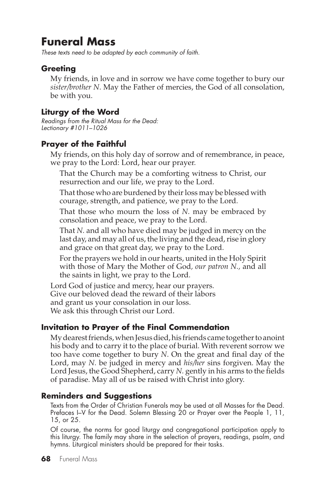# **Funeral Mass**

*These texts need to be adapted by each community of faith.*

# **Greeting**

My friends, in love and in sorrow we have come together to bury our *sister/brother N*. May the Father of mercies, the God of all consolation, be with you.

## **Liturgy of the Word**

*Readings from the Ritual Mass for the Dead: Lectionary #1011–1026*

### **Prayer of the Faithful**

My friends, on this holy day of sorrow and of remembrance, in peace, we pray to the Lord: Lord, hear our prayer.

That the Church may be a comforting witness to Christ, our resurrection and our life, we pray to the Lord.

That those who are burdened by their loss may be blessed with courage, strength, and patience, we pray to the Lord.

That those who mourn the loss of *N.* may be embraced by consolation and peace, we pray to the Lord.

That *N.* and all who have died may be judged in mercy on the last day, and may all of us, the living and the dead, rise in glory and grace on that great day, we pray to the Lord.

For the prayers we hold in our hearts, united in the Holy Spirit with those of Mary the Mother of God*, our patron N.,* and all the saints in light, we pray to the Lord.

Lord God of justice and mercy, hear our prayers. Give our beloved dead the reward of their labors and grant us your consolation in our loss. We ask this through Christ our Lord.

#### **Invitation to Prayer of the Final Commendation**

My dearest friends, when Jesus died, his friends came together to anoint his body and to carry it to the place of burial. With reverent sorrow we too have come together to bury *N*. On the great and final day of the Lord, may *N.* be judged in mercy and *his/her* sins forgiven. May the Lord Jesus, the Good Shepherd, carry *N.* gently in his arms to the fields of paradise. May all of us be raised with Christ into glory.

#### **Reminders and Suggestions**

Texts from the Order of Christian Funerals may be used at all Masses for the Dead. Prefaces I–V for the Dead. Solemn Blessing 20 or Prayer over the People 1, 11, 15, or 25.

Of course, the norms for good liturgy and congregational participation apply to this liturgy. The family may share in the selection of prayers, readings, psalm, and hymns. Liturgical ministers should be prepared for their tasks.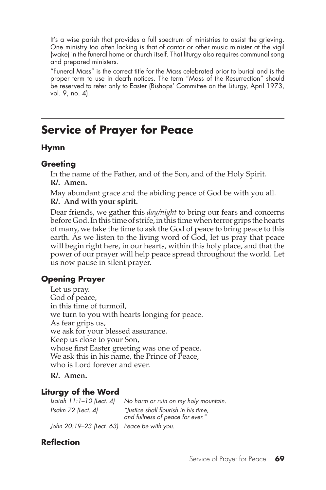It's a wise parish that provides a full spectrum of ministries to assist the grieving. One ministry too often lacking is that of cantor or other music minister at the vigil (wake) in the funeral home or church itself. That liturgy also requires communal song and prepared ministers.

"Funeral Mass" is the correct title for the Mass celebrated prior to burial and is the proper term to use in death notices. The term "Mass of the Resurrection" should be reserved to refer only to Easter (Bishops' Committee on the Liturgy, April 1973, vol. 9, no. 4).

# **Service of Prayer for Peace**

#### **Hymn**

#### **Greeting**

In the name of the Father, and of the Son, and of the Holy Spirit. **R/. Amen.**

May abundant grace and the abiding peace of God be with you all. **R/. And with your spirit.**

Dear friends, we gather this *day/night* to bring our fears and concerns before God. In this time of strife, in this time when terror grips the hearts of many, we take the time to ask the God of peace to bring peace to this earth. As we listen to the living word of God, let us pray that peace will begin right here, in our hearts, within this holy place, and that the power of our prayer will help peace spread throughout the world. Let us now pause in silent prayer.

# **Opening Prayer**

Let us pray. God of peace, in this time of turmoil, we turn to you with hearts longing for peace. As fear grips us, we ask for your blessed assurance. Keep us close to your Son, whose first Easter greeting was one of peace. We ask this in his name, the Prince of Peace, who is Lord forever and ever.

**R/. Amen.**

# **Liturgy of the Word**

*Isaiah 11:1–10 (Lect. 4) No harm or ruin on my holy mountain. Psalm 72 (Lect. 4) "Justice shall flourish in his time, and fullness of peace for ever." John 20:19–23 (Lect. 63) Peace be with you.*

# **Reflection**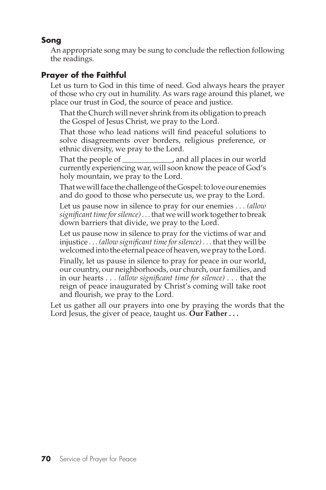# **Song**

An appropriate song may be sung to conclude the reflection following the readings.

# **Prayer of the Faithful**

Let us turn to God in this time of need. God always hears the prayer of those who cry out in humility. As wars rage around this planet, we place our trust in God, the source of peace and justice.

That the Church will never shrink from its obligation to preach the Gospel of Jesus Christ, we pray to the Lord.

That those who lead nations will find peaceful solutions to solve disagreements over borders, religious preference, or ethnic diversity, we pray to the Lord.

That the people of \_\_\_\_\_\_\_\_\_\_\_\_\_, and all places in our world currently experiencing war, will soon know the peace of God's holy mountain, we pray to the Lord.

That we will face the challenge of the Gospel: to love our enemies and do good to those who persecute us, we pray to the Lord.

Let us pause now in silence to pray for our enemies *. . . (allow significant time for silence) . . .* that we will work together to break down barriers that divide, we pray to the Lord.

Let us pause now in silence to pray for the victims of war and injustice *. . . (allow significant time for silence) . . .* that they will be welcomed into the eternal peace of heaven, we pray to the Lord.

Finally, let us pause in silence to pray for peace in our world, our country, our neighborhoods, our church, our families, and in our hearts *. . . (allow significant time for silence) . . .* that the reign of peace inaugurated by Christ's coming will take root and flourish, we pray to the Lord.

Let us gather all our prayers into one by praying the words that the Lord Jesus, the giver of peace, taught us. **Our Father . . .**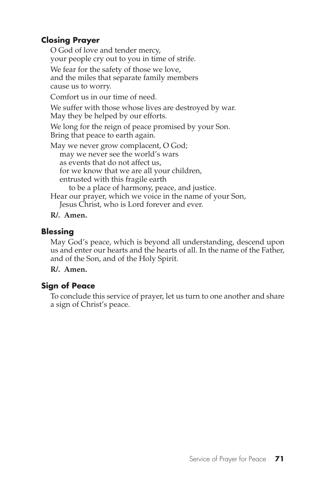# **Closing Prayer**

O God of love and tender mercy, your people cry out to you in time of strife.

We fear for the safety of those we love, and the miles that separate family members cause us to worry.

Comfort us in our time of need.

We suffer with those whose lives are destroyed by war. May they be helped by our efforts.

We long for the reign of peace promised by your Son. Bring that peace to earth again.

May we never grow complacent, O God; may we never see the world's wars as events that do not affect us, for we know that we are all your children, entrusted with this fragile earth to be a place of harmony, peace, and justice. Hear our prayer, which we voice in the name of your Son, Jesus Christ, who is Lord forever and ever.

**R/. Amen.**

# **Blessing**

May God's peace, which is beyond all understanding, descend upon us and enter our hearts and the hearts of all. In the name of the Father, and of the Son, and of the Holy Spirit.

**R/. Amen.**

# **Sign of Peace**

To conclude this service of prayer, let us turn to one another and share a sign of Christ's peace.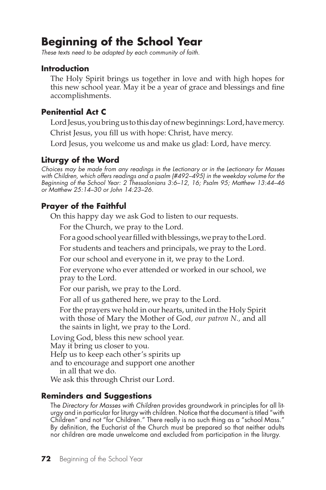# **Beginning of the School Year**

*These texts need to be adapted by each community of faith.*

#### **Introduction**

The Holy Spirit brings us together in love and with high hopes for this new school year. May it be a year of grace and blessings and fine accomplishments.

## **Penitential Act C**

Lord Jesus, you bring us to this day of new beginnings: Lord, have mercy.

Christ Jesus, you fill us with hope: Christ, have mercy.

Lord Jesus, you welcome us and make us glad: Lord, have mercy.

# **Liturgy of the Word**

*Choices may be made from any readings in the Lectionary or in the Lectionary for Masses with Children, which offers readings and a psalm (#492–495) in the weekday volume for the Beginning of the School Year: 2 Thessalonians 3:6–12, 16; Psalm 95; Matthew 13:44–46 or Matthew 25:14–30 or John 14:23–26.*

# **Prayer of the Faithful**

On this happy day we ask God to listen to our requests.

For the Church, we pray to the Lord.

For a good school year filled with blessings, we pray to the Lord.

For students and teachers and principals, we pray to the Lord.

For our school and everyone in it, we pray to the Lord.

For everyone who ever attended or worked in our school, we pray to the Lord.

For our parish, we pray to the Lord.

For all of us gathered here, we pray to the Lord.

For the prayers we hold in our hearts, united in the Holy Spirit with those of Mary the Mother of God*, our patron N.,* and all the saints in light, we pray to the Lord.

Loving God, bless this new school year. May it bring us closer to you. Help us to keep each other's spirits up and to encourage and support one another in all that we do.

We ask this through Christ our Lord.

# **Reminders and Suggestions**

The *Directory for Masses with Children* provides groundwork in principles for all liturgy and in particular for liturgy with children. Notice that the document is titled "with Children" and not "for Children." There really is no such thing as a "school Mass." By definition, the Eucharist of the Church must be prepared so that neither adults nor children are made unwelcome and excluded from participation in the liturgy.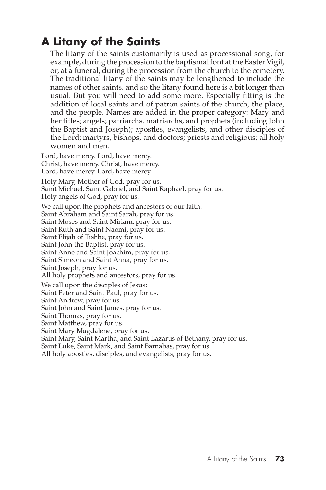# **A Litany of the Saints**

The litany of the saints customarily is used as processional song, for example, during the procession to the baptismal font at the Easter Vigil, or, at a funeral, during the procession from the church to the cemetery. The traditional litany of the saints may be lengthened to include the names of other saints, and so the litany found here is a bit longer than usual. But you will need to add some more. Especially fitting is the addition of local saints and of patron saints of the church, the place, and the people. Names are added in the proper category: Mary and her titles; angels; patriarchs, matriarchs, and prophets (including John the Baptist and Joseph); apostles, evangelists, and other disciples of the Lord; martyrs, bishops, and doctors; priests and religious; all holy women and men.

Lord, have mercy. Lord, have mercy. Christ, have mercy. Christ, have mercy. Lord, have mercy. Lord, have mercy.

Holy Mary, Mother of God, pray for us. Saint Michael, Saint Gabriel, and Saint Raphael, pray for us. Holy angels of God, pray for us.

We call upon the prophets and ancestors of our faith: Saint Abraham and Saint Sarah, pray for us. Saint Moses and Saint Miriam, pray for us. Saint Ruth and Saint Naomi, pray for us. Saint Elijah of Tishbe, pray for us. Saint John the Baptist, pray for us. Saint Anne and Saint Joachim, pray for us. Saint Simeon and Saint Anna, pray for us. Saint Joseph, pray for us. All holy prophets and ancestors, pray for us. We call upon the disciples of Jesus: Saint Peter and Saint Paul, pray for us. Saint Andrew, pray for us. Saint John and Saint James, pray for us. Saint Thomas, pray for us. Saint Matthew, pray for us. Saint Mary Magdalene, pray for us. Saint Mary, Saint Martha, and Saint Lazarus of Bethany, pray for us. Saint Luke, Saint Mark, and Saint Barnabas, pray for us.

All holy apostles, disciples, and evangelists, pray for us.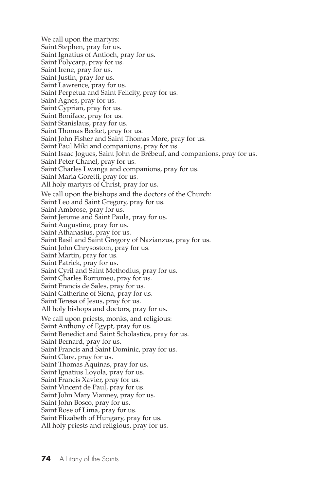We call upon the martyrs: Saint Stephen, pray for us. Saint Ignatius of Antioch, pray for us. Saint Polycarp, pray for us. Saint Irene, pray for us. Saint Justin, pray for us. Saint Lawrence, pray for us. Saint Perpetua and Saint Felicity, pray for us. Saint Agnes, pray for us. Saint Cyprian, pray for us. Saint Boniface, pray for us. Saint Stanislaus, pray for us. Saint Thomas Becket, pray for us. Saint John Fisher and Saint Thomas More, pray for us. Saint Paul Miki and companions, pray for us. Saint Isaac Jogues, Saint John de Brébeuf, and companions, pray for us. Saint Peter Chanel, pray for us. Saint Charles Lwanga and companions, pray for us. Saint Maria Goretti, pray for us. All holy martyrs of Christ, pray for us. We call upon the bishops and the doctors of the Church: Saint Leo and Saint Gregory, pray for us. Saint Ambrose, pray for us. Saint Jerome and Saint Paula, pray for us. Saint Augustine, pray for us. Saint Athanasius, pray for us. Saint Basil and Saint Gregory of Nazianzus, pray for us. Saint John Chrysostom, pray for us. Saint Martin, pray for us. Saint Patrick, pray for us. Saint Cyril and Saint Methodius, pray for us. Saint Charles Borromeo, pray for us. Saint Francis de Sales, pray for us. Saint Catherine of Siena, pray for us. Saint Teresa of Jesus, pray for us. All holy bishops and doctors, pray for us. We call upon priests, monks, and religious: Saint Anthony of Egypt, pray for us. Saint Benedict and Saint Scholastica, pray for us. Saint Bernard, pray for us. Saint Francis and Saint Dominic, pray for us. Saint Clare, pray for us. Saint Thomas Aquinas, pray for us. Saint Ignatius Loyola, pray for us. Saint Francis Xavier, pray for us. Saint Vincent de Paul, pray for us. Saint John Mary Vianney, pray for us. Saint John Bosco, pray for us. Saint Rose of Lima, pray for us. Saint Elizabeth of Hungary, pray for us. All holy priests and religious, pray for us.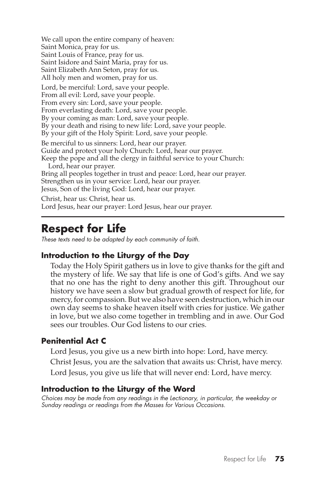We call upon the entire company of heaven: Saint Monica, pray for us. Saint Louis of France, pray for us. Saint Isidore and Saint Maria, pray for us. Saint Elizabeth Ann Seton, pray for us. All holy men and women, pray for us.

Lord, be merciful: Lord, save your people. From all evil: Lord, save your people. From every sin: Lord, save your people. From everlasting death: Lord, save your people. By your coming as man: Lord, save your people. By your death and rising to new life: Lord, save your people. By your gift of the Holy Spirit: Lord, save your people.

Be merciful to us sinners: Lord, hear our prayer. Guide and protect your holy Church: Lord, hear our prayer. Keep the pope and all the clergy in faithful service to your Church:

Lord, hear our prayer. Bring all peoples together in trust and peace: Lord, hear our prayer. Strengthen us in your service: Lord, hear our prayer. Jesus, Son of the living God: Lord, hear our prayer.

Christ, hear us: Christ, hear us. Lord Jesus, hear our prayer: Lord Jesus, hear our prayer.

# **Respect for Life**

*These texts need to be adapted by each community of faith.*

# **Introduction to the Liturgy of the Day**

Today the Holy Spirit gathers us in love to give thanks for the gift and the mystery of life. We say that life is one of God's gifts. And we say that no one has the right to deny another this gift. Throughout our history we have seen a slow but gradual growth of respect for life, for mercy, for compassion. But we also have seen destruction, which in our own day seems to shake heaven itself with cries for justice. We gather in love, but we also come together in trembling and in awe. Our God sees our troubles. Our God listens to our cries.

# **Penitential Act C**

Lord Jesus, you give us a new birth into hope: Lord, have mercy.

Christ Jesus, you are the salvation that awaits us: Christ, have mercy.

Lord Jesus, you give us life that will never end: Lord, have mercy.

# **Introduction to the Liturgy of the Word**

*Choices may be made from any readings in the Lectionary, in particular, the weekday or Sunday readings or readings from the Masses for Various Occasions.*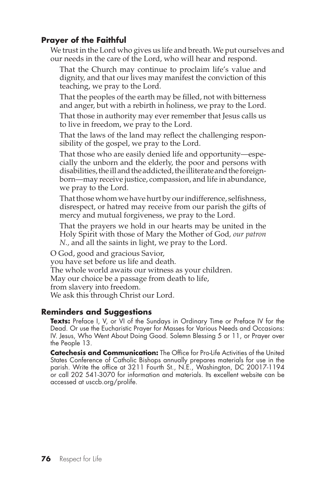# **Prayer of the Faithful**

We trust in the Lord who gives us life and breath. We put ourselves and our needs in the care of the Lord, who will hear and respond.

That the Church may continue to proclaim life's value and dignity, and that our lives may manifest the conviction of this teaching, we pray to the Lord.

That the peoples of the earth may be filled, not with bitterness and anger, but with a rebirth in holiness, we pray to the Lord.

That those in authority may ever remember that Jesus calls us to live in freedom, we pray to the Lord.

That the laws of the land may reflect the challenging responsibility of the gospel, we pray to the Lord.

That those who are easily denied life and opportunity—especially the unborn and the elderly, the poor and persons with disabilities, the ill and the addicted, the illiterate and the foreignborn—may receive justice, compassion, and life in abundance, we pray to the Lord.

That those whom we have hurt by our indifference, selfishness, disrespect, or hatred may receive from our parish the gifts of mercy and mutual forgiveness, we pray to the Lord.

That the prayers we hold in our hearts may be united in the Holy Spirit with those of Mary the Mother of God*, our patron N.,* and all the saints in light, we pray to the Lord.

O God, good and gracious Savior,

you have set before us life and death.

The whole world awaits our witness as your children.

May our choice be a passage from death to life,

from slavery into freedom.

We ask this through Christ our Lord.

#### **Reminders and Suggestions**

**Texts:** Preface I, V, or VI of the Sundays in Ordinary Time or Preface IV for the Dead. Or use the Eucharistic Prayer for Masses for Various Needs and Occasions: IV. Jesus, Who Went About Doing Good. Solemn Blessing 5 or 11, or Prayer over the People 13.

**Catechesis and Communication:** The Office for Pro-Life Activities of the United States Conference of Catholic Bishops annually prepares materials for use in the parish. Write the office at 3211 Fourth St., N.E., Washington, DC 20017-1194 or call 202 541-3070 for information and materials. Its excellent website can be accessed at usccb.org/prolife.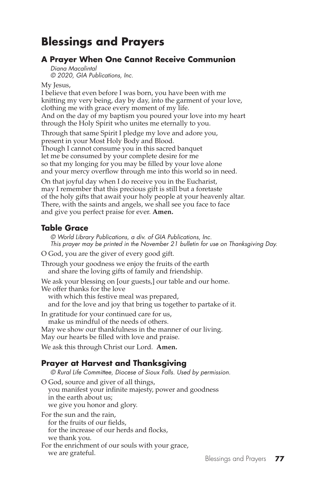# **Blessings and Prayers**

### **A Prayer When One Cannot Receive Communion**

*Diana Macalintal © 2020, GIA Publications, Inc.*

My Jesus,

I believe that even before I was born, you have been with me knitting my very being, day by day, into the garment of your love, clothing me with grace every moment of my life. And on the day of my baptism you poured your love into my heart through the Holy Spirit who unites me eternally to you.

Through that same Spirit I pledge my love and adore you, present in your Most Holy Body and Blood. Though I cannot consume you in this sacred banquet let me be consumed by your complete desire for me so that my longing for you may be filled by your love alone and your mercy overflow through me into this world so in need.

On that joyful day when I do receive you in the Eucharist, may I remember that this precious gift is still but a foretaste of the holy gifts that await your holy people at your heavenly altar. There, with the saints and angels, we shall see you face to face and give you perfect praise for ever. **Amen.**

### **Table Grace**

*© World Library Publications, a div. of GIA Publications, Inc. This prayer may be printed in the November 21 bulletin for use on Thanksgiving Day.*

O God, you are the giver of every good gift.

Through your goodness we enjoy the fruits of the earth and share the loving gifts of family and friendship.

We ask your blessing on [our guests,] our table and our home.

We offer thanks for the love

with which this festive meal was prepared,

and for the love and joy that bring us together to partake of it.

In gratitude for your continued care for us, make us mindful of the needs of others.

May we show our thankfulness in the manner of our living.

May our hearts be filled with love and praise.

We ask this through Christ our Lord. **Amen.**

# **Prayer at Harvest and Thanksgiving**

*© Rural Life Committee, Diocese of Sioux Falls. Used by permission.*

O God, source and giver of all things, you manifest your infinite majesty, power and goodness in the earth about us; we give you honor and glory.

For the sun and the rain,

for the fruits of our fields,

for the increase of our herds and flocks,

we thank you.

For the enrichment of our souls with your grace,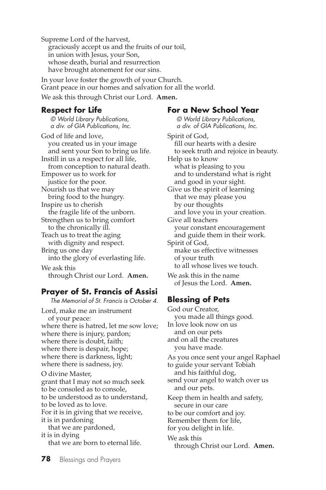Supreme Lord of the harvest, graciously accept us and the fruits of our toil, in union with Jesus, your Son, whose death, burial and resurrection have brought atonement for our sins.

In your love foster the growth of your Church. Grant peace in our homes and salvation for all the world. We ask this through Christ our Lord. **Amen.**

#### **Respect for Life**

*© World Library Publications, a div. of GIA Publications, Inc.*

God of life and love, you created us in your image and sent your Son to bring us life. Instill in us a respect for all life, from conception to natural death. Empower us to work for justice for the poor. Nourish us that we may bring food to the hungry. Inspire us to cherish the fragile life of the unborn. Strengthen us to bring comfort to the chronically ill. Teach us to treat the aging with dignity and respect. Bring us one day into the glory of everlasting life. We ask this through Christ our Lord. **Amen.**

#### **Prayer of St. Francis of Assisi** *The Memorial of St. Francis is October 4.*

Lord, make me an instrument of your peace: where there is hatred, let me sow love; where there is injury, pardon; where there is doubt, faith; where there is despair, hope; where there is darkness, light; where there is sadness, joy. O divine Master, grant that I may not so much seek to be consoled as to console,

to be understood as to understand, to be loved as to love. For it is in giving that we receive, it is in pardoning

that we are pardoned, it is in dying that we are born to eternal life.

#### **For a New School Year**

*© World Library Publications, a div. of GIA Publications, Inc.*

Spirit of God, fill our hearts with a desire to seek truth and rejoice in beauty. Help us to know what is pleasing to you and to understand what is right and good in your sight. Give us the spirit of learning that we may please you by our thoughts and love you in your creation. Give all teachers your constant encouragement and guide them in their work. Spirit of God, make us effective witnesses of your truth to all whose lives we touch. We ask this in the name of Jesus the Lord. **Amen.**

# **Blessing of Pets**

God our Creator, you made all things good. In love look now on us and on our pets and on all the creatures you have made. As you once sent your angel Raphael to guide your servant Tobiah and his faithful dog, send your angel to watch over us and our pets. Keep them in health and safety, secure in our care to be our comfort and joy. Remember them for life, for you delight in life. We ask this through Christ our Lord. **Amen.**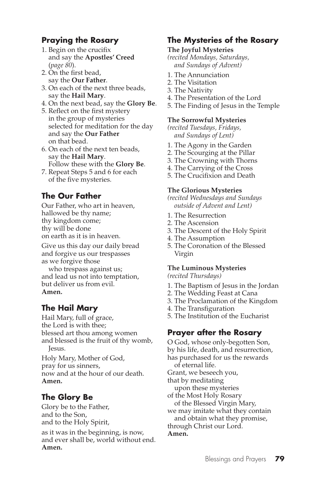# **Praying the Rosary**

- 1. Begin on the crucifix and say the **Apostles' Creed** (*page 80*).
- 2. On the first bead, say the **Our Father**.
- 3. On each of the next three beads, say the **Hail Mary**.
- 4. On the next bead, say the **Glory Be**.
- 5. Reflect on the first mystery in the group of mysteries selected for meditation for the day and say the **Our Father** on that bead.
- 6. On each of the next ten beads, say the **Hail Mary**. Follow these with the **Glory Be**.
- 7. Repeat Steps 5 and 6 for each of the five mysteries.

# **The Our Father**

Our Father, who art in heaven, hallowed be thy name; thy kingdom come; thy will be done on earth as it is in heaven.

Give us this day our daily bread and forgive us our trespasses as we forgive those

who trespass against us; and lead us not into temptation, but deliver us from evil. **Amen.**

# **The Hail Mary**

Hail Mary, full of grace, the Lord is with thee; blessed art thou among women and blessed is the fruit of thy womb, Jesus.

Holy Mary, Mother of God, pray for us sinners, now and at the hour of our death. **Amen.**

# **The Glory Be**

Glory be to the Father, and to the Son, and to the Holy Spirit,

as it was in the beginning, is now, and ever shall be, world without end. **Amen.**

# **The Mysteries of the Rosary**

#### **The Joyful Mysteries**

*(recited Mondays, Saturdays, and Sundays of Advent)*

- 1. The Annunciation
- 2. The Visitation
- 3. The Nativity
- 4. The Presentation of the Lord
- 5. The Finding of Jesus in the Temple

#### **The Sorrowful Mysteries**

*(recited Tuesdays, Fridays, and Sundays of Lent)*

- 1. The Agony in the Garden
- 2. The Scourging at the Pillar
- 3. The Crowning with Thorns
- 4. The Carrying of the Cross
- 5. The Crucifixion and Death

#### **The Glorious Mysteries**

*(recited Wednesdays and Sundays outside of Advent and Lent)*

- 1. The Resurrection
- 2. The Ascension
- 3. The Descent of the Holy Spirit
- 4. The Assumption
- 5. The Coronation of the Blessed Virgin

#### **The Luminous Mysteries**

*(recited Thursdays)*

- 1. The Baptism of Jesus in the Jordan
- 2. The Wedding Feast at Cana
- 3. The Proclamation of the Kingdom
- 4. The Transfiguration
- 5. The Institution of the Eucharist

#### **Prayer after the Rosary**

O God, whose only-begotten Son, by his life, death, and resurrection, has purchased for us the rewards of eternal life. Grant, we beseech you, that by meditating upon these mysteries of the Most Holy Rosary of the Blessed Virgin Mary, we may imitate what they contain and obtain what they promise, through Christ our Lord. **Amen.**